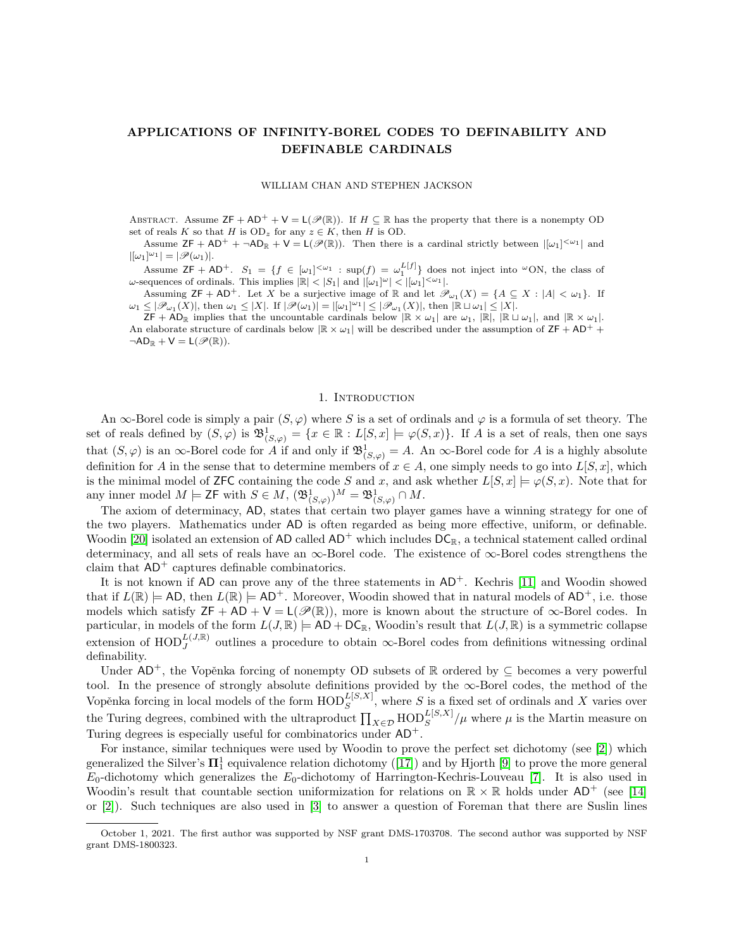# APPLICATIONS OF INFINITY-BOREL CODES TO DEFINABILITY AND DEFINABLE CARDINALS

### WILLIAM CHAN AND STEPHEN JACKSON

ABSTRACT. Assume  $ZF + AD^{+} + V = L(\mathcal{P}(\mathbb{R}))$ . If  $H \subseteq \mathbb{R}$  has the property that there is a nonempty OD set of reals K so that H is  $OD_z$  for any  $z \in K$ , then H is OD.

Assume  $ZF + AD^+ + \neg AD_R + V = L(\mathscr{P}(\mathbb{R}))$ . Then there is a cardinal strictly between  $|[\omega_1]^{<\omega_1}|$  and  $|[\omega_1]^{\omega_1}| = |\mathscr{P}(\omega_1)|.$ 

Assume  $ZF + AD^+$ .  $S_1 = \{f \in [\omega_1]^{<\omega_1} : \sup(f) = \omega_1^{L[f]} \}$  does not inject into  $\omega$ ON, the class of  $\omega$ -sequences of ordinals. This implies  $|\mathbb{R}| < |S_1|$  and  $|[\omega_1]^{\omega}| < |[\omega_1]^{<\omega_1}|$ .

Assuming  $\mathsf{ZF} + \mathsf{AD}^+$ . Let X be a surjective image of  $\mathbb R$  and let  $\mathscr{P}_{\omega_1}(X) = \{A \subseteq X : |A| < \omega_1\}$ . If  $\omega_1 \leq |\mathscr{P}_{\omega_1}(X)|$ , then  $\omega_1 \leq |X|$ . If  $|\mathscr{P}(\omega_1)| = |[\omega_1]^{\omega_1}| \leq |\mathscr{P}_{\omega_1}(X)|$ , then  $|\mathbb{R} \sqcup \omega_1| \leq |X|$ .

 $\mathsf{ZF} + \mathsf{AD}_\mathbb{R}$  implies that the uncountable cardinals below  $\mathbb{R} \times \omega_1$  are  $\omega_1$ ,  $\mathbb{R} \setminus \mathbb{R} \cup \omega_1$ , and  $\mathbb{R} \times \omega_1$ . An elaborate structure of cardinals below  $\mathbb{R} \times \omega_1$  will be described under the assumption of  $ZF + AD^+$  $\neg AD_{\mathbb{R}} + V = L(\mathscr{P}(\mathbb{R}))$ .

### 1. INTRODUCTION

An  $\infty$ -Borel code is simply a pair  $(S, \varphi)$  where S is a set of ordinals and  $\varphi$  is a formula of set theory. The set of reals defined by  $(S, \varphi)$  is  $\mathfrak{B}^1_{(S, \varphi)} = \{x \in \mathbb{R} : L[S, x] \models \varphi(S, x)\}.$  If A is a set of reals, then one says that  $(S, \varphi)$  is an  $\infty$ -Borel code for A if and only if  $\mathfrak{B}^1_{(S, \varphi)} = A$ . An  $\infty$ -Borel code for A is a highly absolute definition for A in the sense that to determine members of  $x \in A$ , one simply needs to go into  $L[S, x]$ , which is the minimal model of **ZFC** containing the code S and x, and ask whether  $L[S, x] \models \varphi(S, x)$ . Note that for any inner model  $M \models \mathsf{ZF}$  with  $S \in M$ ,  $(\mathfrak{B}^1_{(S,\varphi)})^M = \mathfrak{B}^1_{(S,\varphi)} \cap M$ .

The axiom of determinacy, AD, states that certain two player games have a winning strategy for one of the two players. Mathematics under AD is often regarded as being more effective, uniform, or definable. Woodin [\[20\]](#page-26-0) isolated an extension of AD called  $AD^+$  which includes  $DC_R$ , a technical statement called ordinal determinacy, and all sets of reals have an ∞-Borel code. The existence of ∞-Borel codes strengthens the claim that  $AD^+$  captures definable combinatorics.

It is not known if  $AD$  can prove any of the three statements in  $AD<sup>+</sup>$ . Kechris [\[11\]](#page-26-1) and Woodin showed that if  $L(\mathbb{R}) \models$  AD, then  $L(\mathbb{R}) \models$  AD<sup>+</sup>. Moreover, Woodin showed that in natural models of AD<sup>+</sup>, i.e. those models which satisfy  $ZF + AD + V = L(\mathcal{P}(\mathbb{R}))$ , more is known about the structure of  $\infty$ -Borel codes. In particular, in models of the form  $L(J, \mathbb{R}) \models AD + DC_{\mathbb{R}}$ , Woodin's result that  $L(J, \mathbb{R})$  is a symmetric collapse extension of  $\text{HOD}_J^{L(J,\mathbb{R})}$  outlines a procedure to obtain  $\infty$ -Borel codes from definitions witnessing ordinal definability.

Under  $AD^+$ , the Vopěnka forcing of nonempty OD subsets of R ordered by  $\subseteq$  becomes a very powerful tool. In the presence of strongly absolute definitions provided by the ∞-Borel codes, the method of the Vopěnka forcing in local models of the form  $\text{HOD}_S^{L[S,X]}$ , where S is a fixed set of ordinals and X varies over S the Turing degrees, combined with the ultraproduct  $\prod_{X \in \mathcal{D}} \text{HOD}_S^{L[S,X]} / \mu$  where  $\mu$  is the Martin measure on Turing degrees is especially useful for combinatorics under  $AD^+$ .

For instance, similar techniques were used by Woodin to prove the perfect set dichotomy (see [\[2\]](#page-26-2)) which generalizedthe Silver's  $\Pi^1_1$  equivalence relation dichotomy ([\[17\]](#page-26-3)) and by Hjorth [\[9\]](#page-26-4) to prove the more general  $E_0$ -dichotomy which generalizes the  $E_0$ -dichotomy of Harrington-Kechris-Louveau [\[7\]](#page-26-5). It is also used in Woodin's result that countable section uniformization for relations on  $\mathbb{R} \times \mathbb{R}$  holds under  $AD^+$  (see [\[14\]](#page-26-6) or [\[2\]](#page-26-2)). Such techniques are also used in [\[3\]](#page-26-7) to answer a question of Foreman that there are Suslin lines

October 1, 2021. The first author was supported by NSF grant DMS-1703708. The second author was supported by NSF grant DMS-1800323.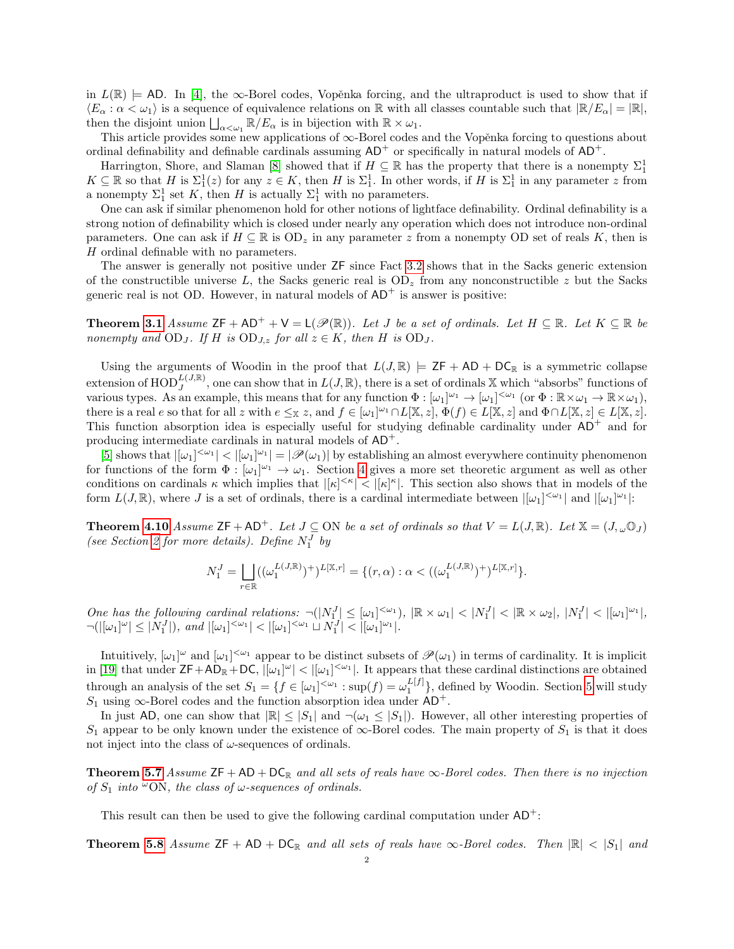in  $L(\mathbb{R})$  = AD. In [\[4\]](#page-26-8), the  $\infty$ -Borel codes, Vopěnka forcing, and the ultraproduct is used to show that if  $\langle E_\alpha : \alpha < \omega_1 \rangle$  is a sequence of equivalence relations on R with all classes countable such that  $\|R/E_\alpha\| = \|R\|$ , then the disjoint union  $\bigsqcup_{\alpha<\omega_1} \mathbb{R}/E_\alpha$  is in bijection with  $\mathbb{R}\times\omega_1$ .

This article provides some new applications of  $\infty$ -Borel codes and the Vopěnka forcing to questions about ordinal definability and definable cardinals assuming  $AD^+$  or specifically in natural models of  $AD^+$ .

Harrington, Shore, and Slaman [\[8\]](#page-26-9) showed that if  $H \subseteq \mathbb{R}$  has the property that there is a nonempty  $\Sigma_1^1$  $K \subseteq \mathbb{R}$  so that H is  $\Sigma_1^1(z)$  for any  $z \in K$ , then H is  $\Sigma_1^1$ . In other words, if H is  $\Sigma_1^1$  in any parameter z from a nonempty  $\Sigma_1^1$  set K, then H is actually  $\Sigma_1^1$  with no parameters.

One can ask if similar phenomenon hold for other notions of lightface definability. Ordinal definability is a strong notion of definability which is closed under nearly any operation which does not introduce non-ordinal parameters. One can ask if  $H \subseteq \mathbb{R}$  is  $OD_z$  in any parameter z from a nonempty OD set of reals K, then is H ordinal definable with no parameters.

The answer is generally not positive under ZF since Fact [3.2](#page-8-0) shows that in the Sacks generic extension of the constructible universe L, the Sacks generic real is  $OD_z$  from any nonconstructible z but the Sacks generic real is not OD. However, in natural models of  $AD<sup>+</sup>$  is answer is positive:

**Theorem [3.1](#page-5-0)** Assume  $\mathsf{ZF} + \mathsf{AD}^+ + \mathsf{V} = \mathsf{L}(\mathscr{P}(\mathbb{R}))$ . Let J be a set of ordinals. Let  $H \subseteq \mathbb{R}$ . Let  $K \subseteq \mathbb{R}$  be nonempty and  $OD_J$ . If H is  $OD_{J,z}$  for all  $z \in K$ , then H is  $OD_J$ .

Using the arguments of Woodin in the proof that  $L(J, \mathbb{R}) \models \mathsf{ZF} + \mathsf{AD} + \mathsf{DC}_{\mathbb{R}}$  is a symmetric collapse extension of  $\text{HOD}_J^{L(J,\mathbb{R})}$ , one can show that in  $L(J,\mathbb{R})$ , there is a set of ordinals X which "absorbs" functions of various types. As an example, this means that for any function  $\Phi : [\omega_1]^{\omega_1} \to [\omega_1]^{<\omega_1}$  (or  $\Phi : \mathbb{R} \times \omega_1 \to \mathbb{R} \times \omega_1$ ), there is a real e so that for all z with  $e \leq x$  z, and  $f \in [\omega_1]^{\omega_1} \cap L[\mathbb{X}, z]$ ,  $\Phi(f) \in L[\mathbb{X}, z]$  and  $\Phi \cap L[\mathbb{X}, z] \in L[\mathbb{X}, z]$ . This function absorption idea is especially useful for studying definable cardinality under  $AD^+$  and for producing intermediate cardinals in natural models of AD+.

[\[5\]](#page-26-10) shows that  $|[\omega_1]^{<\omega_1}| < |[\omega_1]^{\omega_1}| = |\mathscr{P}(\omega_1)|$  by establishing an almost everywhere continuity phenomenon for functions of the form  $\Phi : [\omega_1]^{\omega_1} \to \omega_1$ . Section [4](#page-9-0) gives a more set theoretic argument as well as other conditions on cardinals  $\kappa$  which implies that  $|[\kappa]^{\leq \kappa}| < |[\kappa]^{\kappa}|$ . This section also shows that in models of the form  $L(J, \mathbb{R})$ , where J is a set of ordinals, there is a cardinal intermediate between  $|[\omega_1]^{ $\omega_1}|$  and  $|[\omega_1]^{\omega_1}|$ :$ 

**Theorem [4.10](#page-10-0)** Assume  $ZF + AD^+$ . Let  $J \subseteq ON$  be a set of ordinals so that  $V = L(J, \mathbb{R})$ . Let  $\mathbb{X} = (J, \omega \mathbb{O}_J)$ (see Section [2](#page-3-0) for more details). Define  $N_1^J$  by

$$
N_1^J = \bigsqcup_{r \in \mathbb{R}} ((\omega_1^{L(J,\mathbb{R})})^+)^{L[\mathbb{X},r]} = \{ (r,\alpha) : \alpha < ((\omega_1^{L(J,\mathbb{R})})^+)^{L[\mathbb{X},r]} \}.
$$

One has the following cardinal relations:  $\neg(N_1^J] \leq [\omega_1]^{<\omega_1}$ ,  $|\mathbb{R} \times \omega_1| < |N_1^J| < |\mathbb{R} \times \omega_2|$ ,  $|N_1^J| < |[\omega_1]^{\omega_1}|$ ,  $\neg(|[\omega_1]^{\omega}| \leq |N_1^J|), \text{ and } |[\omega_1]^{<\omega_1}| < |[\omega_1]^{<\omega_1} \sqcup N_1^J| < |[\omega_1]^{\omega_1}|.$ 

Intuitively,  $[\omega_1]^\omega$  and  $[\omega_1]^{<\omega_1}$  appear to be distinct subsets of  $\mathscr{P}(\omega_1)$  in terms of cardinality. It is implicit in [\[19\]](#page-26-11) that under  $\mathsf{ZF}+\mathsf{AD}_\mathbb{R}+\mathsf{DC}$ ,  $|[\omega_1]^{\omega}|<|[\omega_1]^{<\omega_1}|$ . It appears that these cardinal distinctions are obtained through an analysis of the set  $S_1 = \{f \in [\omega_1]^{<\omega_1} : \sup(f) = \omega_1^{L[f]}\}$ , defined by Woodin. Section [5](#page-12-0) will study  $S_1$  using  $\infty$ -Borel codes and the function absorption idea under AD<sup>+</sup>.

In just AD, one can show that  $|\mathbb{R}| \leq |S_1|$  and  $\neg(\omega_1 \leq |S_1|)$ . However, all other interesting properties of  $S_1$  appear to be only known under the existence of  $\infty$ -Borel codes. The main property of  $S_1$  is that it does not inject into the class of  $\omega$ -sequences of ordinals.

**Theorem [5.7](#page-15-0)** Assume  $ZF + AD + DC_R$  and all sets of reals have  $\infty$ -Borel codes. Then there is no injection of  $S_1$  into  $\omega$ ON, the class of  $\omega$ -sequences of ordinals.

This result can then be used to give the following cardinal computation under  $AD^+$ :

**Theorem [5.8](#page-15-1)** Assume  $ZF + AD + DC_R$  and all sets of reals have  $\infty$ -Borel codes. Then  $\mathbb{R}| \leq |S_1|$  and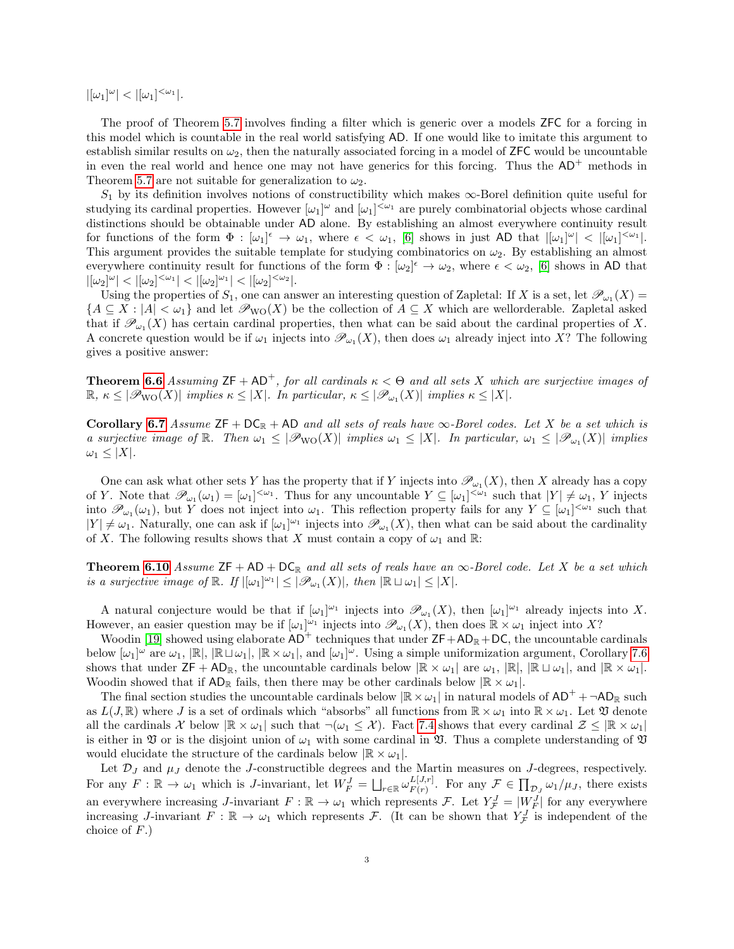$|[\omega_1]^\omega| < |[\omega_1]^{<\omega_1}|.$ 

The proof of Theorem [5.7](#page-15-0) involves finding a filter which is generic over a models ZFC for a forcing in this model which is countable in the real world satisfying AD. If one would like to imitate this argument to establish similar results on  $\omega_2$ , then the naturally associated forcing in a model of ZFC would be uncountable in even the real world and hence one may not have generics for this forcing. Thus the  $AD^+$  methods in Theorem [5.7](#page-15-0) are not suitable for generalization to  $\omega_2$ .

 $S_1$  by its definition involves notions of constructibility which makes  $\infty$ -Borel definition quite useful for studying its cardinal properties. However  $[\omega_1]^\omega$  and  $[\omega_1]^{<\omega_1}$  are purely combinatorial objects whose cardinal distinctions should be obtainable under AD alone. By establishing an almost everywhere continuity result for functions of the form  $\Phi : [\omega_1]^{\epsilon} \to \omega_1$ , where  $\epsilon < \omega_1$ , [\[6\]](#page-26-12) shows in just AD that  $|[\omega_1]^{\omega}| < |[\omega_1]^{< \omega_1}|$ . This argument provides the suitable template for studying combinatorics on  $\omega_2$ . By establishing an almost everywhere continuity result for functions of the form  $\Phi : [\omega_2]^{\epsilon} \to \omega_2$ , where  $\epsilon < \omega_2$ , [\[6\]](#page-26-12) shows in AD that  $|[\omega_2]^{\omega}| < |[\omega_2]^{<\omega_1}| < |[\omega_2]^{\omega_1}| < |[\omega_2]^{<\omega_2}|.$ 

Using the properties of  $S_1$ , one can answer an interesting question of Zapletal: If X is a set, let  $\mathscr{P}_{\omega_1}(X)$  ${A \subseteq X : |A| < \omega_1}$  and let  $\mathcal{P}_{\text{WO}}(X)$  be the collection of  $A \subseteq X$  which are wellorderable. Zapletal asked that if  $\mathscr{P}_{\omega_1}(X)$  has certain cardinal properties, then what can be said about the cardinal properties of X. A concrete question would be if  $\omega_1$  injects into  $\mathscr{P}_{\omega_1}(X)$ , then does  $\omega_1$  already inject into X? The following gives a positive answer:

**Theorem [6.6](#page-16-0)** Assuming  $ZF + AD^+$ , for all cardinals  $\kappa < \Theta$  and all sets X which are surjective images of  $\mathbb{R}, \kappa \leq |\mathscr{P}_{\text{WO}}(X)|$  implies  $\kappa \leq |X|$ . In particular,  $\kappa \leq |\mathscr{P}_{\omega_1}(X)|$  implies  $\kappa \leq |X|$ .

Corollary [6.7](#page-16-1) Assume  $ZF + DC_R + AD$  and all sets of reals have  $\infty$ -Borel codes. Let X be a set which is a surjective image of  $\mathbb R$ . Then  $\omega_1 \leq |\mathcal{P}_{\text{WO}}(X)|$  implies  $\omega_1 \leq |X|$ . In particular,  $\omega_1 \leq |\mathcal{P}_{\omega_1}(X)|$  implies  $\omega_1 \leq |X|$ .

One can ask what other sets Y has the property that if Y injects into  $\mathscr{P}_{\omega_1}(X)$ , then X already has a copy of Y. Note that  $\mathscr{P}_{\omega_1}(\omega_1) = [\omega_1]^{<\omega_1}$ . Thus for any uncountable  $Y \subseteq [\omega_1]^{<\omega_1}$  such that  $|Y| \neq \omega_1$ , Y injects into  $\mathscr{P}_{\omega_1}(\omega_1)$ , but Y does not inject into  $\omega_1$ . This reflection property fails for any  $Y \subseteq [\omega_1]^{<\omega_1}$  such that  $|Y| \neq \omega_1$ . Naturally, one can ask if  $[\omega_1]^{\omega_1}$  injects into  $\mathscr{P}_{\omega_1}(X)$ , then what can be said about the cardinality of X. The following results shows that X must contain a copy of  $\omega_1$  and R:

**Theorem [6.10](#page-17-0)** Assume  $ZF + AD + DC_R$  and all sets of reals have an  $\infty$ -Borel code. Let X be a set which is a surjective image of  $\mathbb{R}$ . If  $|[\omega_1]^{\omega_1}| \leq |\mathscr{P}_{\omega_1}(X)|$ , then  $|\mathbb{R} \sqcup \omega_1| \leq |X|$ .

A natural conjecture would be that if  $[\omega_1]^{\omega_1}$  injects into  $\mathscr{P}_{\omega_1}(X)$ , then  $[\omega_1]^{\omega_1}$  already injects into X. However, an easier question may be if  $[\omega_1]^{\omega_1}$  injects into  $\mathscr{P}_{\omega_1}(X)$ , then does  $\mathbb{R} \times \omega_1$  inject into X?

Woodin [\[19\]](#page-26-11) showed using elaborate  $AD^+$  techniques that under  $ZF+AD_R+DC$ , the uncountable cardinals below  $[\omega_1]^{\omega}$  are  $\omega_1$ ,  $[\mathbb{R}]$ ,  $[\mathbb{R} \cup \omega_1]$ ,  $[\mathbb{R} \times \omega_1]$ , and  $[\omega_1]^{\omega}$ . Using a simple uniformization argument, Corollary [7.6](#page-18-0) shows that under  $\mathsf{ZF} + \mathsf{AD}_\mathbb{R}$ , the uncountable cardinals below  $|\mathbb{R} \times \omega_1|$  are  $\omega_1$ ,  $|\mathbb{R}|, |\mathbb{R} \cup \omega_1|$ , and  $|\mathbb{R} \times \omega_1|$ . Woodin showed that if  $AD_{\mathbb{R}}$  fails, then there may be other cardinals below  $|\mathbb{R} \times \omega_1|$ .

The final section studies the uncountable cardinals below  $\mathbb{R} \times \omega_1$  in natural models of  $AD^+ + \neg AD_R$  such as  $L(J, \mathbb{R})$  where J is a set of ordinals which "absorbs" all functions from  $\mathbb{R} \times \omega_1$  into  $\mathbb{R} \times \omega_1$ . Let  $\mathfrak V$  denote all the cardinals X below  $\mathbb{R} \times \omega_1$  such that  $\neg(\omega_1 \leq \mathcal{X})$ . Fact [7.4](#page-18-1) shows that every cardinal  $\mathcal{Z} \leq \mathbb{R} \times \omega_1$ is either in  $\mathfrak V$  or is the disjoint union of  $\omega_1$  with some cardinal in  $\mathfrak V$ . Thus a complete understanding of  $\mathfrak V$ would elucidate the structure of the cardinals below  $|\mathbb{R} \times \omega_1|$ .

Let  $\mathcal{D}_J$  and  $\mu_J$  denote the J-constructible degrees and the Martin measures on J-degrees, respectively. For any  $F: \mathbb{R} \to \omega_1$  which is *J*-invariant, let  $W_F^J = \bigsqcup_{r \in \mathbb{R}} \omega_{F(r)}^{L[J,r]}$  $F_{(r)}^{L[J,r]}$ . For any  $\mathcal{F} \in \prod_{\mathcal{D}_J} \omega_1/\mu_J$ , there exists an everywhere increasing J-invariant  $F : \mathbb{R} \to \omega_1$  which represents  $\mathcal{F}$ . Let  $Y_{\mathcal{F}}^J = |W_{\mathcal{F}}^J|$  for any everywhere increasing J-invariant  $F : \mathbb{R} \to \omega_1$  which represents  $\mathcal{F}$ . (It can be shown that  $Y^J_{\mathcal{F}}$  is independent of the choice of  $F$ .)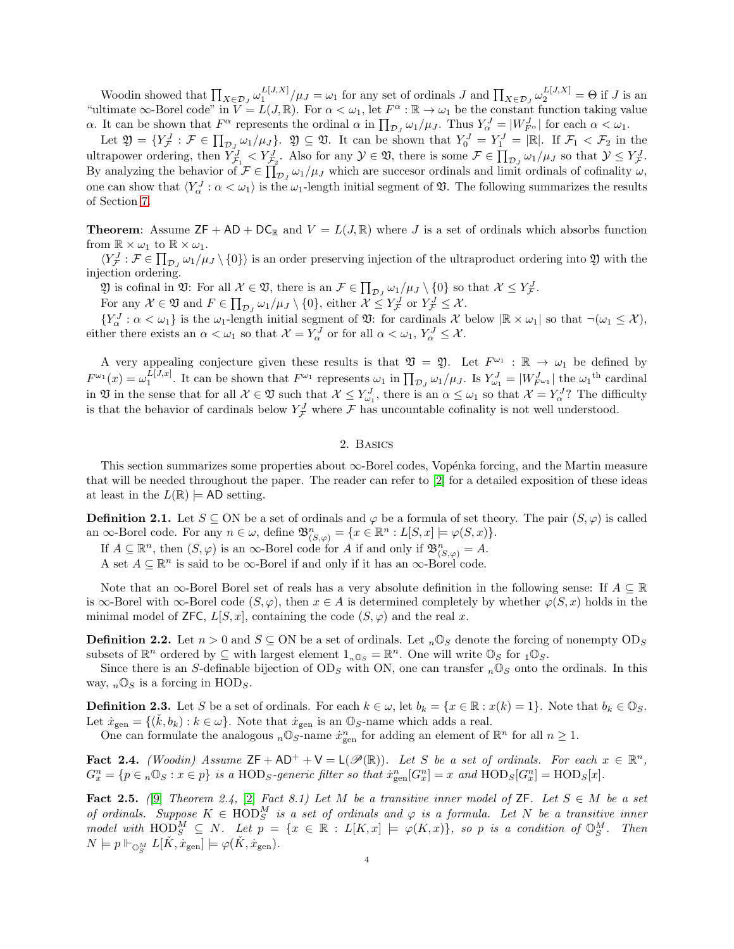Woodin showed that  $\prod_{X \in \mathcal{D}_J} \omega_1^{L[J,X]} / \mu_J = \omega_1$  for any set of ordinals J and  $\prod_{X \in \mathcal{D}_J} \omega_2^{L[J,X]} = \Theta$  if J is an "ultimate  $\infty$ -Borel code" in  $V = L(J, \mathbb{R})$ . For  $\alpha < \omega_1$ , let  $F^{\alpha} : \mathbb{R} \to \omega_1$  be the constant function taking value  $\alpha$ . It can be shown that  $F^{\alpha}$  represents the ordinal  $\alpha$  in  $\prod_{\mathcal{D}_J} \omega_1/\mu_J$ . Thus  $Y^J_{\alpha} = |W^J_{F^{\alpha}}|$  for each  $\alpha < \omega_1$ .

Let  $\mathfrak{Y} = \{Y_{\mathcal{F}}^J : \mathcal{F} \in \prod_{\mathcal{D}_J} \omega_1/\mu_J\}$ .  $\mathfrak{Y} \subseteq \mathfrak{Y}$ . It can be shown that  $Y_0^J = Y_1^J = |\mathbb{R}|$ . If  $\mathcal{F}_1 < \mathcal{F}_2$  in the ultrapower ordering, then  $Y_{\mathcal{F}_1}^J < Y_{\mathcal{F}_2}^J$ . Also for any  $\mathcal{Y} \in \mathfrak{Y}$ , there is some  $\mathcal{F} \in \prod_{\mathcal{D}_J} \omega_1/\mu_J$  so that  $\mathcal{Y} \leq Y_{\mathcal{F}}^J$ . By analyzing the behavior of  $\mathcal{F} \in \prod_{\mathcal{D}_J} \omega_1/\mu_J$  which are succesor ordinals and limit ordinals of cofinality  $\omega$ , one can show that  $\langle Y_\alpha^J : \alpha < \omega_1 \rangle$  is the  $\omega_1$ -length initial segment of  $\mathfrak{V}$ . The following summarizes the results of Section [7.](#page-17-1)

**Theorem:** Assume  $ZF + AD + DC_R$  and  $V = L(J, \mathbb{R})$  where J is a set of ordinals which absorbs function from  $\mathbb{R} \times \omega_1$  to  $\mathbb{R} \times \omega_1$ .

 $\langle Y_{\mathcal{F}}^J : \mathcal{F} \in \prod_{\mathcal{D}_J} \omega_1/\mu_J \setminus \{0\} \rangle$  is an order preserving injection of the ultraproduct ordering into  $\mathfrak{Y}$  with the injection ordering.

 $\mathfrak{Y}$  is cofinal in  $\mathfrak{Y}$ : For all  $\mathcal{X} \in \mathfrak{Y}$ , there is an  $\mathcal{F} \in \prod_{\mathcal{D}_J} \omega_1/\mu_J \setminus \{0\}$  so that  $\mathcal{X} \leq Y^J_{\mathcal{F}}$ .

For any  $\mathcal{X} \in \mathfrak{V}$  and  $F \in \prod_{\mathcal{D}_J} \omega_1/\mu_J \setminus \{0\}$ , either  $\mathcal{X} \leq Y^J_{\mathcal{F}}$  or  $Y^J_{\mathcal{F}} \leq \mathcal{X}$ .

 ${Y_{\alpha}^{J}:\alpha<\omega_1}$  is the  $\omega_1$ -length initial segment of  $\mathfrak{V}$ : for cardinals X below  $|\mathbb{R}\times\omega_1|$  so that  $\neg(\omega_1\leq\mathcal{X})$ , either there exists an  $\alpha < \omega_1$  so that  $\mathcal{X} = Y_\alpha^J$  or for all  $\alpha < \omega_1$ ,  $Y_\alpha^J \leq \mathcal{X}$ .

A very appealing conjecture given these results is that  $\mathfrak{V} = \mathfrak{Y}$ . Let  $F^{\omega_1} : \mathbb{R} \to \omega_1$  be defined by  $F^{\omega_1}(x) = \omega_1^{L[J,x]}$ . It can be shown that  $F^{\omega_1}$  represents  $\omega_1$  in  $\prod_{\mathcal{D}_J} \omega_1/\mu_J$ . Is  $Y_{\omega_1}^J = |W_{F^{\omega_1}}^J|$  the  $\omega_1$ <sup>th</sup> cardinal in  $\mathfrak V$  in the sense that for all  $\mathcal X \in \mathfrak V$  such that  $\mathcal X \leq Y^J_{\omega_1}$ , there is an  $\alpha \leq \omega_1$  so that  $\mathcal X = Y^J_{\alpha}$ ? The difficulty is that the behavior of cardinals below  $Y_{\mathcal{F}}^J$  where  $\mathcal F$  has uncountable cofinality is not well understood.

## 2. Basics

<span id="page-3-0"></span>This section summarizes some properties about  $\infty$ -Borel codes, Vopénka forcing, and the Martin measure that will be needed throughout the paper. The reader can refer to [\[2\]](#page-26-2) for a detailed exposition of these ideas at least in the  $L(\mathbb{R}) \models \text{AD setting}.$ 

**Definition 2.1.** Let  $S \subseteq ON$  be a set of ordinals and  $\varphi$  be a formula of set theory. The pair  $(S, \varphi)$  is called an  $\infty$ -Borel code. For any  $n \in \omega$ , define  $\mathfrak{B}^n_{(S,\varphi)} = \{x \in \mathbb{R}^n : L[S,x] \models \varphi(S,x)\}.$ 

If  $A \subseteq \mathbb{R}^n$ , then  $(S, \varphi)$  is an  $\infty$ -Borel code for A if and only if  $\mathfrak{B}^n_{(S,\varphi)} = A$ .

A set  $A \subseteq \mathbb{R}^n$  is said to be  $\infty$ -Borel if and only if it has an  $\infty$ -Borel code.

Note that an  $\infty$ -Borel Borel set of reals has a very absolute definition in the following sense: If  $A \subseteq \mathbb{R}$ is  $\infty$ -Borel with  $\infty$ -Borel code  $(S, \varphi)$ , then  $x \in A$  is determined completely by whether  $\varphi(S, x)$  holds in the minimal model of ZFC,  $L[S, x]$ , containing the code  $(S, \varphi)$  and the real x.

**Definition 2.2.** Let  $n > 0$  and  $S \subseteq ON$  be a set of ordinals. Let  $n\mathbb{O}_S$  denote the forcing of nonempty  $OD_S$ subsets of  $\mathbb{R}^n$  ordered by  $\subseteq$  with largest element  $1_{n\mathbb{O}_S} = \mathbb{R}^n$ . One will write  $\mathbb{O}_S$  for  $_1\mathbb{O}_S$ .

Since there is an S-definable bijection of  $OD_S$  with ON, one can transfer  $_n \mathbb{O}_S$  onto the ordinals. In this way,  $_n \mathbb{O}_S$  is a forcing in HOD<sub>S</sub>.

**Definition 2.3.** Let S be a set of ordinals. For each  $k \in \omega$ , let  $b_k = \{x \in \mathbb{R} : x(k) = 1\}$ . Note that  $b_k \in \mathbb{Q}_S$ . Let  $\dot{x}_{gen} = \{(\dot{k}, b_k) : k \in \omega\}$ . Note that  $\dot{x}_{gen}$  is an  $\mathbb{O}_S$ -name which adds a real.

One can formulate the analogous  $_n \mathbb{O}_S$ -name  $\dot{x}_{gen}^n$  for adding an element of  $\mathbb{R}^n$  for all  $n \geq 1$ .

<span id="page-3-2"></span>Fact 2.4. (Woodin) Assume  $\mathsf{ZF} + \mathsf{AD^+} + \mathsf{V} = \mathsf{L}(\mathscr{P}(\mathbb{R}))$ . Let S be a set of ordinals. For each  $x \in \mathbb{R}^n$ ,  $G_x^n = \{p \in n \mathbb{O}_S : x \in p\}$  is a HOD<sub>S</sub>-generic filter so that  $\dot{x}_{gen}^n[G_x^n] = x$  and  $\text{HOD}_S[G_x^n] = \text{HOD}_S[x]$ .

<span id="page-3-1"></span>Fact 2.5. ([\[9\]](#page-26-4) Theorem 2.4, [\[2\]](#page-26-2) Fact 8.1) Let M be a transitive inner model of  $\mathsf{ZF}$ . Let  $S \in M$  be a set of ordinals. Suppose  $K \in \text{HOD}_S^M$  is a set of ordinals and  $\varphi$  is a formula. Let N be a transitive inner model with  $\mathrm{HOD}_S^M \subseteq N$ . Let  $p = \{x \in \mathbb{R} : L[K,x] \models \varphi(K,x)\}$ , so p is a condition of  $\mathbb{O}_S^M$ . Then  $N \models p \Vdash_{\mathbb{O}_S^M} L[\check{K}, \check{x}_{\text{gen}}] \models \varphi(\check{K}, \check{x}_{\text{gen}}).$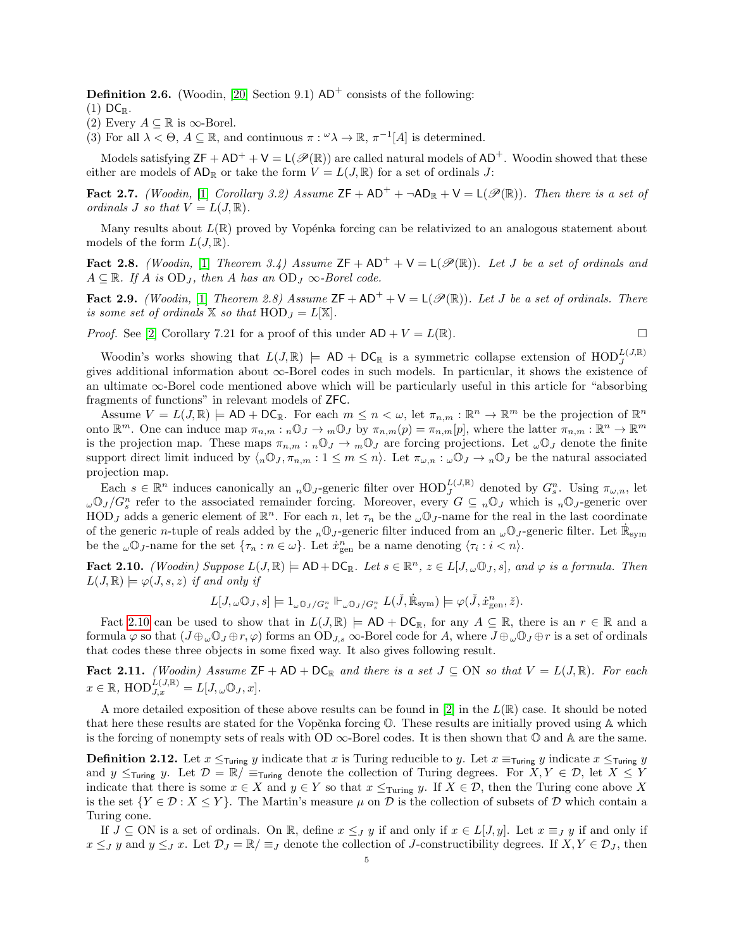**Definition 2.6.** (Woodin, [\[20\]](#page-26-0) Section 9.1)  $AD^+$  consists of the following:

- $(1)$  DC<sub>R</sub>.
- (2) Every  $A \subseteq \mathbb{R}$  is  $\infty$ -Borel.
- (3) For all  $\lambda < \Theta$ ,  $A \subseteq \mathbb{R}$ , and continuous  $\pi : \omega \lambda \to \mathbb{R}$ ,  $\pi^{-1}[A]$  is determined.

Models satisfying  $ZF + AD^+ + V = L(\mathcal{P}(\mathbb{R}))$  are called natural models of  $AD^+$ . Woodin showed that these either are models of  $AD_{\mathbb{R}}$  or take the form  $V = L(J, \mathbb{R})$  for a set of ordinals J:

<span id="page-4-4"></span>Fact 2.7. (Woodin, [\[1\]](#page-26-13) Corollary 3.2) Assume  $ZF + AD^+ + \neg AD_R + V = L(\mathscr{P}(\mathbb{R}))$ . Then there is a set of ordinals J so that  $V = L(J, \mathbb{R})$ .

Many results about  $L(\mathbb{R})$  proved by Vopénka forcing can be relativized to an analogous statement about models of the form  $L(J, \mathbb{R})$ .

<span id="page-4-2"></span>Fact 2.8. (Woodin, [\[1\]](#page-26-13) Theorem 3.4) Assume  $ZF + AD^+ + V = L(\mathscr{P}(\mathbb{R}))$ . Let J be a set of ordinals and  $A \subseteq \mathbb{R}$ . If A is OD<sub>J</sub>, then A has an OD<sub>J</sub>  $\infty$ -Borel code.

<span id="page-4-1"></span>**Fact 2.9.** (Woodin, [\[1\]](#page-26-13) Theorem 2.8) Assume  $ZF + AD^+ + V = L(\mathcal{P}(\mathbb{R}))$ . Let J be a set of ordinals. There is some set of ordinals  $X$  so that  $HOD_J = L[X]$ .

*Proof.* See [\[2\]](#page-26-2) Corollary 7.21 for a proof of this under  $AD + V = L(\mathbb{R})$ .

$$
\Box
$$

Woodin's works showing that  $L(J, \mathbb{R}) \models AD + DC_{\mathbb{R}}$  is a symmetric collapse extension of  $HOD_J^{L(J, \mathbb{R})}$ gives additional information about ∞-Borel codes in such models. In particular, it shows the existence of an ultimate ∞-Borel code mentioned above which will be particularly useful in this article for "absorbing fragments of functions" in relevant models of ZFC.

Assume  $V = L(J, \mathbb{R}) \models AD + DC_{\mathbb{R}}$ . For each  $m \leq n < \omega$ , let  $\pi_{n,m} : \mathbb{R}^n \to \mathbb{R}^m$  be the projection of  $\mathbb{R}^n$ onto  $\mathbb{R}^m$ . One can induce map  $\pi_{n,m}: {}_{n}\mathbb{O}_J \to {}_{m}\mathbb{O}_J$  by  $\pi_{n,m}(p) = \pi_{n,m}(p)$ , where the latter  $\pi_{n,m}: \mathbb{R}^n \to \mathbb{R}^m$ is the projection map. These maps  $\pi_{n,m}: {}_{n}\mathbb{O}_J \to {}_{m}\mathbb{O}_J$  are forcing projections. Let  $\omega\mathbb{O}_J$  denote the finite support direct limit induced by  $\langle n\mathbb{O}_J, \pi_{n,m} : 1 \leq m \leq n \rangle$ . Let  $\pi_{\omega,n} : \omega \mathbb{O}_J \to n \mathbb{O}_J$  be the natural associated projection map.

Each  $s \in \mathbb{R}^n$  induces canonically an  $_n \mathbb{O}_J$ -generic filter over  $\text{HOD}_J^{L(J,\mathbb{R})}$  denoted by  $G_s^n$ . Using  $\pi_{\omega,n}$ , let  $\omega\mathbb{O}_J/G_s^n$  refer to the associated remainder forcing. Moreover, every  $G \subseteq n\mathbb{O}_J$  which is  $n\mathbb{O}_J$ -generic over HOD<sub>J</sub> adds a generic element of  $\mathbb{R}^n$ . For each n, let  $\tau_n$  be the  $\omega\mathbb{O}_J$ -name for the real in the last coordinate of the generic *n*-tuple of reals added by the <sub>n</sub>O<sub>J</sub>-generic filter induced from an <sub> $\omega$ </sub>O<sub>J</sub>-generic filter. Let  $\dot{\mathbb{R}}_{sym}$ be the  $\omega \mathbb{O}_J$ -name for the set  $\{\tau_n : n \in \omega\}$ . Let  $\dot{x}_{\text{gen}}^n$  be a name denoting  $\langle \tau_i : i < n \rangle$ .

<span id="page-4-0"></span>**Fact 2.10.** (Woodin) Suppose  $L(J, \mathbb{R}) \models \text{AD} + \text{DC}_{\mathbb{R}}$ . Let  $s \in \mathbb{R}^n$ ,  $z \in L[J, \omega \mathbb{O}_J, s]$ , and  $\varphi$  is a formula. Then  $L(J, \mathbb{R}) \models \varphi(J, s, z)$  if and only if

$$
L[J,\omega \mathbb{O}_J,s] \models 1_{\omega \mathbb{O}_J/G_s^n} \Vdash_{\omega \mathbb{O}_J/G_s^n} L(\check{J},\dot{\mathbb{R}}_{\mathrm{sym}}) \models \varphi(\check{J},\dot{x}_{\mathrm{gen}}^n,\check{z}).
$$

Fact [2.10](#page-4-0) can be used to show that in  $L(J, \mathbb{R}) \models AD + DC_{\mathbb{R}}$ , for any  $A \subseteq \mathbb{R}$ , there is an  $r \in \mathbb{R}$  and a formula  $\varphi$  so that  $(J \oplus_{\omega} \mathbb{O}_J \oplus r, \varphi)$  forms an  $OD_{J,s}$   $\infty$ -Borel code for A, where  $J \oplus_{\omega} \mathbb{O}_J \oplus r$  is a set of ordinals that codes these three objects in some fixed way. It also gives following result.

<span id="page-4-3"></span>Fact 2.11. (Woodin) Assume  $ZF + AD + DC_R$  and there is a set  $J \subseteq ON$  so that  $V = L(J, \mathbb{R})$ . For each  $x \in \mathbb{R}$ ,  $\mathrm{HOD}_{J,x}^{\hat{L}(J,\mathbb{R})} = L[J,\omega \mathbb{O}_J,x].$ 

A more detailed exposition of these above results can be found in [\[2\]](#page-26-2) in the  $L(\mathbb{R})$  case. It should be noted that here these results are stated for the Vopěnka forcing  $\mathbb O$ . These results are initially proved using  $\mathbb A$  which is the forcing of nonempty sets of reals with OD  $\infty$ -Borel codes. It is then shown that  $\mathbb{O}$  and A are the same.

**Definition 2.12.** Let  $x \leq_{Turing} y$  indicate that x is Turing reducible to y. Let  $x \equiv_{Turing} y$  indicate  $x \leq_{Turing} y$ and y  $\leq_{\text{Turing}}$  y. Let  $\mathcal{D} = \mathbb{R}/\equiv_{\text{Turing}}$  denote the collection of Turing degrees. For  $X, Y \in \mathcal{D}$ , let  $X \leq Y$ indicate that there is some  $x \in X$  and  $y \in Y$  so that  $x \leq_{\text{Turing}} y$ . If  $X \in \mathcal{D}$ , then the Turing cone above X is the set  ${Y \in \mathcal{D} : X \leq Y}$ . The Martin's measure  $\mu$  on  $\mathcal D$  is the collection of subsets of  $\mathcal D$  which contain a Turing cone.

If  $J \subseteq ON$  is a set of ordinals. On R, define  $x \leq_{J} y$  if and only if  $x \in L[J, y]$ . Let  $x \equiv_{J} y$  if and only if  $x \leq_J y$  and  $y \leq_J x$ . Let  $\mathcal{D}_J = \mathbb{R}/\equiv_J$  denote the collection of J-constructibility degrees. If  $X, Y \in \mathcal{D}_J$ , then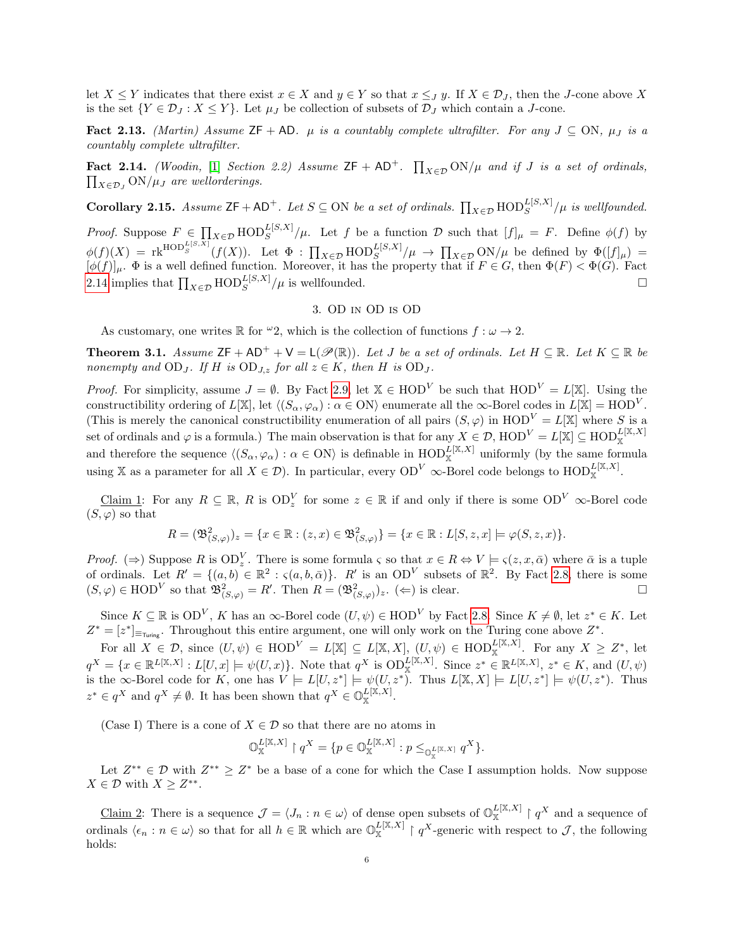let  $X \leq Y$  indicates that there exist  $x \in X$  and  $y \in Y$  so that  $x \leq_J y$ . If  $X \in \mathcal{D}_J$ , then the J-cone above X is the set  ${Y \in \mathcal{D}_J : X \leq Y}$ . Let  $\mu_J$  be collection of subsets of  $\mathcal{D}_J$  which contain a J-cone.

Fact 2.13. (Martin) Assume ZF + AD.  $\mu$  is a countably complete ultrafilter. For any  $J \subseteq ON$ ,  $\mu_J$  is a countably complete ultrafilter.

<span id="page-5-1"></span>Fact 2.14. (Woodin, [\[1\]](#page-26-13) Section 2.2) Assume  $ZF + AD^+$ .  $\prod_{X \in \mathcal{D}} ON/\mu$  and if J is a set of ordinals,  $\prod_{X \in \mathcal{D}_J} \text{ON}/\mu_J$  are wellorderings.

**Corollary 2.15.** Assume  $ZF + AD^+$ . Let  $S \subseteq ON$  be a set of ordinals.  $\prod_{X \in \mathcal{D}} \text{HOD}_S^{L[S,X]} / \mu$  is wellfounded.

*Proof.* Suppose  $F \in \prod_{X \in \mathcal{D}} \text{HOD}_S^{L[S,X]}/\mu$ . Let f be a function D such that  $[f]_\mu = F$ . Define  $\phi(f)$  by  $\phi(f)(X) = \text{rk}^{\text{HOD}_{S}^{L[S,X]}}(f(X)).$  Let  $\Phi : \prod_{X \in \mathcal{D}} \text{HOD}_{S}^{L[S,X]} / \mu \to \prod_{X \in \mathcal{D}} \text{ON}/\mu$  be defined by  $\Phi([f]_{\mu}) =$  $[\phi(f)]_{\mu}$ .  $\Phi$  is a well defined function. Moreover, it has the property that if  $F \in G$ , then  $\Phi(F) < \Phi(G)$ . Fact [2.14](#page-5-1) implies that  $\prod_{X \in \mathcal{D}} \text{HOD}_S^{L[S,X]} / \mu$  is wellfounded.

## 3. OD in OD is OD

As customary, one writes  $\mathbb R$  for  $\omega_2$ , which is the collection of functions  $f : \omega \to 2$ .

<span id="page-5-0"></span>**Theorem 3.1.** Assume  $ZF + AD^+ + V = L(\mathcal{P}(\mathbb{R}))$ . Let J be a set of ordinals. Let  $H \subseteq \mathbb{R}$ . Let  $K \subseteq \mathbb{R}$  be nonempty and  $OD_J$ . If H is  $OD_{J,z}$  for all  $z \in K$ , then H is  $OD_J$ .

*Proof.* For simplicity, assume  $J = \emptyset$ . By Fact [2.9,](#page-4-1) let  $X \in HOD^V$  be such that  $HOD^V = L[X]$ . Using the constructibility ordering of  $L[\mathbb{X}]$ , let  $\langle (S_\alpha, \varphi_\alpha) : \alpha \in \mathcal{O}(\mathbb{N}) \rangle$  enumerate all the  $\infty$ -Borel codes in  $L[\mathbb{X}] = \mathcal{H} \mathcal{O}(\mathbb{N})$ . (This is merely the canonical constructibility enumeration of all pairs  $(S, \varphi)$  in  $HOD^V = L[X]$  where S is a set of ordinals and  $\varphi$  is a formula.) The main observation is that for any  $X \in \mathcal{D}$ ,  $HOD^V = L[\mathbb{X}] \subseteq HOD_{\mathbb{X}}^{L[\mathbb{X},X]}$ and therefore the sequence  $\langle (S_\alpha, \varphi_\alpha) : \alpha \in \text{ON} \rangle$  is definable in  $\text{HOD}_{\mathbb{X}}^{\tilde{L}[\mathbb{X},X]}$  uniformly (by the same formula using X as a parameter for all  $X \in \mathcal{D}$ ). In particular, every  $OD^V$   $\infty$ -Borel code belongs to  $HOD^{\mathcal{L}[\mathbb{X},X]}$ .

Claim 1: For any  $R \subseteq \mathbb{R}$ , R is  $OD_z^V$  for some  $z \in \mathbb{R}$  if and only if there is some  $OD^V$   $\infty$ -Borel code  $(S, \varphi)$  so that

$$
R = (\mathfrak{B}_{(S,\varphi)}^2)_z = \{x \in \mathbb{R} : (z,x) \in \mathfrak{B}_{(S,\varphi)}^2\} = \{x \in \mathbb{R} : L[S,z,x] \models \varphi(S,z,x)\}.
$$

*Proof.* ( $\Rightarrow$ ) Suppose R is OD<sup>V</sup><sub>z</sub>. There is some formula  $\varsigma$  so that  $x \in R \Leftrightarrow V \models \varsigma(z, x, \bar{\alpha})$  where  $\bar{\alpha}$  is a tuple of ordinals. Let  $R' = \{(a, b) \in \mathbb{R}^2 : \varsigma(a, b, \bar{\alpha})\}$ . R' is an OD<sup>V</sup> subsets of  $\mathbb{R}^2$ . By Fact [2.8,](#page-4-2) there is some  $(S, \varphi) \in \text{HOD}^V$  so that  $\mathfrak{B}^2_{(S, \varphi)} = R'$ . Then  $R = (\mathfrak{B}^2_{(S, \varphi)})_z$ .  $(\Leftarrow)$  is clear.

Since  $K \subseteq \mathbb{R}$  is  $OD^V$ , K has an  $\infty$ -Borel code  $(U, \psi) \in HOD^V$  by Fact [2.8.](#page-4-2) Since  $K \neq \emptyset$ , let  $z^* \in K$ . Let  $Z^* = [z^*]_{\equiv_{\text{Turing}}}$ . Throughout this entire argument, one will only work on the Turing cone above  $Z^*$ .

For all  $X \in \mathcal{D}$ , since  $(U, \psi) \in \text{HOD}^V = L[\mathbb{X}] \subseteq L[\mathbb{X}, X]$ ,  $(U, \psi) \in \text{HOD}_{\mathbb{X}}^{L[\mathbb{X}, X]}$ . For any  $X \geq Z^*$ , let  $q^X = \{x \in \mathbb{R}^{L[\mathbb{X},X]} : L[U,x] \models \psi(U,x)\}.$  Note that  $q^X$  is  $\text{OD}_{\mathbb{X}}^{L[\mathbb{X},X]}$ . Since  $z^* \in \mathbb{R}^{L[\mathbb{X},X]}, z^* \in K$ , and  $(U,\psi)$ is the  $\infty$ -Borel code for K, one has  $V \models L[U, z^*] \models \psi(U, z^*)$ . Thus  $L[X, X] \models L[U, z^*] \models \psi(U, z^*)$ . Thus  $z^* \in q^X$  and  $q^X \neq \emptyset$ . It has been shown that  $q^X \in \mathbb{O}_{\mathbb{X}}^{L[\mathbb{X},X]}$ .

(Case I) There is a cone of  $X \in \mathcal{D}$  so that there are no atoms in

$$
\mathbb{O}_{\mathbb{X}}^{L[\mathbb{X},X]} \restriction q^X = \{ p \in \mathbb{O}_{\mathbb{X}}^{L[\mathbb{X},X]} : p \leq_{\mathbb{O}_{\mathbb{X}}^{L[\mathbb{X},X]}} q^X \}.
$$

Let  $Z^{**} \in \mathcal{D}$  with  $Z^{**} \geq Z^*$  be a base of a cone for which the Case I assumption holds. Now suppose  $X \in \mathcal{D}$  with  $X \geq Z^{**}$ .

Claim 2: There is a sequence  $\mathcal{J} = \langle J_n : n \in \omega \rangle$  of dense open subsets of  $\mathbb{O}_{\mathbb{X}}^{L[\mathbb{X},X]} \restriction q^X$  and a sequence of ordinals  $\langle \epsilon_n : n \in \omega \rangle$  so that for all  $h \in \mathbb{R}$  which are  $\mathbb{O}_{\mathbb{X}}^{L[\mathbb{X},X]} \restriction q^X$ -generic with respect to  $\mathcal{J}$ , the following holds: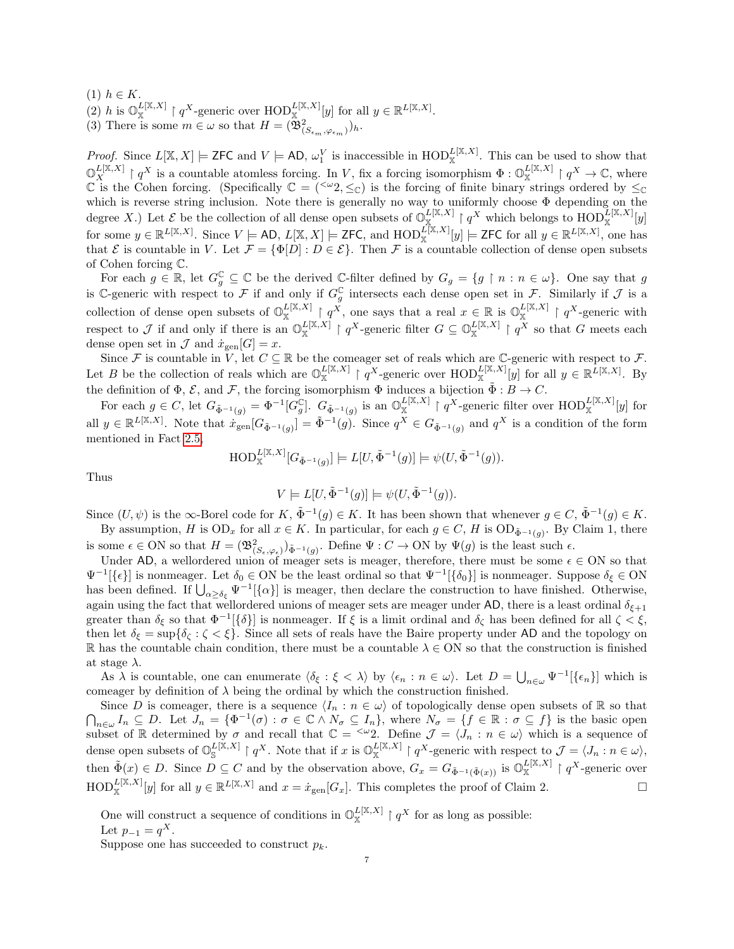- (1)  $h \in K$ .
- (2) h is  $\mathbb{O}_{\mathbb{X}}^{L[\mathbb{X},X]} \restriction q^X$ -generic over  $\mathrm{HOD}_{\mathbb{X}}^{L[\mathbb{X},X]}[y]$  for all  $y \in \mathbb{R}^{L[\mathbb{X},X]}$ .
- (3) There is some  $m \in \omega$  so that  $H = (\overline{\mathfrak{B}}_{(S_{\epsilon_m}, \varphi_{\epsilon_m})})_h$ .

*Proof.* Since  $L[X, X] \models$  **ZFC** and  $V \models$  **AD**,  $\omega_1^V$  is inaccessible in  $\text{HOD}_X^{L[X,X]}$ . This can be used to show that  $\mathbb{O}_{X}^{L[X,X]} \restriction q^{X}$  is a countable atomless forcing. In V, fix a forcing isomorphism  $\Phi: \mathbb{O}_{X}^{L[X,X]} \restriction q^{X} \to \mathbb{C}$ , where  $\mathbb C$  is the Cohen forcing. (Specifically  $\mathbb C = \left( \langle \omega_2, \leq_{\mathbb C} \right)$  is the forcing of finite binary strings ordered by  $\leq_{\mathbb C}$ which is reverse string inclusion. Note there is generally no way to uniformly choose Φ depending on the degree X.) Let  $\mathcal E$  be the collection of all dense open subsets of  $\mathbb O_{\mathbb X}^{L[\mathbb X,X]}$  |  $q^X$  which belongs to  $\mathrm{HOD}_{\mathbb X}^{L[\mathbb X,X]}[y]$ for some  $y \in \mathbb{R}^{L[\mathbb{X},X]}$ . Since  $V \models AD, L[\mathbb{X},X] \models \mathsf{ZFC}$ , and  $\mathrm{HOD}_{\mathbb{X}}^{\tilde{L}[\mathbb{X},X]}[y] \models \mathsf{ZFC}$  for all  $y \in \mathbb{R}^{L[\mathbb{X},X]}$ , one has that E is countable in V. Let  $\mathcal{F} = {\Phi[D] : D \in \mathcal{E}}$ . Then F is a countable collection of dense open subsets of Cohen forcing C.

For each  $g \in \mathbb{R}$ , let  $G_g^{\mathbb{C}} \subseteq \mathbb{C}$  be the derived  $\mathbb{C}\text{-filter}$  defined by  $G_g = \{g \mid n : n \in \omega\}$ . One say that g is C-generic with respect to F if and only if  $G_g^{\mathbb{C}}$  intersects each dense open set in F. Similarly if J is a collection of dense open subsets of  $\mathbb{O}_{\mathbb{X}}^{L[X,X]} \restriction q^X$ , one says that a real  $x \in \mathbb{R}$  is  $\mathbb{O}_{\mathbb{X}}^{L[X,X]} \restriction q^X$ -generic with respect to J if and only if there is an  $\mathbb{O}_{\mathbb{X}}^{L[\mathbb{X},X]} \restriction q^X$ -generic filter  $G \subseteq \mathbb{O}_{\mathbb{X}}^{L[\mathbb{X},X]} \restriction q^X$  so that G meets each dense open set in  $\mathcal J$  and  $\dot x_{\rm gen}[G] = x$ .

Since F is countable in  $V$ , let  $C \subseteq \mathbb{R}$  be the comeager set of reals which are C-generic with respect to F. Let B be the collection of reals which are  $\mathbb{O}_{\mathbb{X}}^{L[X,X]} \restriction q^X$ -generic over  $\text{HOD}_{\mathbb{X}}^{L[X,X]}[y]$  for all  $y \in \mathbb{R}^{L[X,X]}$ . By the definition of  $\Phi$ ,  $\mathcal{E}$ , and  $\mathcal{F}$ , the forcing isomorphism  $\Phi$  induces a bijection  $\tilde{\Phi}: B \to C$ .

For each  $g \in C$ , let  $G_{\tilde{\Phi}^{-1}(g)} = \Phi^{-1}[G_g^{\mathbb{C}}]$ .  $G_{\tilde{\Phi}^{-1}(g)}$  is an  $\mathbb{O}_{\mathbb{X}}^{L[\mathbb{X},X]} \upharpoonright q^X$ -generic filter over  $\text{HOD}_{\mathbb{X}}^{L[\mathbb{X},X]}[y]$  for all  $y \in \mathbb{R}^{L[\mathbb{X},X]}$ . Note that  $\dot{x}_{gen}[G_{\tilde{\Phi}^{-1}(g)}] = \tilde{\Phi}^{-1}(g)$ . Since  $q^X \in G_{\tilde{\Phi}^{-1}(g)}$  and  $q^X$  is a condition of the form mentioned in Fact [2.5,](#page-3-1)

$$
\text{HOD}^{L[\mathbb{X},X]}_{\mathbb{X}}[G_{\tilde{\Phi}^{-1}(g)}] \models L[U,\tilde{\Phi}^{-1}(g)] \models \psi(U,\tilde{\Phi}^{-1}(g)).
$$

Thus

$$
V \models L[U, \tilde{\Phi}^{-1}(g)] \models \psi(U, \tilde{\Phi}^{-1}(g)).
$$

Since  $(U, \psi)$  is the  $\infty$ -Borel code for  $K$ ,  $\tilde{\Phi}^{-1}(g) \in K$ . It has been shown that whenever  $g \in C$ ,  $\tilde{\Phi}^{-1}(g) \in K$ . By assumption, H is  $OD_x$  for all  $x \in K$ . In particular, for each  $g \in C$ , H is  $OD_{\tilde{\Phi}^{-1}(g)}$ . By Claim 1, there is some  $\epsilon \in \text{ON}$  so that  $H = (\mathfrak{B}^2_{(S_{\epsilon},\varphi_{\epsilon})})_{\tilde{\Phi}^{-1}(g)}$ . Define  $\Psi : C \to \text{ON}$  by  $\Psi(g)$  is the least such  $\epsilon$ .

Under AD, a wellordered union of meager sets is meager, therefore, there must be some  $\epsilon \in ON$  so that  $\Psi^{-1}[\{\epsilon\}]$  is nonmeager. Let  $\delta_0 \in \text{ON}$  be the least ordinal so that  $\Psi^{-1}[\{\delta_0\}]$  is nonmeager. Suppose  $\delta_{\xi} \in \text{ON}$ has been defined. If  $\bigcup_{\alpha \geq \delta_{\xi}} \Psi^{-1}[\{\alpha\}]$  is meager, then declare the construction to have finished. Otherwise, again using the fact that wellordered unions of meager sets are meager under AD, there is a least ordinal  $\delta_{\xi+1}$ greater than  $\delta_{\xi}$  so that  $\Phi^{-1}[\{\delta\}]$  is nonmeager. If  $\xi$  is a limit ordinal and  $\delta_{\zeta}$  has been defined for all  $\zeta < \xi$ , then let  $\delta_{\xi} = \sup \{ \delta_{\zeta} : \zeta \leq \xi \}$ . Since all sets of reals have the Baire property under AD and the topology on R has the countable chain condition, there must be a countable  $\lambda \in ON$  so that the construction is finished at stage  $\lambda$ .

As  $\lambda$  is countable, one can enumerate  $\langle \delta_{\xi} : \xi < \lambda \rangle$  by  $\langle \epsilon_n : n \in \omega \rangle$ . Let  $D = \bigcup_{n \in \omega} \Psi^{-1}[\{\epsilon_n\}]$  which is comeager by definition of  $\lambda$  being the ordinal by which the construction finished.

Since D is comeager, there is a sequence  $\langle I_n : n \in \omega \rangle$  of topologically dense open subsets of R so that  $\bigcap_{n\in\omega}I_n\subseteq D$ . Let  $J_n=\{\Phi^{-1}(\sigma):\sigma\in\mathbb{C}\wedge N_{\sigma}\subseteq I_n\}$ , where  $N_{\sigma}=\{f\in\mathbb{R}:\sigma\subseteq f\}$  is the basic open subset of R determined by  $\sigma$  and recall that  $\mathbb{C} = \langle \omega_2 \rangle$ . Define  $\mathcal{J} = \langle J_n : n \in \omega \rangle$  which is a sequence of dense open subsets of  $\mathbb{O}^{L[\mathbb{X},X]}_{\mathbb{S}} \mid q^X$ . Note that if x is  $\mathbb{O}^{L[\mathbb{X},X]}_{\mathbb{X}} \mid q^X$ -generic with respect to  $\mathcal{J} = \langle J_n : n \in \omega \rangle$ , then  $\tilde{\Phi}(x) \in D$ . Since  $D \subseteq C$  and by the observation above,  $G_x = G_{\tilde{\Phi}^{-1}(\tilde{\Phi}(x))}$  is  $\mathbb{O}_{\mathbb{X}}^{L[\mathbb{X},X]} \restriction q^X$ -generic over  $\text{HOD}_{\mathbb{X}}^{L[\mathbb{X},X]}[y]$  for all  $y \in \mathbb{R}^{L[\mathbb{X},X]}$  and  $x = \dot{x}_{\text{gen}}[G_x]$ . This completes the proof of Claim 2.

One will construct a sequence of conditions in  $\mathbb{O}_{\mathbb{X}}^{L[\mathbb{X},X]} \restriction q^X$  for as long as possible: Let  $p_{-1} = q^X$ .

Suppose one has succeeded to construct  $p_k$ .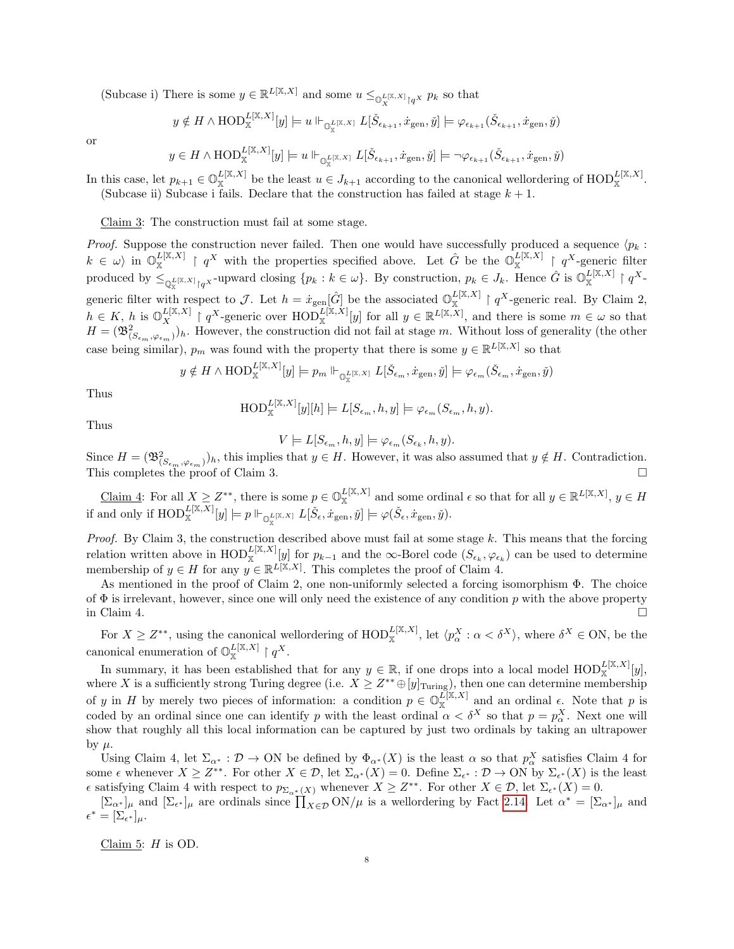(Subcase i) There is some  $y \in \mathbb{R}^{L[\mathbb{X},X]}$  and some  $u \leq_{\mathbb{O}_{X}^{L[\mathbb{X},X]} \upharpoonright q^{X}} p_{k}$  so that

$$
y \notin H \wedge \mathrm{HOD}^{L[\mathbb{X},X]}_{\mathbb{X}}[y] \models u \Vdash_{\mathbb{O}^{L[\mathbb{X},X]}_{\mathbb{X}} } L[\check{\mathcal{S}}_{\epsilon_{k+1}}, \dot{x}_{\mathrm{gen}}, \check{y}] \models \varphi_{\epsilon_{k+1}}(\check{\mathcal{S}}_{\epsilon_{k+1}}, \dot{x}_{\mathrm{gen}}, \check{y})
$$

or

$$
y \in H \wedge \text{HOD}_{\mathbb{X}}^{L[\mathbb{X},X]}[y] \models u \Vdash_{\mathbb{O}_{\mathbb{X}}^{L[\mathbb{X},X]}} L[\check{S}_{\epsilon_{k+1}}, \dot{x}_{\text{gen}}, \check{y}] \models \neg \varphi_{\epsilon_{k+1}}(\check{S}_{\epsilon_{k+1}}, \dot{x}_{\text{gen}}, \check{y})
$$

In this case, let  $p_{k+1} \in \mathbb{O}_{\mathbb{X}}^{L[\mathbb{X},X]}$  be the least  $u \in J_{k+1}$  according to the canonical wellordering of  $\text{HOD}_{\mathbb{X}}^{L[\mathbb{X},X]}$ . (Subcase ii) Subcase i fails. Declare that the construction has failed at stage  $k + 1$ .

Claim 3: The construction must fail at some stage.

*Proof.* Suppose the construction never failed. Then one would have successfully produced a sequence  $\langle p_k :$  $k \in \omega$  in  $\mathbb{O}_{\mathbb{X}}^{L[\mathbb{X},X]} \restriction q^X$  with the properties specified above. Let  $\hat{G}$  be the  $\mathbb{O}_{\mathbb{X}}^{L[\mathbb{X},X]} \restriction q^X$ -generic filter produced by  $\leq_{\mathbb{Q}_{\mathbb{X}}^{L^{[\mathbb{X},X]}}\upharpoonright q^X}$ -upward closing  $\{p_k : k \in \omega\}$ . By construction,  $p_k \in J_k$ . Hence  $\hat{G}$  is  $\mathbb{O}_{\mathbb{X}}^{L^{[\mathbb{X},X]}} \upharpoonright q^X$ generic filter with respect to J. Let  $h = x_{\text{gen}}[\hat{G}]$  be the associated  $\mathbb{O}_{\mathbb{X}}^{L[X,X]} \upharpoonright q^X$ -generic real. By Claim 2,  $h \in K$ , h is  $\mathbb{O}_{X}^{L[X,X]} \upharpoonright q^{X}$ -generic over  $\text{HOD}_{X}^{L[X,X]}[y]$  for all  $y \in \mathbb{R}^{L[X,X]}$ , and there is some  $m \in \omega$  so that  $H = (\mathfrak{B}^2_{(S_{\epsilon_m}, \varphi_{\epsilon_m})})_h$ . However, the construction did not fail at stage m. Without loss of generality (the other case being similar),  $p_m$  was found with the property that there is some  $y \in \mathbb{R}^{L[X,X]}$  so that

$$
y \notin H \wedge \mathrm{HOD}^{L[\mathbb{X},X]}_{\mathbb{X}}[y] \models p_m \Vdash_{\mathbb{O}^{L[\mathbb{X},X]}_{\mathbb{X}} } L[\check{S}_{\epsilon_m}, \dot{x}_{\mathrm{gen}}, \check{y}] \models \varphi_{\epsilon_m}(\check{S}_{\epsilon_m}, \dot{x}_{\mathrm{gen}}, \check{y})
$$

Thus

$$
\text{HOD}_{\mathbb{X}}^{L[\mathbb{X},X]}[y][h] \models L[S_{\epsilon_m},h,y] \models \varphi_{\epsilon_m}(S_{\epsilon_m},h,y).
$$

Thus

$$
V \models L[S_{\epsilon_m}, h, y] \models \varphi_{\epsilon_m}(S_{\epsilon_k}, h, y).
$$

Since  $H = (\mathfrak{B}^2_{(S_{\epsilon_m}, \varphi_{\epsilon_m})})_h$ , this implies that  $y \in H$ . However, it was also assumed that  $y \notin H$ . Contradiction. This completes the proof of Claim 3.

Claim 4: For all  $X \geq Z^{**}$ , there is some  $p \in \mathbb{O}_{\mathbb{X}}^{L[\mathbb{X},X]}$  and some ordinal  $\epsilon$  so that for all  $y \in \mathbb{R}^{L[\mathbb{X},X]}$ ,  $y \in H$ if and only if  $\mathrm{HOD}^{L[\mathbb{X},X]}_{\mathbb{X}}[y] \models p \Vdash_{\mathbb{O}^{L[\mathbb{X},X]}_{\mathbb{X}}} L[\check{\mathcal{S}}_{\epsilon}, \dot{x}_{\text{gen}}, \check{y}] \models \varphi(\check{\mathcal{S}}_{\epsilon}, \dot{x}_{\text{gen}}, \check{y}).$ 

Proof. By Claim 3, the construction described above must fail at some stage  $k$ . This means that the forcing relation written above in  $\text{HOD}_{\mathbb{X}}^{L[\mathbb{X},X]}[y]$  for  $p_{k-1}$  and the  $\infty$ -Borel code  $(S_{\epsilon_k}, \varphi_{\epsilon_k})$  can be used to determine membership of  $y \in H$  for any  $y \in \mathbb{R}^{L[X,X]}$ . This completes the proof of Claim 4.

As mentioned in the proof of Claim 2, one non-uniformly selected a forcing isomorphism Φ. The choice of  $\Phi$  is irrelevant, however, since one will only need the existence of any condition p with the above property in Claim 4.  $\Box$ 

For  $X \geq Z^{**}$ , using the canonical wellordering of  $\text{HOD}_{\mathbb{X}}^{L[\mathbb{X},X]}$ , let  $\langle p^X_\alpha : \alpha < \delta^X \rangle$ , where  $\delta^X \in \text{ON}$ , be the canonical enumeration of  $\mathbb{O}_{\mathbb{X}}^{L[\mathbb{X},X]} \restriction q^X$ .

In summary, it has been established that for any  $y \in \mathbb{R}$ , if one drops into a local model  $\text{HOD}_{\mathbb{X}}^{L[\mathbb{X},X]}[y]$ , where X is a sufficiently strong Turing degree (i.e.  $X \geq Z^{**} \oplus [y]_{\text{Turing}}$ ), then one can determine membership of y in H by merely two pieces of information: a condition  $p \in \mathbb{O}_{\mathbb{X}}^{\mathbb{Z}[\mathbb{X},X]}$  and an ordinal  $\epsilon$ . Note that p is coded by an ordinal since one can identify p with the least ordinal  $\alpha < \delta^X$  so that  $p = p_\alpha^X$ . Next one will show that roughly all this local information can be captured by just two ordinals by taking an ultrapower by  $\mu$ .

Using Claim 4, let  $\Sigma_{\alpha^*}: \mathcal{D} \to ON$  be defined by  $\Phi_{\alpha^*}(X)$  is the least  $\alpha$  so that  $p^X_\alpha$  satisfies Claim 4 for some  $\epsilon$  whenever  $X \geq Z^{**}$ . For other  $X \in \mathcal{D}$ , let  $\Sigma_{\alpha^*}(X) = 0$ . Define  $\Sigma_{\epsilon^*} : \mathcal{D} \to \text{ON}$  by  $\Sigma_{\epsilon^*}(X)$  is the least  $\epsilon$  satisfying Claim 4 with respect to  $p_{\Sigma_{\alpha^*}(X)}$  whenever  $X \geq Z^{**}$ . For other  $X \in \mathcal{D}$ , let  $\Sigma_{\epsilon^*}(X) = 0$ .

 $[\Sigma_{\alpha^*}]_\mu$  and  $[\Sigma_{\epsilon^*}]_\mu$  are ordinals since  $\prod_{X \in \mathcal{D}} ON/\mu$  is a wellordering by Fact [2.14.](#page-5-1) Let  $\alpha^* = [\Sigma_{\alpha^*}]_\mu$  and  $\epsilon^*=[\Sigma_{\epsilon^*}]_\mu.$ 

Claim  $5:$  H is OD.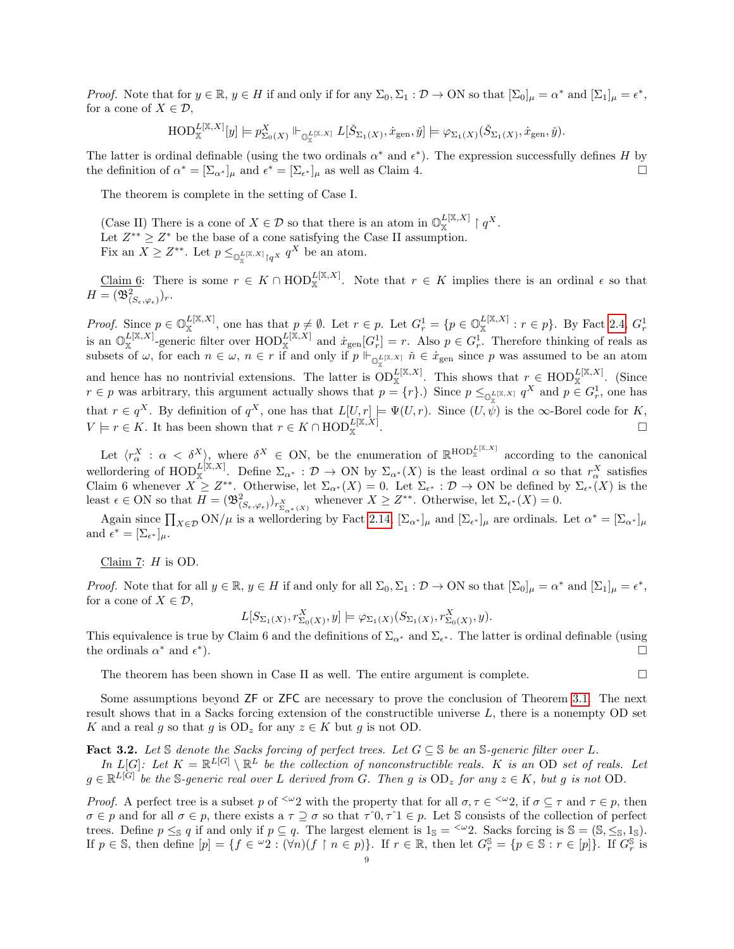*Proof.* Note that for  $y \in \mathbb{R}$ ,  $y \in H$  if and only if for any  $\Sigma_0$ ,  $\Sigma_1 : \mathcal{D} \to ON$  so that  $[\Sigma_0]_\mu = \alpha^*$  and  $[\Sigma_1]_\mu = \epsilon^*$ , for a cone of  $X \in \mathcal{D}$ ,

$$
\mathrm{HOD}^{L[\mathbb{X},X]}_{\mathbb{X}}[y] \models p_{\Sigma_0(X)}^X \Vdash_{\mathbb{O}_{\mathbb{X}}^{L[\mathbb{X},X]}} L[\check{S}_{\Sigma_1(X)},\dot{x}_{\text{gen}},\check{y}] \models \varphi_{\Sigma_1(X)}(\check{S}_{\Sigma_1(X)},\dot{x}_{\text{gen}},\check{y}).
$$

The latter is ordinal definable (using the two ordinals  $\alpha^*$  and  $\epsilon^*$ ). The expression successfully defines H by the definition of  $\alpha^* = [\Sigma_{\alpha^*}]_{\mu}$  and  $\epsilon^* = [\Sigma_{\epsilon^*}]_{\mu}$  as well as Claim 4.

The theorem is complete in the setting of Case I.

(Case II) There is a cone of  $X \in \mathcal{D}$  so that there is an atom in  $\mathbb{O}_{\mathbb{X}}^{L[\mathbb{X},X]} \restriction q^X$ . Let  $Z^{**} \geq Z^*$  be the base of a cone satisfying the Case II assumption. Fix an  $X \geq Z^{**}$ . Let  $p \leq_{\mathbb{Q}_{\mathbb{X}}^{L[\mathbb{X},X]} \mid q^X} q^X$  be an atom.

Claim 6: There is some  $r \in K \cap \text{HOD}_{\mathbb{X}}^{L[\mathbb{X},X]}$ . Note that  $r \in K$  implies there is an ordinal  $\epsilon$  so that  $H = (\mathfrak{B}^2_{(S_\epsilon, \varphi_\epsilon)})_r.$ 

*Proof.* Since  $p \in \mathbb{O}_{\mathbb{X}}^{L[\mathbb{X},X]}$ , one has that  $p \neq \emptyset$ . Let  $r \in p$ . Let  $G_r^1 = \{p \in \mathbb{O}_{\mathbb{X}}^{L[\mathbb{X},X]} : r \in p\}$ . By Fact [2.4,](#page-3-2)  $G_r^1$  is an  $\mathbb{O}_{\mathbb{X}}^{L[\mathbb{X},X]}$ -generic filter over  $\text{HOD}_{\mathbb{X}}^{L[\mathbb{X},X]}$ subsets of  $\omega$ , for each  $n \in \omega$ ,  $n \in r$  if and only if  $p \Vdash_{\mathbb{O}_{\mathbb{X}}^{\mathbb{L}[\mathbb{X},X]}} \check{n} \in \dot{x}_{\text{gen}}$  since p was assumed to be an atom and hence has no nontrivial extensions. The latter is  $OD_{\mathbb{X}}^{L[\mathbb{X},X]}$ . This shows that  $r \in \text{HOD}_{\mathbb{X}}^{L[\mathbb{X},X]}$ . (Since  $r \in p$  was arbitrary, this argument actually shows that  $p = \{r\}$ .) Since  $p \leq_{\mathbb{Q}_{\mathbb{X}}^{\mathbb{Z}[\mathbb{X},\mathbb{X}]} q^X$  and  $p \in G_r^1$ , one has that  $r \in q^X$ . By definition of  $q^X$ , one has that  $L[U, r] \models \Psi(U, r)$ . Since  $(U, \psi)$  is the  $\infty$ -Borel code for K,  $V \models r \in K$ . It has been shown that  $r \in K \cap \text{HOD}_{\mathbb{X}}^{L[\mathbb{X}, X]}$ .

Let  $\langle r_\alpha^X : \alpha < \delta^X \rangle$ , where  $\delta^X \in \text{ON}$ , be the enumeration of  $\mathbb{R}^{\text{HOD}_{\mathbb{X}}^{\text{L}[X,X]}}$  according to the canonical wellordering of  $\text{HOD}_{\mathbb{X}}^{L[X,X]}$ . Define  $\Sigma_{\alpha^*}: \mathcal{D} \to \text{ON}$  by  $\Sigma_{\alpha^*}(X)$  is the least ordinal  $\alpha$  so that  $r_\alpha^X$  satisfies Claim 6 whenever  $X \geq Z^{**}$ . Otherwise, let  $\Sigma_{\alpha^*}(X) = 0$ . Let  $\Sigma_{\epsilon^*}: \mathcal{D} \to \text{ON}$  be defined by  $\Sigma_{\epsilon^*}(X)$  is the least  $\epsilon \in \text{ON}$  so that  $H = (\mathfrak{B}^2_{(S_{\epsilon},\varphi_{\epsilon})})_{r_{\Sigma_{\alpha^*}(X)}^X}$  whenever  $X \geq Z^{**}$ . Otherwise, let  $\Sigma_{\epsilon^*}(X) = 0$ .

Again since  $\prod_{X \in \mathcal{D}} \text{ON}/\mu$  is a wellordering by Fact [2.14,](#page-5-1)  $[\Sigma_{\alpha^*}]_{\mu}$  and  $[\Sigma_{\epsilon^*}]_{\mu}$  are ordinals. Let  $\alpha^* = [\Sigma_{\alpha^*}]_{\mu}$ and  $\epsilon^* = [\Sigma_{\epsilon^*}]_{\mu}$ .

### Claim 7:  $H$  is OD.

*Proof.* Note that for all  $y \in \mathbb{R}$ ,  $y \in H$  if and only for all  $\Sigma_0$ ,  $\Sigma_1 : \mathcal{D} \to ON$  so that  $[\Sigma_0]_\mu = \alpha^*$  and  $[\Sigma_1]_\mu = \epsilon^*$ , for a cone of  $X \in \mathcal{D}$ ,

$$
L[S_{\Sigma_1(X)}, r_{\Sigma_0(X)}^X, y] \models \varphi_{\Sigma_1(X)}(S_{\Sigma_1(X)}, r_{\Sigma_0(X)}^X, y).
$$

This equivalence is true by Claim 6 and the definitions of  $\Sigma_{\alpha^*}$  and  $\Sigma_{\epsilon^*}$ . The latter is ordinal definable (using the ordinals  $\alpha^*$  and  $\epsilon^*$ ).

The theorem has been shown in Case II as well. The entire argument is complete.  $\Box$ 

Some assumptions beyond ZF or ZFC are necessary to prove the conclusion of Theorem [3.1.](#page-5-0) The next result shows that in a Sacks forcing extension of the constructible universe L, there is a nonempty OD set K and a real g so that g is  $OD_z$  for any  $z \in K$  but g is not OD.

<span id="page-8-0"></span>Fact 3.2. Let S denote the Sacks forcing of perfect trees. Let  $G \subseteq S$  be an S-generic filter over L.

In  $L[G]$ : Let  $K = \mathbb{R}^{L[G]} \setminus \mathbb{R}^L$  be the collection of nonconstructible reals. K is an OD set of reals. Let  $g \in \mathbb{R}^{L[G]}$  be the S-generic real over L derived from G. Then g is  $OD_z$  for any  $z \in K$ , but g is not OD.

*Proof.* A perfect tree is a subset p of  $\leq \omega_2$  with the property that for all  $\sigma, \tau \in \leq \omega_2$ , if  $\sigma \subseteq \tau$  and  $\tau \in p$ , then  $\sigma \in p$  and for all  $\sigma \in p$ , there exists a  $\tau \supseteq \sigma$  so that  $\tau \hat{\;} 0, \tau \hat{\;} 1 \in p$ . Let S consists of the collection of perfect trees. Define  $p \leq_{\mathbb{S}} q$  if and only if  $p \subseteq q$ . The largest element is  $1_{\mathbb{S}} = \langle \omega_2 \rangle$ . Sacks forcing is  $\mathbb{S} = (\mathbb{S}, \leq_{\mathbb{S}}, 1_{\mathbb{S}})$ . If  $p \in \mathbb{S}$ , then define  $[p] = \{f \in {}^{\omega}2 : (\forall n)(f \upharpoonright n \in p)\}\$ . If  $r \in \mathbb{R}$ , then let  $G_r^{\mathbb{S}} = \{p \in \mathbb{S} : r \in [p]\}\$ . If  $G_r^{\mathbb{S}}$  is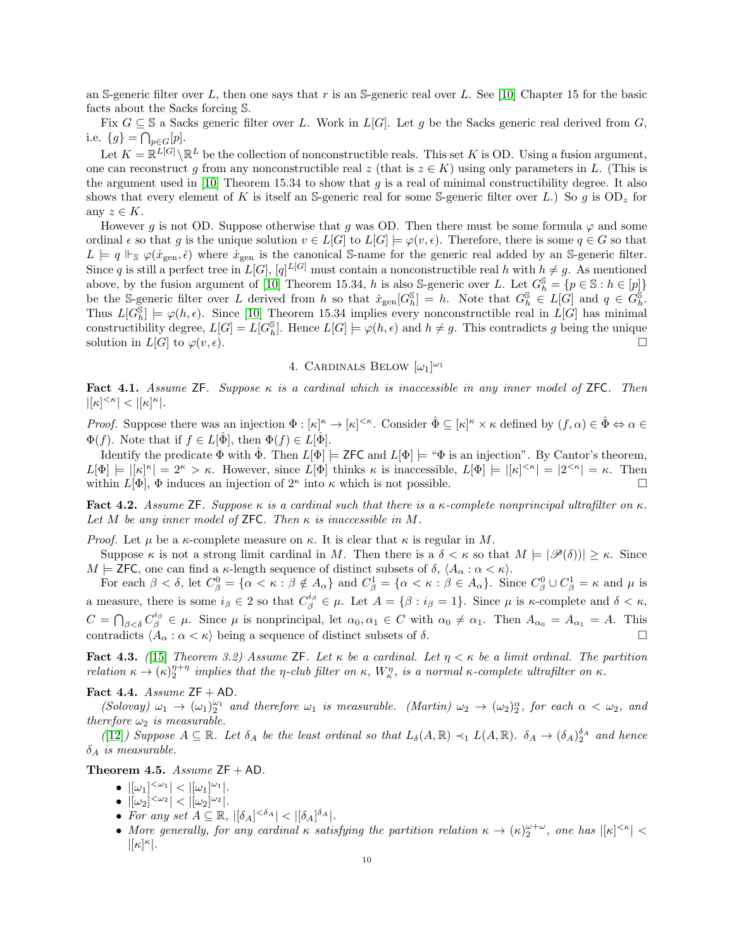an S-generic filter over L, then one says that r is an S-generic real over L. See [\[10\]](#page-26-14) Chapter 15 for the basic facts about the Sacks forcing S.

Fix  $G \subseteq \mathbb{S}$  a Sacks generic filter over L. Work in  $L[G]$ . Let g be the Sacks generic real derived from G, i.e.  $\{g\} = \bigcap_{p \in G} [p].$ 

Let  $K = \mathbb{R}^{L[G]} \backslash \mathbb{R}^L$  be the collection of nonconstructible reals. This set K is OD. Using a fusion argument, one can reconstruct g from any nonconstructible real z (that is  $z \in K$ ) using only parameters in L. (This is the argument used in [\[10\]](#page-26-14) Theorem 15.34 to show that q is a real of minimal constructibility degree. It also shows that every element of K is itself an S-generic real for some S-generic filter over L.) So g is  $OD_z$  for any  $z \in K$ .

However g is not OD. Suppose otherwise that g was OD. Then there must be some formula  $\varphi$  and some ordinal  $\epsilon$  so that g is the unique solution  $v \in L[G]$  to  $L[G] \models \varphi(v, \epsilon)$ . Therefore, there is some  $q \in G$  so that  $L \models q \Vdash_{\mathcal{S}} \varphi(\dot{x}_{\text{gen}}, \check{\epsilon})$  where  $\dot{x}_{\text{gen}}$  is the canonical S-name for the generic real added by an S-generic filter. Since q is still a perfect tree in  $L[G], [q]^{L[G]}$  must contain a nonconstructible real h with  $h \neq g$ . As mentioned above, by the fusion argument of [\[10\]](#page-26-14) Theorem 15.34, h is also S-generic over L. Let  $G_h^{\mathbb{S}} = \{p \in \mathbb{S} : h \in [p]\}$ be the S-generic filter over L derived from h so that  $x_{gen}[G_h^{\mathcal{S}}] = h$ . Note that  $G_h^{\mathcal{S}} \in L[G]$  and  $q \in G_h^{\mathcal{S}}$ . Thus  $L[G_h^{\mathcal{S}}] \models \varphi(h,\epsilon)$ . Since [\[10\]](#page-26-14) Theorem 15.34 implies every nonconstructible real in  $L[G]$  has minimal constructibility degree,  $L[G] = L[G_h^{\mathbb{S}}]$ . Hence  $L[G] \models \varphi(h, \epsilon)$  and  $h \neq g$ . This contradicts g being the unique solution in  $L[G]$  to  $\varphi(v,\epsilon)$ .

# 4. CARDINALS BELOW  $[\omega_1]^{\omega_1}$

<span id="page-9-0"></span>Fact 4.1. Assume ZF. Suppose  $\kappa$  is a cardinal which is inaccessible in any inner model of ZFC. Then  $|[\kappa]^{<\kappa}| < |[\kappa]^{\kappa}|.$ 

*Proof.* Suppose there was an injection  $\Phi : [\kappa]^\kappa \to [\kappa]^{<\kappa}$ . Consider  $\hat{\Phi} \subseteq [\kappa]^\kappa \times \kappa$  defined by  $(f, \alpha) \in \hat{\Phi} \Leftrightarrow \alpha \in$  $\Phi(f)$ . Note that if  $f \in L[\Phi]$ , then  $\Phi(f) \in L[\Phi]$ .

Identify the predicate  $\Phi$  with  $\hat{\Phi}$ . Then  $L[\Phi] \models$  ZFC and  $L[\Phi] \models$  " $\Phi$  is an injection". By Cantor's theorem,  $L[\Phi] \models |[\kappa]^{\kappa}] = 2^{\kappa} > \kappa$ . However, since  $L[\Phi]$  thinks  $\kappa$  is inaccessible,  $L[\Phi] \models |[\kappa]^{\langle \kappa]} = |2^{\langle \kappa]}| = \kappa$ . Then within  $L[\Phi]$ ,  $\Phi$  induces an injection of  $2^{\kappa}$  into  $\kappa$  which is not possible.

<span id="page-9-2"></span>Fact 4.2. Assume ZF. Suppose  $\kappa$  is a cardinal such that there is a  $\kappa$ -complete nonprincipal ultrafilter on  $\kappa$ . Let M be any inner model of **ZFC**. Then  $\kappa$  is inaccessible in M.

*Proof.* Let  $\mu$  be a  $\kappa$ -complete measure on  $\kappa$ . It is clear that  $\kappa$  is regular in M.

Suppose  $\kappa$  is not a strong limit cardinal in M. Then there is a  $\delta < \kappa$  so that  $M \models |\mathscr{P}(\delta)| \geq \kappa$ . Since  $M \models$  ZFC, one can find a  $\kappa$ -length sequence of distinct subsets of  $\delta$ ,  $\langle A_\alpha : \alpha < \kappa \rangle$ .

For each  $\beta < \delta$ , let  $C_{\beta}^0 = {\alpha < \kappa : \beta \notin A_{\alpha}}$  and  $C_{\beta}^1 = {\alpha < \kappa : \beta \in A_{\alpha}}$ . Since  $C_{\beta}^0 \cup C_{\beta}^1 = \kappa$  and  $\mu$  is a measure, there is some  $i_{\beta} \in 2$  so that  $C_{\beta}^{i_{\beta}} \in \mu$ . Let  $A = \{\beta : i_{\beta} = 1\}$ . Since  $\mu$  is  $\kappa$ -complete and  $\delta < \kappa$ ,  $C = \bigcap_{\beta < \delta} C_{\beta}^{i_{\beta}} \in \mu$ . Since  $\mu$  is nonprincipal, let  $\alpha_0, \alpha_1 \in C$  with  $\alpha_0 \neq \alpha_1$ . Then  $A_{\alpha_0} = A_{\alpha_1} = A$ . This contradicts  $\langle A_{\alpha} : \alpha < \kappa \rangle$  being a sequence of distinct subsets of  $\delta$ .

**Fact 4.3.** ([\[15\]](#page-26-15) Theorem 3.2) Assume ZF. Let  $\kappa$  be a cardinal. Let  $\eta < \kappa$  be a limit ordinal. The partition relation  $\kappa \to (\kappa)_2^{\eta+\eta}$  implies that the  $\eta$ -club filter on  $\kappa$ ,  $W_\kappa^\eta$ , is a normal  $\kappa$ -complete ultrafilter on  $\kappa$ .

### Fact 4.4. Assume  $ZF + AD$ .

(Solovay)  $\omega_1 \to (\omega_1)_2^{\omega_1}$  and therefore  $\omega_1$  is measurable. (Martin)  $\omega_2 \to (\omega_2)_2^{\alpha}$ , for each  $\alpha < \omega_2$ , and therefore  $\omega_2$  is measurable.

([\[12\]](#page-26-16)) Suppose  $A \subseteq \mathbb{R}$ . Let  $\delta_A$  be the least ordinal so that  $L_{\delta}(A,\mathbb{R}) \prec_1 L(A,\mathbb{R})$ .  $\delta_A \to (\delta_A)_{2}^{\delta_A}$  and hence  $\delta_A$  is measurable.

<span id="page-9-1"></span>Theorem 4.5. Assume  $ZF + AD$ .

- $|[\omega_1]^{<\omega_1}| < |[\omega_1]^{\omega_1}|.$
- $|[\omega_2]^{<\omega_2}| < |[\omega_2]^{\omega_2}|$ .
- For any set  $A \subseteq \mathbb{R}$ ,  $|[\delta_A]^{<\delta_A}| < |[\delta_A]^{\delta_A}|$ .
- More generally, for any cardinal  $\kappa$  satisfying the partition relation  $\kappa \to (\kappa)_{2}^{\omega+\omega}$ , one has  $|[\kappa]^{<\kappa}| <$  $|[\kappa]^{\kappa}|.$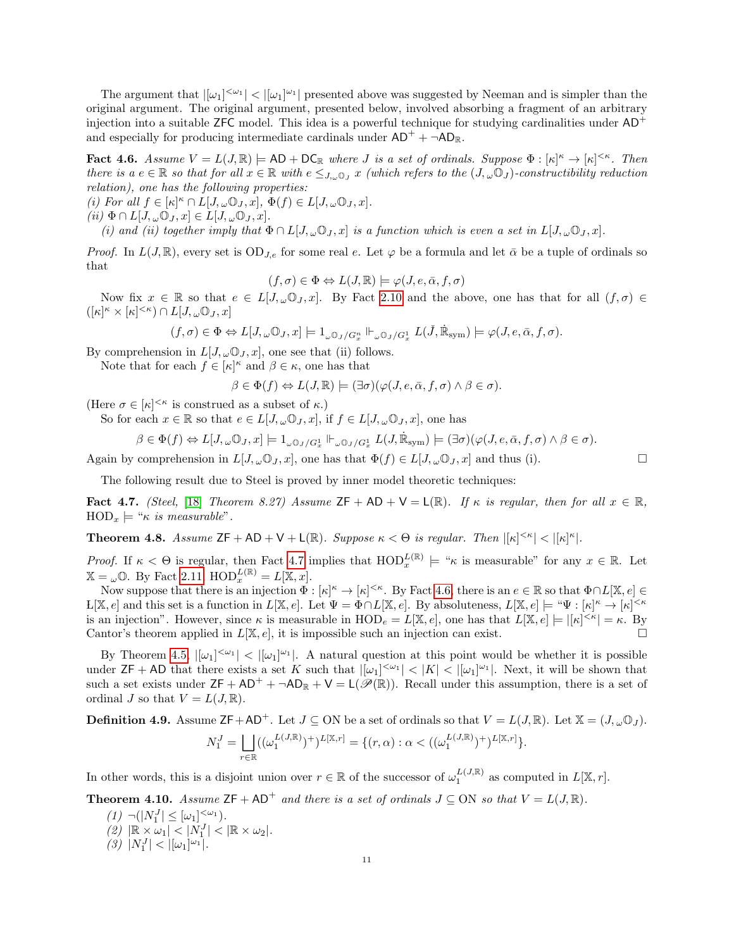The argument that  $|[\omega_1]^{<\omega_1}| < |[\omega_1]^{\omega_1}|$  presented above was suggested by Neeman and is simpler than the original argument. The original argument, presented below, involved absorbing a fragment of an arbitrary injection into a suitable ZFC model. This idea is a powerful technique for studying cardinalities under  $AD^+$ and especially for producing intermediate cardinals under  $AD^+ + \neg AD_R$ .

<span id="page-10-2"></span>**Fact 4.6.** Assume  $V = L(J, \mathbb{R}) \models \text{AD} + \text{DC}_{\mathbb{R}}$  where *J* is a set of ordinals. Suppose  $\Phi : [\kappa]^{\kappa} \to [\kappa]^{<\kappa}$ . Then there is a  $e \in \mathbb{R}$  so that for all  $x \in \mathbb{R}$  with  $e \leq_{J,\omega} 0$ , x (which refers to the  $(J,\omega 0)$ -constructibility reduction relation), one has the following properties:

(i) For all  $f \in [\kappa]^{\kappa} \cap L[J, \omega \mathbb{O}_J, x], \Phi(f) \in L[J, \omega \mathbb{O}_J, x].$ 

(ii)  $\Phi \cap L[J, \omega \mathbb{O}_J, x] \in L[J, \omega \mathbb{O}_J, x]$ .

(i) and (ii) together imply that  $\Phi \cap L[J, \omega \mathbb{O}_J, x]$  is a function which is even a set in  $L[J, \omega \mathbb{O}_J, x]$ .

Proof. In  $L(J, \mathbb{R})$ , every set is  $OD_{J,e}$  for some real e. Let  $\varphi$  be a formula and let  $\bar{\alpha}$  be a tuple of ordinals so that

$$
(f, \sigma) \in \Phi \Leftrightarrow L(J, \mathbb{R}) \models \varphi(J, e, \bar{\alpha}, f, \sigma)
$$

Now fix  $x \in \mathbb{R}$  so that  $e \in L[J,\omega\mathbb{O}_J,x]$ . By Fact [2.10](#page-4-0) and the above, one has that for all  $(f,\sigma) \in$  $([\kappa]^\kappa \times [\kappa]^{<\kappa}) \cap L[J, \omega \mathbb{O}_J, x]$ 

$$
(f, \sigma) \in \Phi \Leftrightarrow L[J, \omega \mathbb{O}_J, x] \models 1_{\omega \mathbb{O}_J/G_x^n} \Vdash_{\omega \mathbb{O}_J/G_x^1} L(\check{J}, \dot{\mathbb{R}}_{sym}) \models \varphi(J, e, \bar{\alpha}, f, \sigma).
$$

By comprehension in  $L[J, \omega \mathbb{O}_J, x]$ , one see that (ii) follows.

Note that for each  $f \in [\kappa]^{\kappa}$  and  $\beta \in \kappa$ , one has that

$$
\beta \in \Phi(f) \Leftrightarrow L(J, \mathbb{R}) \models (\exists \sigma)(\varphi(J, e, \bar{\alpha}, f, \sigma) \land \beta \in \sigma).
$$

(Here  $\sigma \in [\kappa]^{<\kappa}$  is construed as a subset of  $\kappa$ .)

So for each  $x \in \mathbb{R}$  so that  $e \in L[J, \omega \mathbb{O}_J, x]$ , if  $f \in L[J, \omega \mathbb{O}_J, x]$ , one has

$$
\beta\in \Phi(f)\Leftrightarrow L[J,\omega\mathbb{O}_J,x]\models 1_{\omega\mathbb{O}_J/G_x^1}\Vdash_{\omega\mathbb{O}_J/G_x^1} L(J,\dot{\mathbb{R}}_{\mathrm{sym}})\models (\exists\sigma)(\varphi(J,e,\bar{\alpha},f,\sigma)\wedge \beta\in\sigma).
$$

Again by comprehension in  $L[J, \omega \mathbb{O}_J, x]$ , one has that  $\Phi(f) \in L[J, \omega \mathbb{O}_J, x]$  and thus (i).

The following result due to Steel is proved by inner model theoretic techniques:

<span id="page-10-1"></span>Fact 4.7. (Steel, [\[18\]](#page-26-17) Theorem 8.27) Assume  $ZF + AD + V = L(\mathbb{R})$ . If  $\kappa$  is regular, then for all  $x \in \mathbb{R}$ ,  $HOD_x \models "~\kappa$ is measurable".$ 

**Theorem 4.8.** Assume  $ZF + AD + V + L(\mathbb{R})$ . Suppose  $\kappa < \Theta$  is regular. Then  $|[\kappa]^{<\kappa}| < |[\kappa]^{\kappa}|$ .

Proof. If  $\kappa < \Theta$  is regular, then Fact [4.7](#page-10-1) implies that  $\text{HOD}_x^{L(\mathbb{R})} \models " \kappa$  is measurable" for any  $x \in \mathbb{R}$ . Let  $\mathbb{X} = \omega \mathbb{O}$ . By Fact [2.11,](#page-4-3)  $\mathrm{HOD}_x^{L(\mathbb{R})} = L[\mathbb{X}, x]$ .

Now suppose that there is an injection  $\Phi : [\kappa]^{\kappa} \to [\kappa]^{\leq \kappa}$ . By Fact [4.6,](#page-10-2) there is an  $e \in \mathbb{R}$  so that  $\Phi \cap L[\mathbb{X}, e] \in$  $L[\mathbb{X}, e]$  and this set is a function in  $L[\mathbb{X}, e]$ . Let  $\Psi = \tilde{\Phi} \cap L[\mathbb{X}, e]$ . By absoluteness,  $L[\mathbb{X}, e] \models ``\Psi : [\kappa]^{\kappa} \to [\kappa]^{<\kappa}$ is an injection". However, since  $\kappa$  is measurable in  $\text{HOD}_e = L[\mathbb{X}, e]$ , one has that  $L[\mathbb{X}, e] \models |[\kappa]^{<\kappa}| = \kappa$ . By Cantor's theorem applied in  $L[X, e]$ , it is impossible such an injection can exist.

By Theorem [4.5,](#page-9-1)  $|[\omega_1]^{<\omega_1}| < |[\omega_1]^{\omega_1}|$ . A natural question at this point would be whether it is possible under  $\mathsf{ZF} + \mathsf{AD}$  that there exists a set K such that  $|[\omega_1]^{<\omega_1}| < |K| < |[\omega_1]^{\omega_1}|$ . Next, it will be shown that such a set exists under  $ZF + AD^+ + \neg AD_R + V = L(\mathscr{P}(\mathbb{R}))$ . Recall under this assumption, there is a set of ordinal J so that  $V = L(J, \mathbb{R})$ .

**Definition 4.9.** Assume  $\mathsf{ZF}+\mathsf{AD}^+$ . Let  $J\subseteq\mathsf{ON}$  be a set of ordinals so that  $V=L(J,\mathbb{R})$ . Let  $\mathbb{X}=(J,\omega\mathbb{O}_J)$ .

$$
N_1^J = \bigsqcup_{r \in \mathbb{R}} ((\omega_1^{L(J,\mathbb{R})})^+)^{L[\mathbb{X},r]} = \{(r,\alpha) : \alpha < ((\omega_1^{L(J,\mathbb{R})})^+)^{L[\mathbb{X},r]}\}.
$$

In other words, this is a disjoint union over  $r \in \mathbb{R}$  of the successor of  $\omega_1^{L(J,\mathbb{R})}$  as computed in  $L[\mathbb{X}, r]$ .

<span id="page-10-0"></span>**Theorem 4.10.** Assume  $ZF + AD^+$  and there is a set of ordinals  $J \subseteq ON$  so that  $V = L(J, \mathbb{R})$ .

 $(1)$   $\neg(|N_1^J| \leq [\omega_1]^{<\omega_1}).$  $(2)$   $|\mathbb{R} \times \omega_1|$   $\lt$   $|N_1^J|$   $\lt$   $|\mathbb{R} \times \omega_2|$ . (3)  $|N_1^J| < |[\omega_1]^{\omega_1}|$ .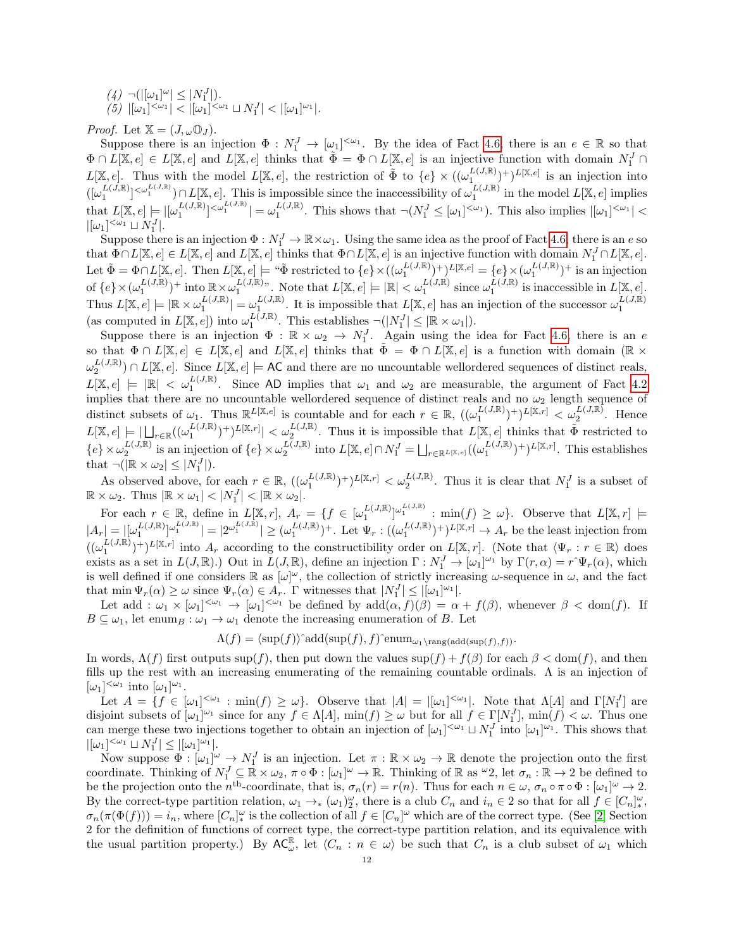$(4)$   $\neg(|[\omega_1]^{\omega}] \leq |N_1^J|$ ). (5)  $|[\omega_1]^{<\omega_1}| < |[\omega_1]^{<\omega_1} \sqcup N_1^J| < |[\omega_1]^{\omega_1}|.$ 

*Proof.* Let  $X = (J, \omega \mathbb{O}_J)$ .

Suppose there is an injection  $\Phi: N_1^J \to [\omega_1]^{<\omega_1}$ . By the idea of Fact [4.6,](#page-10-2) there is an  $e \in \mathbb{R}$  so that  $\Phi \cap L[\mathbb{X}, e] \in L[\mathbb{X}, e]$  and  $L[\mathbb{X}, e]$  thinks that  $\tilde{\Phi} = \Phi \cap L[\mathbb{X}, e]$  is an injective function with domain  $N_1^J \cap$  $L[\mathbb{X}, e]$ . Thus with the model  $L[\mathbb{X}, e]$ , the restriction of  $\tilde{\Phi}$  to  $\{e\} \times ((\omega_1^{L(J,\mathbb{R})})^+)^{L[\mathbb{X}, e]}$  is an injection into  $([\omega_1^{L(j,\mathbb{R}})^{<\omega_1^{L(j,\mathbb{R})}}) \cap L[\mathbb{X},e].$  This is impossible since the inaccessibility of  $\omega_1^{L(j,\mathbb{R})}$  in the model  $L[\mathbb{X},e]$  implies that  $L[\mathbb{X},e] \models |[\omega_1^{L(J,\mathbb{R})}]^{\langle \omega_1^{L(J,\mathbb{R})}}| = \omega_1^{L(J,\mathbb{R})}$ . This shows that  $\neg(N_1^J \leq [\omega_1]^{\langle \omega_1}])$ . This also implies  $|[\omega_1]^{\langle \omega_1} |$  $|[\omega_1]^{<\omega_1} \sqcup N_1^J|.$ 

Suppose there is an injection  $\Phi: N_1^J \to \mathbb{R} \times \omega_1$ . Using the same idea as the proof of Fact [4.6,](#page-10-2) there is an e so that  $\Phi \cap L[\mathbb{X}, e] \in L[\mathbb{X}, e]$  and  $L[\mathbb{X}, e]$  thinks that  $\Phi \cap L[\mathbb{X}, e]$  is an injective function with domain  $N_1^J \cap L[\mathbb{X}, e]$ . Let  $\tilde{\Phi} = \Phi \cap L[\mathbb{X}, e]$ . Then  $L[\mathbb{X}, e] \models ``\tilde{\Phi}$  restricted to  $\{e\} \times ((\omega_1^{L(J, \mathbb{R})})^+)^{L[\mathbb{X}, e]} = \{e\} \times (\omega_1^{L(J, \mathbb{R})})^+$  is an injection of  $\{e\} \times (\omega_1^{L(J,\mathbb{R})})^+$  into  $\mathbb{R} \times \omega_1^{L(J,\mathbb{R})}$ . Note that  $L[\mathbb{X},e] \models |\mathbb{R}| < \omega_1^{L(J,\mathbb{R})}$  since  $\omega_1^{L(J,\mathbb{R})}$  is inaccessible in  $L[\mathbb{X},e]$ . Thus  $L[\mathbb{X}, e] \models |\mathbb{R} \times \omega_1^{L(J, \mathbb{R})}| = \omega_1^{L(J, \mathbb{R})}$ . It is impossible that  $L[\mathbb{X}, e]$  has an injection of the successor  $\omega_1^{L(J, \mathbb{R})}$ (as computed in  $L[\mathbb{X}, e]$ ) into  $\omega_1^{L(\overline{J}, \mathbb{R})}$ . This establishes  $\neg(|N_1^J| \leq |\mathbb{R} \times \omega_1|)$ .

Suppose there is an injection  $\Phi : \mathbb{R} \times \omega_2 \to N_1^J$ . Again using the idea for Fact [4.6,](#page-10-2) there is an e so that  $\Phi \cap L[\mathbb{X},e] \in L[\mathbb{X},e]$  and  $L[\mathbb{X},e]$  thinks that  $\tilde{\Phi} = \Phi \cap L[\mathbb{X},e]$  is a function with domain  $(\mathbb{R} \times$  $\omega_2^{L(J,\mathbb{R})}) \cap L[\mathbb{X},e]$ . Since  $L[\mathbb{X},e] \models \mathsf{AC}$  and there are no uncountable wellordered sequences of distinct reals,  $L[\mathbb{X}, e] \models |\mathbb{R}| < \omega_1^{L(J,\mathbb{R})}$ . Since AD implies that  $\omega_1$  and  $\omega_2$  are measurable, the argument of Fact [4.2](#page-9-2)  $L[\mathbb{A}, \mathcal{C}] \models |\mathbb{A}| \leq \omega_1$ . Since AD implies that  $\omega_1$  and  $\omega_2$  are measurable, the argument of ract 4.2<br>implies that there are no uncountable wellordered sequence of distinct reals and no  $\omega_2$  length sequence o distinct subsets of  $\omega_1$ . Thus  $\mathbb{R}^{L[\mathbb{X},e]}$  is countable and for each  $r \in \mathbb{R}$ ,  $((\omega_1^{L(J,\mathbb{R})})^+)^{L[\mathbb{X},r]} < \omega_2^{L(J,\mathbb{R})}$ . Hence  $L[\mathbb{X}, e] \models |\bigcup_{r \in \mathbb{R}} ((\omega_1^{L(J,\mathbb{R})})^+)^{L[\mathbb{X},r]}| < \omega_2^{L(J,\mathbb{R})}$ . Thus it is impossible that  $L[\mathbb{X}, e]$  thinks that  $\widetilde{\Phi}$  restricted to  $\{e\} \times \omega_2^{L(J,\mathbb{R})}$  is an injection of  $\{e\} \times \omega_2^{L(J,\mathbb{R})}$  into  $L[\mathbb{X},e] \cap N_1^J = \bigsqcup_{r \in \mathbb{R}^{L[\mathbb{X},e]}} ((\omega_1^{L(J,\mathbb{R})})^+)^{L[\mathbb{X},r]}$ . This establishes that  $\neg(|\mathbb{R} \times \omega_2| \leq |N_1^J|).$ 

As observed above, for each  $r \in \mathbb{R}$ ,  $((\omega_1^{L(J,\mathbb{R})})^+)^{L[\mathbb{X},r]} < \omega_2^{L(J,\mathbb{R})}$ . Thus it is clear that  $N_1^J$  is a subset of  $\mathbb{R} \times \omega_2$ . Thus  $|\mathbb{R} \times \omega_1| < |N_1^J| < |\mathbb{R} \times \omega_2|$ .

For each  $r \in \mathbb{R}$ , define in  $L[\mathbb{X}, r]$ ,  $A_r = \{f \in [\omega_1^{L(J,\mathbb{R})}]^{\omega_1^{L(J,\mathbb{R})}} : \min(f) \geq \omega\}$ . Observe that  $L[\mathbb{X}, r] \models$  $|A_r| = |[\omega_1^{L(J,\mathbb{R})}]^{\omega_1^{L(J,\mathbb{R})}}| = |2^{\omega_1^{L(J,\mathbb{R})}}| \geq (\omega_1^{L(J,\mathbb{R})})^+$ . Let  $\Psi_r : ((\omega_1^{L(J,\mathbb{R})})^+)^{L[\mathbb{X},r]} \to A_r$  be the least injection from  $((\omega_1^{L(J,\mathbb{R})})^+)^{L(\mathbb{X},r]}$  into  $A_r$  according to the constructibility order on  $L[\mathbb{X},r]$ . (Note that  $\langle \Psi_r : r \in \mathbb{R} \rangle$  does exists as a set in  $L(J, \mathbb{R})$ .) Out in  $L(J, \mathbb{R})$ , define an injection  $\Gamma : N_1^J \to [\omega_1]^{\omega_1}$  by  $\Gamma(r, \alpha) = r^{\alpha} \Psi_r(\alpha)$ , which is well defined if one considers  $\mathbb R$  as  $[\omega]^\omega$ , the collection of strictly increasing  $\omega$ -sequence in  $\omega$ , and the fact that  $\min \Psi_r(\alpha) \geq \omega$  since  $\Psi_r(\alpha) \in A_r$ .  $\Gamma$  witnesses that  $|N_1^J| \leq |[\omega_1]^{\omega_1}|$ .

Let add :  $\omega_1 \times [\omega_1]^{<\omega_1} \to [\omega_1]^{<\omega_1}$  be defined by  $add(\alpha, f)(\beta) = \alpha + f(\beta)$ , whenever  $\beta < dom(f)$ . If  $B \subseteq \omega_1$ , let enum<sub>B</sub> :  $\omega_1 \rightarrow \omega_1$  denote the increasing enumeration of B. Let

$$
\Lambda(f) = \langle \sup(f) \rangle^{\hat{}} \text{add}(\sup(f), f) \hat{ } \text{enum}_{\omega_1 \setminus \text{rang}(\text{add}(\sup(f), f))}.
$$

In words,  $\Lambda(f)$  first outputs sup $(f)$ , then put down the values sup $(f) + f(\beta)$  for each  $\beta <$  dom(f), and then fills up the rest with an increasing enumerating of the remaining countable ordinals.  $\Lambda$  is an injection of  $[\omega_1]^{<\omega_1}$  into  $[\omega_1]^{\omega_1}$ .

Let  $A = \{f \in [\omega_1]^{<\omega_1} : \min(f) \ge \omega\}$ . Observe that  $|A| = |[\omega_1]^{<\omega_1}]$ . Note that  $\Lambda[A]$  and  $\Gamma[N_1^J]$  are disjoint subsets of  $[\omega_1]^{\omega_1}$  since for any  $f \in \Lambda[A]$ ,  $\min(f) \geq \omega$  but for all  $f \in \Gamma[N_1^J]$ ,  $\min(f) < \omega$ . Thus one can merge these two injections together to obtain an injection of  $[\omega_1]^{<\omega_1} \sqcup N_1^J$  into  $[\omega_1]^{\omega_1}$ . This shows that  $|[\omega_1]^{<\omega_1} \sqcup N_1^J| \leq |[\omega_1]^{\omega_1}|.$ 

Now suppose  $\Phi : [\omega_1]^{\omega} \to N_1^J$  is an injection. Let  $\pi : \mathbb{R} \times \omega_2 \to \mathbb{R}$  denote the projection onto the first coordinate. Thinking of  $N_1^J \subseteq \mathbb{R} \times \omega_2$ ,  $\pi \circ \Phi : [\omega_1]^\omega \to \mathbb{R}$ . Thinking of  $\mathbb{R}$  as  $\omega_2$ , let  $\sigma_n : \mathbb{R} \to 2$  be defined to be the projection onto the n<sup>th</sup>-coordinate, that is,  $\sigma_n(r) = r(n)$ . Thus for each  $n \in \omega$ ,  $\sigma_n \circ \pi \circ \Phi : [\omega_1]^\omega \to 2$ . By the correct-type partition relation,  $\omega_1 \to_{*} (\omega_1)_2^{\omega}$ , there is a club  $C_n$  and  $i_n \in 2$  so that for all  $f \in [C_n]_{*}^{\omega}$ ,  $\sigma_n(\pi(\Phi(f))) = i_n$ , where  $[C_n]_{\ast}^{\omega}$  is the collection of all  $f \in [C_n]^{\omega}$  which are of the correct type. (See [\[2\]](#page-26-2) Section 2 for the definition of functions of correct type, the correct-type partition relation, and its equivalence with the usual partition property.) By  $AC_{\omega}^{\mathbb{R}}$ , let  $\langle C_n : n \in \omega \rangle$  be such that  $C_n$  is a club subset of  $\omega_1$  which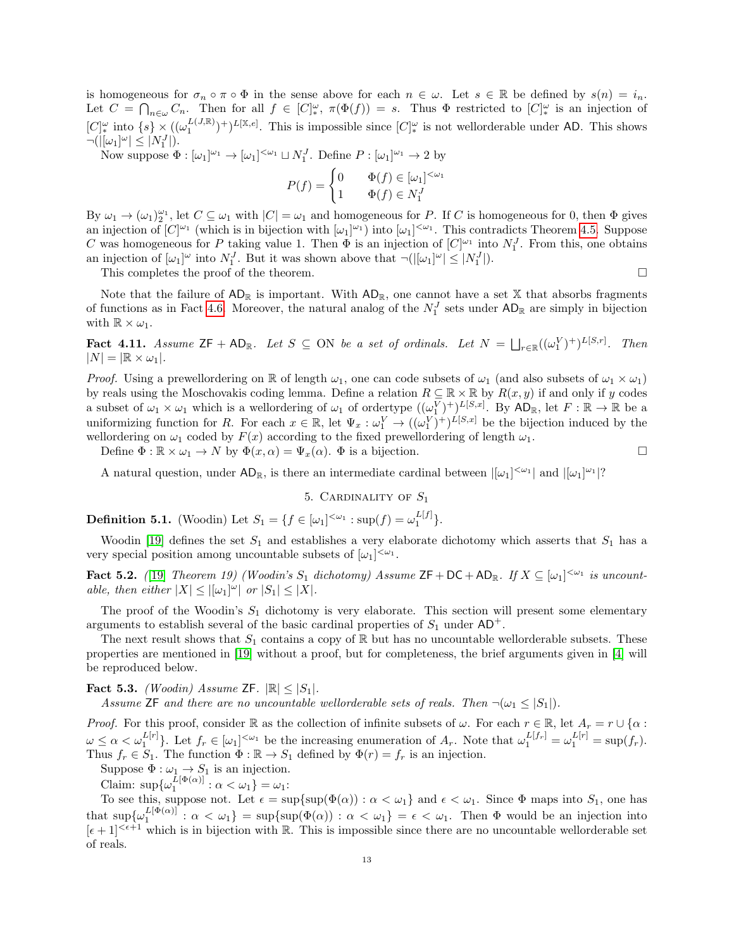is homogeneous for  $\sigma_n \circ \pi \circ \Phi$  in the sense above for each  $n \in \omega$ . Let  $s \in \mathbb{R}$  be defined by  $s(n) = i_n$ . Let  $C = \bigcap_{n \in \omega} C_n$ . Then for all  $f \in [C]_{*}^{\omega}$ ,  $\pi(\Phi(f)) = s$ . Thus  $\Phi$  restricted to  $[C]_{*}^{\omega}$  is an injection of  $[C]_{*}^{\omega}$  into  $\{s\}\times((\omega_1^{L(J,\mathbb{R})})^+)^{L[\mathbb{X},e]}$ . This is impossible since  $[C]_{*}^{\omega}$  is not wellorderable under AD. This shows  $\neg(|[\omega_1]^\omega| \leq |N_1^J|).$ 

Now suppose  $\Phi : [\omega_1]^{\omega_1} \to [\omega_1]^{<\omega_1} \sqcup N_1^J$ . Define  $P : [\omega_1]^{\omega_1} \to 2$  by

$$
P(f) = \begin{cases} 0 & \Phi(f) \in [\omega_1]^{<\omega_1} \\ 1 & \Phi(f) \in N_1^J \end{cases}
$$

By  $\omega_1 \to (\omega_1)_2^{\omega_1}$ , let  $C \subseteq \omega_1$  with  $|C| = \omega_1$  and homogeneous for P. If C is homogeneous for 0, then  $\Phi$  gives an injection of  $[C]^{\omega_1}$  (which is in bijection with  $[\omega_1]^{\omega_1}$ ) into  $[\omega_1]^{<\omega_1}$ . This contradicts Theorem [4.5.](#page-9-1) Suppose C was homogeneous for P taking value 1. Then  $\Phi$  is an injection of  $[C]^{\omega_1}$  into  $N_1^J$ . From this, one obtains an injection of  $[\omega_1]^\omega$  into  $N_1^J$ . But it was shown above that  $\neg(|[\omega_1]^\omega| \leq |N_1^J|)$ .

This completes the proof of the theorem.

Note that the failure of  $AD_{\mathbb{R}}$  is important. With  $AD_{\mathbb{R}}$ , one cannot have a set X that absorbs fragments of functions as in Fact [4.6.](#page-10-2) Moreover, the natural analog of the  $N_1^J$  sets under  $AD_{\mathbb{R}}$  are simply in bijection with  $\mathbb{R} \times \omega_1$ .

**Fact 4.11.** Assume  $ZF + AD_{\mathbb{R}}$ . Let  $S \subseteq ON$  be a set of ordinals. Let  $N = \bigsqcup_{r \in \mathbb{R}} ((\omega_1^V)^+)^{L[S,r]}$ . Then  $|N| = |\mathbb{R} \times \omega_1|.$ 

*Proof.* Using a prewellordering on R of length  $\omega_1$ , one can code subsets of  $\omega_1$  (and also subsets of  $\omega_1 \times \omega_1$ ) by reals using the Moschovakis coding lemma. Define a relation  $R \subseteq \mathbb{R} \times \mathbb{R}$  by  $R(x, y)$  if and only if y codes a subset of  $\omega_1 \times \omega_1$  which is a wellordering of  $\omega_1$  of ordertype  $((\omega_1^V)^+)^{L[S,x]}$ . By  $AD_{\mathbb{R}}$ , let  $F : \mathbb{R} \to \mathbb{R}$  be a uniformizing function for R. For each  $x \in \mathbb{R}$ , let  $\Psi_x : \omega_1^V \to ((\omega_1^V)^+)^{\tilde{L}[S,x]}$  be the bijection induced by the wellordering on  $\omega_1$  coded by  $F(x)$  according to the fixed prewellordering of length  $\omega_1$ .

Define  $\Phi : \mathbb{R} \times \omega_1 \to N$  by  $\Phi(x, \alpha) = \Psi_x(\alpha)$ .  $\Phi$  is a bijection.

A natural question, under  $AD_{\mathbb{R}}$ , is there an intermediate cardinal between  $|[\omega_1]^{<\omega_1}|$  and  $|[\omega_1]^{\omega_1}|^2$ 

## 5. CARDINALITY OF  $S_1$

<span id="page-12-0"></span>**Definition 5.1.** (Woodin) Let  $S_1 = \{ f \in [\omega_1]^{<\omega_1} : \sup(f) = \omega_1^{L[f]} \}.$ 

Woodin [\[19\]](#page-26-11) defines the set  $S_1$  and establishes a very elaborate dichotomy which asserts that  $S_1$  has a very special position among uncountable subsets of  $[\omega_1]^{<\omega_1}$ .

<span id="page-12-1"></span>**Fact 5.2.** ([\[19\]](#page-26-11) Theorem 19) (Woodin's  $S_1$  dichotomy) Assume  $\mathsf{ZF} + \mathsf{DC} + \mathsf{AD}_{\mathbb{R}}$ . If  $X \subseteq [\omega_1]^{<\omega_1}$  is uncountable, then either  $|X| \leq |[\omega_1]^{\omega}|$  or  $|S_1| \leq |X|$ .

The proof of the Woodin's  $S_1$  dichotomy is very elaborate. This section will present some elementary arguments to establish several of the basic cardinal properties of  $S_1$  under  $AD^+$ .

The next result shows that  $S_1$  contains a copy of  $\mathbb R$  but has no uncountable wellorderable subsets. These properties are mentioned in [\[19\]](#page-26-11) without a proof, but for completeness, the brief arguments given in [\[4\]](#page-26-8) will be reproduced below.

<span id="page-12-2"></span>**Fact 5.3.** (Woodin) Assume ZF.  $\mathbb{R} \leq |S_1|$ .

Assume ZF and there are no uncountable wellorderable sets of reals. Then  $\neg(\omega_1 \leq |S_1|)$ .

*Proof.* For this proof, consider R as the collection of infinite subsets of  $\omega$ . For each  $r \in \mathbb{R}$ , let  $A_r = r \cup \{\alpha :$  $\omega \leq \alpha < \omega_1^{L[r]}$ . Let  $f_r \in [\omega_1]^{<\omega_1}$  be the increasing enumeration of  $A_r$ . Note that  $\omega_1^{L[f_r]} = \omega_1^{L[r]} = \sup(f_r)$ . Thus  $f_r \in S_1$ . The function  $\Phi : \mathbb{R} \to S_1$  defined by  $\Phi(r) = f_r$  is an injection.

Suppose  $\Phi : \omega_1 \to S_1$  is an injection.

Claim:  $\sup \{ \omega_1^{L[\Phi(\alpha)]} : \alpha < \omega_1 \} = \omega_1$ :

To see this, suppose not. Let  $\epsilon = \sup{\sup{\phi(\alpha) : \alpha < \omega_1\}}$  and  $\epsilon < \omega_1$ . Since  $\Phi$  maps into  $S_1$ , one has that  $\sup \{\omega_1^{L[\Phi(\alpha)]}: \alpha < \omega_1\} = \sup \{\sup(\Phi(\alpha)) : \alpha < \omega_1\} = \epsilon < \omega_1$ . Then  $\Phi$  would be an injection into  $[\epsilon+1]^{<\epsilon+1}$  which is in bijection with R. This is impossible since there are no uncountable wellorderable set of reals.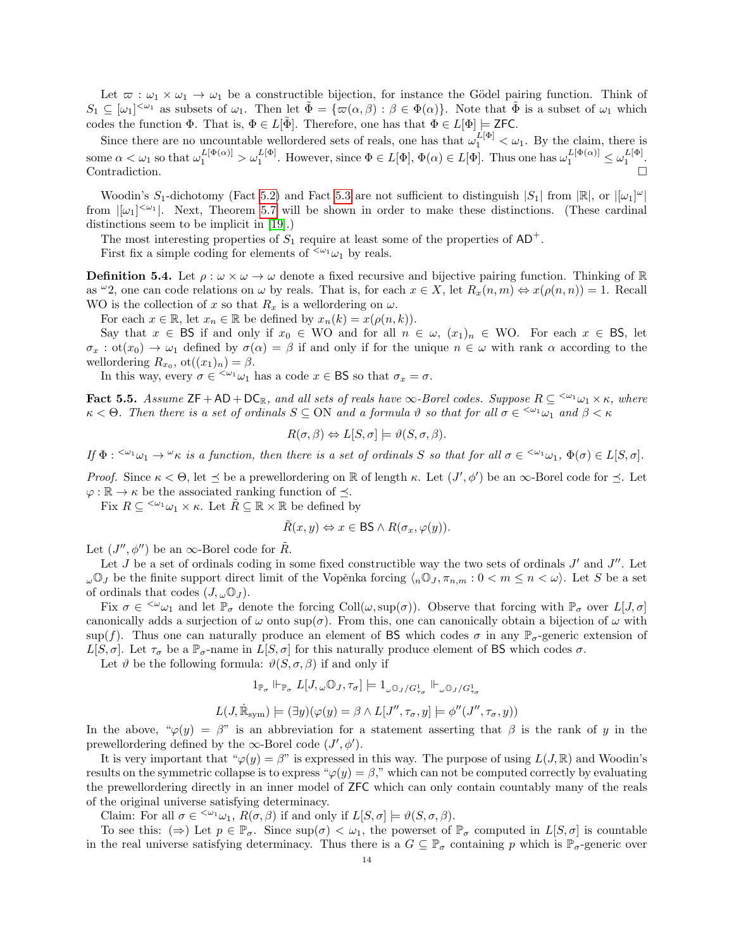Let  $\overline{\omega}: \omega_1 \times \omega_1 \to \omega_1$  be a constructible bijection, for instance the Gödel pairing function. Think of  $S_1 \subseteq [\omega_1]^{<\omega_1}$  as subsets of  $\omega_1$ . Then let  $\tilde{\Phi} = {\bar{\omega}(\alpha, \beta) : \beta \in \Phi(\alpha)}$ . Note that  $\tilde{\Phi}$  is a subset of  $\omega_1$  which codes the function  $\Phi$ . That is,  $\Phi \in L[\tilde{\Phi}]$ . Therefore, one has that  $\Phi \in L[\Phi] \models \mathsf{ZFC}$ .

Since there are no uncountable wellordered sets of reals, one has that  $\omega_1^{L[\Phi]} < \omega_1$ . By the claim, there is some  $\alpha < \omega_1$  so that  $\omega_1^{L[\Phi(\alpha)]} > \omega_1^{L[\Phi]}$ . However, since  $\Phi \in L[\Phi], \Phi(\alpha) \in L[\Phi]$ . Thus one has  $\omega_1^{L[\Phi(\alpha)]} \leq \omega_1^{L[\Phi]}$ . Contradiction.

Woodin's  $S_1$ -dichotomy (Fact [5.2\)](#page-12-1) and Fact [5.3](#page-12-2) are not sufficient to distinguish  $|S_1|$  from  $|\mathbb{R}|$ , or  $|[\omega_1]^{\omega}|$ from  $|[\omega_1]^{<\omega_1}|$ . Next, Theorem [5.7](#page-15-0) will be shown in order to make these distinctions. (These cardinal distinctions seem to be implicit in [\[19\]](#page-26-11).)

The most interesting properties of  $S_1$  require at least some of the properties of  $AD^+$ .

First fix a simple coding for elements of  $\langle \omega_1 \omega_1 \rangle$  by reals.

<span id="page-13-1"></span>**Definition 5.4.** Let  $\rho : \omega \times \omega \to \omega$  denote a fixed recursive and bijective pairing function. Thinking of R as  $\omega$ 2, one can code relations on  $\omega$  by reals. That is, for each  $x \in X$ , let  $R_x(n,m) \Leftrightarrow x(\rho(n,n)) = 1$ . Recall WO is the collection of x so that  $R_x$  is a wellordering on  $\omega$ .

For each  $x \in \mathbb{R}$ , let  $x_n \in \mathbb{R}$  be defined by  $x_n(k) = x(\rho(n, k)).$ 

Say that  $x \in \mathsf{BS}$  if and only if  $x_0 \in \mathsf{WO}$  and for all  $n \in \omega$ ,  $(x_1)_n \in \mathsf{WO}$ . For each  $x \in \mathsf{BS}$ , let  $\sigma_x : \text{ot}(x_0) \to \omega_1$  defined by  $\sigma(\alpha) = \beta$  if and only if for the unique  $n \in \omega$  with rank  $\alpha$  according to the wellordering  $R_{x_0}$ , ot $((x_1)_n) = \beta$ .

In this way, every  $\sigma \in \langle \omega_1 \omega_1 \rangle$  has a code  $x \in \mathsf{BS}$  so that  $\sigma_x = \sigma$ .

<span id="page-13-0"></span>**Fact 5.5.** Assume  $ZF + AD + DC_R$ , and all sets of reals have  $\infty$ -Borel codes. Suppose  $R \subseteq \leq^{\omega_1} \omega_1 \times \kappa$ , where  $\kappa < \Theta$ . Then there is a set of ordinals  $S \subseteq ON$  and a formula  $\vartheta$  so that for all  $\sigma \in \langle \omega_1 \omega_1 \rangle$  and  $\beta < \kappa$ 

$$
R(\sigma, \beta) \Leftrightarrow L[S, \sigma] \models \vartheta(S, \sigma, \beta).
$$

If  $\Phi$  :  $\leq^{\omega_1}\omega_1 \to \leq^{\omega} \kappa$  is a function, then there is a set of ordinals S so that for all  $\sigma \in \leq^{\omega_1}\omega_1$ ,  $\Phi(\sigma) \in L[S, \sigma]$ .

Proof. Since  $\kappa < \Theta$ , let  $\preceq$  be a prewellordering on  $\mathbb R$  of length  $\kappa$ . Let  $(J', \phi')$  be an  $\infty$ -Borel code for  $\preceq$ . Let  $\varphi : \mathbb{R} \to \kappa$  be the associated ranking function of  $\preceq$ .

Fix  $R \subseteq \langle \omega_1 \times \kappa \rangle$ . Let  $\tilde{R} \subseteq \mathbb{R} \times \mathbb{R}$  be defined by

$$
\tilde{R}(x, y) \Leftrightarrow x \in \mathsf{BS} \land R(\sigma_x, \varphi(y)).
$$

Let  $(J'', \phi'')$  be an  $\infty$ -Borel code for  $\tilde{R}$ .

Let  $J$  be a set of ordinals coding in some fixed constructible way the two sets of ordinals  $J'$  and  $J''$ . Let  $\omega\mathbb{O}_J$  be the finite support direct limit of the Vopěnka forcing  $\langle_n\mathbb{O}_J, \pi_{n,m} : 0 \langle m \leq n \langle \omega \rangle$ . Let S be a set of ordinals that codes  $(J, \omega \mathbb{O}_J)$ .

Fix  $\sigma \in \langle \omega_{\omega_1} \rangle$  and let  $\mathbb{P}_{\sigma}$  denote the forcing Coll $(\omega, \sup(\sigma))$ . Observe that forcing with  $\mathbb{P}_{\sigma}$  over  $L[J, \sigma]$ canonically adds a surjection of  $\omega$  onto sup( $\sigma$ ). From this, one can canonically obtain a bijection of  $\omega$  with sup(f). Thus one can naturally produce an element of BS which codes  $\sigma$  in any  $\mathbb{P}_{\sigma}$ -generic extension of  $L[S, \sigma]$ . Let  $\tau_{\sigma}$  be a  $\mathbb{P}_{\sigma}$ -name in  $L[S, \sigma]$  for this naturally produce element of BS which codes  $\sigma$ .

Let  $\vartheta$  be the following formula:  $\vartheta(S, \sigma, \beta)$  if and only if

$$
1_{\mathbb{P}_\sigma} \Vdash_{\mathbb{P}_\sigma} L[J,\omega \mathbb{O}_J,\tau_\sigma] \models 1_{\omega \mathbb{O}_J/G_{\tau_\sigma}^1} \Vdash_{\omega \mathbb{O}_J/G_{\tau_\sigma}^1}
$$

$$
L(J, \dot{\mathbb{R}}_{sym}) \models (\exists y)(\varphi(y) = \beta \land L[J'', \tau_{\sigma}, y] \models \phi''(J'', \tau_{\sigma}, y))
$$

In the above, " $\varphi(y) = \beta$ " is an abbreviation for a statement asserting that  $\beta$  is the rank of y in the prewellordering defined by the  $\infty$ -Borel code  $(J', \phi')$ .

It is very important that " $\varphi(y) = \beta$ " is expressed in this way. The purpose of using  $L(J, \mathbb{R})$  and Woodin's results on the symmetric collapse is to express " $\varphi(y) = \beta$ ," which can not be computed correctly by evaluating the prewellordering directly in an inner model of ZFC which can only contain countably many of the reals of the original universe satisfying determinacy.

Claim: For all  $\sigma \in \langle \omega_1, R(\sigma, \beta) \rangle$  if and only if  $L[S, \sigma] \models \vartheta(S, \sigma, \beta)$ .

To see this:  $(\Rightarrow)$  Let  $p \in \mathbb{P}_{\sigma}$ . Since  $\sup(\sigma) < \omega_1$ , the powerset of  $\mathbb{P}_{\sigma}$  computed in  $L[S, \sigma]$  is countable in the real universe satisfying determinacy. Thus there is a  $G \subseteq \mathbb{P}_{\sigma}$  containing p which is  $\mathbb{P}_{\sigma}$ -generic over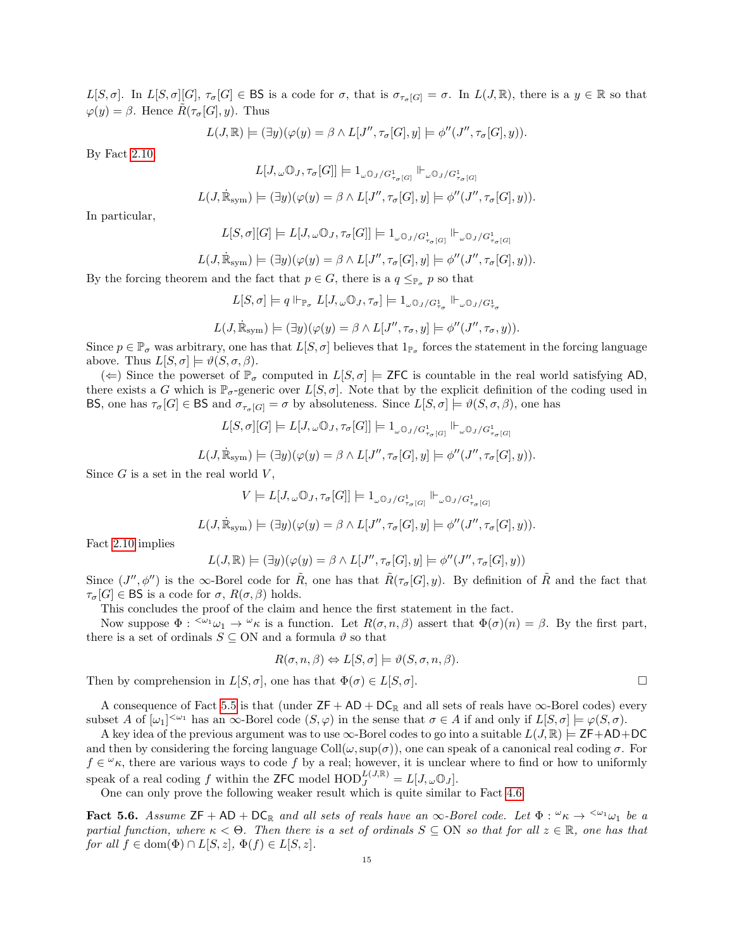L[S,  $\sigma$ ]. In  $L[S, \sigma][G], \tau_{\sigma}[G] \in \mathsf{BS}$  is a code for  $\sigma$ , that is  $\sigma_{\tau_{\sigma}[G]} = \sigma$ . In  $L(J, \mathbb{R})$ , there is a  $y \in \mathbb{R}$  so that  $\varphi(y) = \beta$ . Hence  $R(\tau_{\sigma}[G], y)$ . Thus

$$
L(J, \mathbb{R}) \models (\exists y)(\varphi(y) = \beta \land L[J'', \tau_{\sigma}[G], y] \models \phi''(J'', \tau_{\sigma}[G], y)).
$$

By Fact [2.10,](#page-4-0)

$$
L[J, \omega \mathbb{O}_J, \tau_\sigma[G]] \models 1_{\omega \mathbb{O}_J/G_{\tau_\sigma[G]}^1} \Vdash_{\omega \mathbb{O}_J/G_{\tau_\sigma[G]}^1}
$$
  

$$
L(J, \dot{\mathbb{R}}_{sym}) \models (\exists y)(\varphi(y) = \beta \land L[J'', \tau_\sigma[G], y] \models \phi''(J'', \tau_\sigma[G], y)).
$$

In particular,

$$
L[S,\sigma][G]\models L[J,\omega\mathbb{O}_J,\tau_\sigma[G]]\models 1_{\omega\mathbb{O}_J/G_{\tau_\sigma[G]}^1}\Vdash_{\omega\mathbb{O}_J/G_{\tau_\sigma[G]}^1}
$$

$$
L(J, \dot{\mathbb{R}}_{\text{sym}}) \models (\exists y)(\varphi(y) = \beta \land L[J'', \tau_{\sigma}[G], y] \models \phi''(J'', \tau_{\sigma}[G], y)).
$$

By the forcing theorem and the fact that  $p \in G$ , there is a  $q \leq_{\mathbb{P}_{q}} p$  so that

$$
L[S, \sigma] \models q \Vdash_{\mathbb{P}_{\sigma}} L[J, \omega \mathbb{O}_J, \tau_{\sigma}] \models 1_{\omega \mathbb{O}_J/G_{\tau_{\sigma}}^1} \Vdash_{\omega \mathbb{O}_J/G_{\tau_{\sigma}}^1}
$$
\n
$$
(I \stackrel{\text{in}}{\rightarrow} \mathbb{N} \setminus \{0\}) \quad (A \stackrel{\circ}{\rightarrow} \mathbb{N} \setminus \{1\} \cup \{1\} \cup \{1\} \cup \{1\} \cup \{1\} \cup \{1\} \cup \{1\} \cup \{1\} \cup \{1\} \cup \{1\} \cup \{1\} \cup \{1\} \cup \{1\} \cup \{1\} \cup \{1\} \cup \{1\} \cup \{1\} \cup \{1\} \cup \{1\} \cup \{1\} \cup \{1\} \cup \{1\} \cup \{1\} \cup \{1\} \cup \{1\} \cup \{1\} \cup \{1\} \cup \{1\} \cup \{1\} \cup \{1\} \cup \{1\} \cup \{1\} \cup \{1\} \cup \{1\} \cup \{1\} \cup \{1\} \cup \{1\} \cup \{1\} \cup \{1\} \cup \{1\} \cup \{1\} \cup \{1\} \cup \{1\} \cup \{1\} \cup \{1\} \cup \{1\} \cup \{1\} \cup \{1\} \cup \{1\} \cup \{1\} \cup \{1\} \cup \{1\} \cup \{1\} \cup \{1\} \cup \{1\} \cup \{1\} \cup \{1\} \cup \{1\} \cup \{1\} \cup \{1\} \cup \{1\} \cup \{1\} \cup \{1\} \cup \{1\} \cup \{1\} \cup \{1\} \cup \{1\} \cup \{1\} \cup \{1\} \cup \{1\} \cup \{1\} \cup \{1\} \cup \{1\} \cup \{1\} \cup \{1\} \cup \{1\} \cup \{1\} \cup \{1\} \cup \{1\} \cup \{1\} \cup \{1\} \cup \{1\} \cup \{1\} \cup \{1\} \cup \{1\} \cup \{1\} \cup \{1\} \cup \{1
$$

$$
L(J, \dot{\mathbb{R}}_{sym}) \models (\exists y)(\varphi(y) = \beta \land L[J'', \tau_{\sigma}, y] \models \phi''(J'', \tau_{\sigma}, y)).
$$

Since  $p \in \mathbb{P}_{\sigma}$  was arbitrary, one has that  $L[S, \sigma]$  believes that  $1_{\mathbb{P}_{\sigma}}$  forces the statement in the forcing language above. Thus  $L[S, \sigma] \models \vartheta(S, \sigma, \beta)$ .

 $(\Leftarrow)$  Since the powerset of  $\mathbb{P}_{\sigma}$  computed in  $L[S, \sigma] \models$  ZFC is countable in the real world satisfying AD. there exists a G which is  $\mathbb{P}_{\sigma}$ -generic over  $L[S, \sigma]$ . Note that by the explicit definition of the coding used in BS, one has  $\tau_{\sigma}[G] \in \text{BS}$  and  $\sigma_{\tau_{\sigma}[G]} = \sigma$  by absoluteness. Since  $L[S, \sigma] \models \vartheta(S, \sigma, \beta)$ , one has

$$
L[S, \sigma][G] \models L[J, \omega \mathbb{O}_J, \tau_{\sigma}[G]] \models 1_{\omega \mathbb{O}_J/G_{\tau_{\sigma}[G]}^1} \Vdash_{\omega \mathbb{O}_J/G_{\tau_{\sigma}[G]}^1}
$$

$$
L(J, \dot{\mathbb{R}}_{sym}) \models (\exists y)(\varphi(y) = \beta \land L[J'', \tau_{\sigma}[G], y] \models \phi''(J'', \tau_{\sigma}[G], y)).
$$

Since  $G$  is a set in the real world  $V$ ,

$$
V \models L[J, \omega \mathbb{O}_J, \tau_\sigma[G]] \models 1_{\omega \mathbb{O}_J/G_{\tau_\sigma[G]}^1} \Vdash_{\omega \mathbb{O}_J/G_{\tau_\sigma[G]}^1}
$$

$$
L(J, \dot{\mathbb{R}}_{sym}) \models (\exists y)(\varphi(y) = \beta \land L[J'', \tau_\sigma[G], y] \models \phi''(J'', \tau_\sigma[G], y)).
$$

Fact [2.10](#page-4-0) implies

$$
L(J, \mathbb{R}) \models (\exists y)(\varphi(y) = \beta \land L[J'', \tau_{\sigma}[G], y] \models \phi''(J'', \tau_{\sigma}[G], y))
$$

Since  $(J'', \phi'')$  is the  $\infty$ -Borel code for  $\tilde{R}$ , one has that  $\tilde{R}(\tau_{\sigma}[G], y)$ . By definition of  $\tilde{R}$  and the fact that  $\tau_{\sigma}[G] \in \mathsf{BS}$  is a code for  $\sigma$ ,  $R(\sigma, \beta)$  holds.

This concludes the proof of the claim and hence the first statement in the fact.

Now suppose  $\Phi : \langle \omega_1 \omega_1 \rangle \to \omega_1 \omega_1$  is a function. Let  $R(\sigma, n, \beta)$  assert that  $\Phi(\sigma)(n) = \beta$ . By the first part, there is a set of ordinals  $S \subseteq ON$  and a formula  $\vartheta$  so that

$$
R(\sigma, n, \beta) \Leftrightarrow L[S, \sigma] \models \vartheta(S, \sigma, n, \beta).
$$

Then by comprehension in  $L[S, \sigma]$ , one has that  $\Phi(\sigma) \in L[S, \sigma]$ .

A consequence of Fact [5.5](#page-13-0) is that (under  $ZF + AD + DC_R$  and all sets of reals have  $\infty$ -Borel codes) every subset A of  $[\omega_1]^{<\omega_1}$  has an  $\infty$ -Borel code  $(S, \varphi)$  in the sense that  $\sigma \in A$  if and only if  $L[S, \sigma] \models \varphi(S, \sigma)$ .

A key idea of the previous argument was to use  $\infty$ -Borel codes to go into a suitable  $L(J, \mathbb{R}) \models$  ZF+AD+DC and then by considering the forcing language Coll $(\omega, \text{sup}(\sigma))$ , one can speak of a canonical real coding  $\sigma$ . For  $f \in \omega_{\kappa}$ , there are various ways to code f by a real; however, it is unclear where to find or how to uniformly speak of a real coding f within the ZFC model  $\text{HOD}_J^{L(J,\mathbb{R})} = L[J,\omega \mathbb{O}_J].$ 

One can only prove the following weaker result which is quite similar to Fact [4.6:](#page-10-2)

<span id="page-14-0"></span>Fact 5.6. Assume  $ZF + AD + DC_R$  and all sets of reals have an  $\infty$ -Borel code. Let  $\Phi: \omega_K \to \omega_{10}$  be a partial function, where  $\kappa < \Theta$ . Then there is a set of ordinals  $S \subseteq ON$  so that for all  $z \in \mathbb{R}$ , one has that for all  $f \in \text{dom}(\Phi) \cap L[S, z], \Phi(f) \in L[S, z].$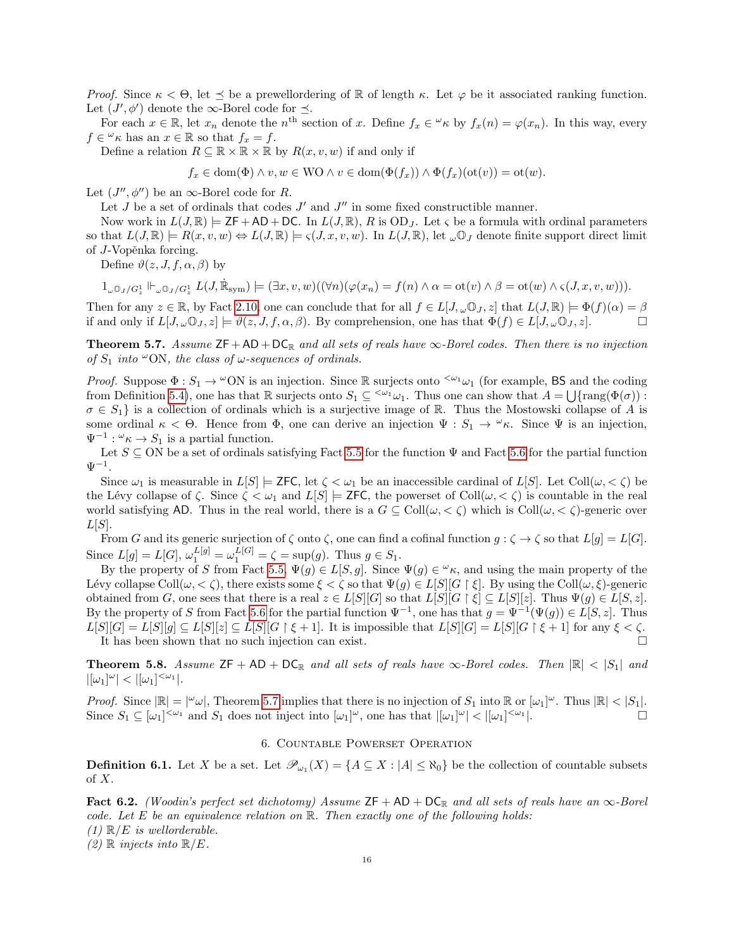Proof. Since  $\kappa < \Theta$ , let  $\preceq$  be a prewellordering of R of length  $\kappa$ . Let  $\varphi$  be it associated ranking function. Let  $(J', \phi')$  denote the  $\infty$ -Borel code for  $\preceq$ .

For each  $x \in \mathbb{R}$ , let  $x_n$  denote the  $n^{\text{th}}$  section of x. Define  $f_x \in \mathcal{L}_\kappa$  by  $f_x(n) = \varphi(x_n)$ . In this way, every  $f \in \mathcal{L} \kappa$  has an  $x \in \mathbb{R}$  so that  $f_x = f$ .

Define a relation  $R \subseteq \mathbb{R} \times \mathbb{R} \times \mathbb{R}$  by  $R(x, v, w)$  if and only if

 $f_x \in \text{dom}(\Phi) \land v, w \in \text{WO} \land v \in \text{dom}(\Phi(f_x)) \land \Phi(f_x)(\text{ot}(v)) = \text{ot}(w).$ 

Let  $(J'', \phi'')$  be an  $\infty$ -Borel code for R.

Let  $J$  be a set of ordinals that codes  $J'$  and  $J''$  in some fixed constructible manner.

Now work in  $L(J, \mathbb{R}) \models \mathsf{ZF} + \mathsf{AD} + \mathsf{DC}$ . In  $L(J, \mathbb{R}), R$  is  $OD_J$ . Let  $\varsigma$  be a formula with ordinal parameters so that  $L(J, \mathbb{R}) \models R(x, v, w) \Leftrightarrow L(J, \mathbb{R}) \models \varsigma(J, x, v, w)$ . In  $L(J, \mathbb{R})$ , let  $\omega \mathbb{O}_J$  denote finite support direct limit of J-Vopěnka forcing.

Define  $\vartheta(z, J, f, \alpha, \beta)$  by

 $1_{\omega\mathbb{O}_J/G_{\mathbb{Z}}}^1 \Vdash_{\omega\mathbb{O}_J/G_{\mathbb{Z}}} L(J, \dot{\mathbb{R}}_{sym}) \models (\exists x, v, w)((\forall n)(\varphi(x_n) = f(n) \land \alpha = \text{ot}(v) \land \beta = \text{ot}(w) \land \varsigma(J, x, v, w))).$ 

Then for any  $z \in \mathbb{R}$ , by Fact [2.10,](#page-4-0) one can conclude that for all  $f \in L[J,\omega\mathbb{O}_J,z]$  that  $L(J,\mathbb{R}) \models \Phi(f)(\alpha) = \beta$ if and only if  $L[J, \omega \mathbb{O}_J, z] \models \vartheta(z, J, f, \alpha, \beta)$ . By comprehension, one has that  $\Phi(f) \in L[J, \omega \mathbb{O}_J, z]$ .

<span id="page-15-0"></span>**Theorem 5.7.** Assume  $ZF + AD + DC_R$  and all sets of reals have  $\infty$ -Borel codes. Then there is no injection of  $S_1$  into  $\infty$ ON, the class of  $\omega$ -sequences of ordinals.

*Proof.* Suppose  $\Phi : S_1 \to {}^{\omega}O\mathbb{N}$  is an injection. Since R surjects onto  ${}^{<\omega_1}\omega_1$  (for example, BS and the coding from Definition [5.4\)](#page-13-1), one has that  $\mathbb R$  surjects onto  $S_1 \subseteq \langle \omega_1, \omega_1 \rangle$ . Thus one can show that  $A = \bigcup \{ \text{rang}(\Phi(\sigma)) :$  $\sigma \in S_1$  is a collection of ordinals which is a surjective image of R. Thus the Mostowski collapse of A is some ordinal  $\kappa < \Theta$ . Hence from  $\Phi$ , one can derive an injection  $\Psi : S_1 \to {}^{\omega}\kappa$ . Since  $\Psi$  is an injection,  $\Psi^{-1}: \omega_{\kappa} \to S_1$  is a partial function.

Let  $S \subseteq ON$  be a set of ordinals satisfying Fact [5.5](#page-13-0) for the function  $\Psi$  and Fact [5.6](#page-14-0) for the partial function  $\Psi^{-1}$ .

Since  $\omega_1$  is measurable in  $L[S] \models$  ZFC, let  $\zeta \lt \omega_1$  be an inaccessible cardinal of  $L[S]$ . Let Coll $(\omega, \le \zeta)$  be the Lévy collapse of  $\zeta$ . Since  $\zeta < \omega_1$  and  $L[S] \models$  ZFC, the powerset of Coll $(\omega, \langle \zeta \rangle)$  is countable in the real world satisfying AD. Thus in the real world, there is a  $G \subseteq \text{Coll}(\omega, < \zeta)$  which is  $\text{Coll}(\omega, < \zeta)$ -generic over  $L[S]$ .

From G and its generic surjection of  $\zeta$  onto  $\zeta$ , one can find a cofinal function  $g : \zeta \to \zeta$  so that  $L[g] = L[G]$ . Since  $L[g] = L[G], \omega_1^{L[g]} = \omega_1^{L[G]} = \zeta = \sup(g)$ . Thus  $g \in S_1$ .

By the property of S from Fact [5.5,](#page-13-0)  $\Psi(g) \in L[S, g]$ . Since  $\Psi(g) \in {}^{\omega}\kappa$ , and using the main property of the Lévy collapse Coll $(\omega, < \zeta)$ , there exists some  $\xi < \zeta$  so that  $\Psi(g) \in L[S][G \restriction \xi]$ . By using the Coll $(\omega, \xi)$ -generic obtained from G, one sees that there is a real  $z \in L[S][G]$  so that  $L[S][G \restriction \xi] \subseteq L[S][z]$ . Thus  $\Psi(g) \in L[S,z]$ . By the property of S from Fact [5.6](#page-14-0) for the partial function  $\Psi^{-1}$ , one has that  $g = \Psi^{-1}(\Psi(g)) \in L[S, z]$ . Thus  $L[S][G] = L[S][g] \subseteq L[S][z] \subseteq L[S][G \restriction \xi + 1]$ . It is impossible that  $L[S][G] = L[S][G \restriction \xi + 1]$  for any  $\xi < \zeta$ . It has been shown that no such injection can exist.

<span id="page-15-1"></span>**Theorem 5.8.** Assume  $ZF + AD + DC_R$  and all sets of reals have  $\infty$ -Borel codes. Then  $\mathbb{R}| < |S_1|$  and  $|[\omega_1]^\omega| < |[\omega_1]^{<\omega_1}|.$ 

*Proof.* Since  $|\mathbb{R}| = |\omega_{\omega}|$ , Theorem [5.7](#page-15-0) implies that there is no injection of  $S_1$  into  $\mathbb{R}$  or  $[\omega_1]^{\omega}$ . Thus  $|\mathbb{R}| < |S_1|$ . Since  $S_1 \subseteq [\omega_1]^{<\omega_1}$  and  $S_1$  does not inject into  $[\omega_1]^\omega$ , one has that  $|[\omega_1]^\omega| < |[\omega_1]^{<\omega_1}$ |.

### 6. Countable Powerset Operation

**Definition 6.1.** Let X be a set. Let  $\mathscr{P}_{\omega_1}(X) = \{A \subseteq X : |A| \leq \aleph_0\}$  be the collection of countable subsets of X.

<span id="page-15-2"></span>Fact 6.2. (Woodin's perfect set dichotomy) Assume  $ZF + AD + DC_R$  and all sets of reals have an  $\infty$ -Borel code. Let E be an equivalence relation on  $\mathbb{R}$ . Then exactly one of the following holds:  $(1) \mathbb{R}/E$  is wellorderable.

 $(2) \mathbb{R}$  injects into  $\mathbb{R}/E$ .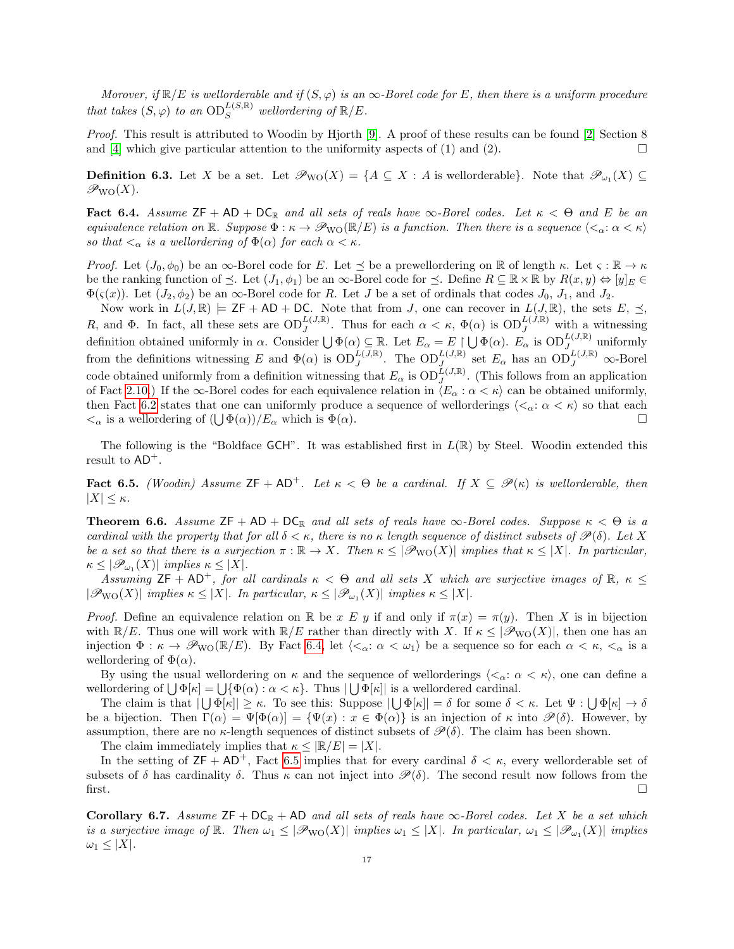Morover, if  $\mathbb{R}/E$  is wellorderable and if  $(S, \varphi)$  is an  $\infty$ -Borel code for E, then there is a uniform procedure that takes  $(S, \varphi)$  to an  $\mathrm{OD}^{L(S, \mathbb{R})}_S$  wellordering of  $\mathbb{R}/E$ .

Proof. This result is attributed to Woodin by Hjorth [\[9\]](#page-26-4). A proof of these results can be found [\[2\]](#page-26-2) Section 8 and [\[4\]](#page-26-8) which give particular attention to the uniformity aspects of (1) and (2).  $\Box$ 

**Definition 6.3.** Let X be a set. Let  $\mathscr{P}_{\text{WO}}(X) = \{A \subseteq X : A \text{ is wellorderable}\}\.$  Note that  $\mathscr{P}_{\omega_1}(X) \subseteq$  $\mathscr{P}_{\text{WO}}(X)$ .

<span id="page-16-2"></span>Fact 6.4. Assume  $ZF + AD + DC_R$  and all sets of reals have  $\infty$ -Borel codes. Let  $\kappa < \Theta$  and E be an equivalence relation on  $\mathbb{R}$ . Suppose  $\Phi : \kappa \to \mathcal{P}_{\text{WO}}(\mathbb{R}/E)$  is a function. Then there is a sequence  $\langle \langle \alpha : \alpha < \kappa \rangle$ so that  $\langle \alpha \rangle$  is a wellordering of  $\Phi(\alpha)$  for each  $\alpha \langle \kappa \rangle$ .

*Proof.* Let  $(J_0, \phi_0)$  be an  $\infty$ -Borel code for E. Let  $\preceq$  be a prewellordering on  $\mathbb R$  of length  $\kappa$ . Let  $\varsigma : \mathbb R \to \kappa$ be the ranking function of  $\preceq$ . Let  $(J_1, \phi_1)$  be an  $\infty$ -Borel code for  $\preceq$ . Define  $R \subseteq \mathbb{R} \times \mathbb{R}$  by  $R(x, y) \Leftrightarrow [y]_E \in$  $\Phi(\varsigma(x))$ . Let  $(J_2, \phi_2)$  be an  $\infty$ -Borel code for R. Let J be a set of ordinals that codes  $J_0$ ,  $J_1$ , and  $J_2$ .

Now work in  $L(J, \mathbb{R}) \models \mathsf{ZF} + \mathsf{AD} + \mathsf{DC}$ . Note that from J, one can recover in  $L(J, \mathbb{R})$ , the sets  $E, \preceq$ , R, and  $\Phi$ . In fact, all these sets are  $OD_J^{L(J,\mathbb{R})}$ . Thus for each  $\alpha < \kappa$ ,  $\Phi(\alpha)$  is  $OD_J^{L(J,\mathbb{R})}$  with a witnessing J definition obtained uniformly in  $\alpha$ . Consider  $\bigcup \Phi(\alpha) \subseteq \mathbb{R}$ . Let  $E_{\alpha} = E \upharpoonright \bigcup \Phi(\alpha)$ .  $E_{\alpha}$  is  $\text{OD}_J^{L(J,\mathbb{R})}$  uniformly from the definitions witnessing E and  $\Phi(\alpha)$  is  $OD_J^{L(J,\mathbb{R})}$ . The  $OD_J^{L(J,\mathbb{R})}$  set  $E_\alpha$  has an  $OD_J^{L(J,\mathbb{R})}$   $\infty$ -Borel code obtained uniformly from a definition witnessing that  $E_{\alpha}$  is  $OD_J^{\tilde{L}(J,\mathbb{R})}$ . (This follows from an application of Fact [2.10.](#page-4-0)) If the  $\infty$ -Borel codes for each equivalence relation in  $\langle E_\alpha : \alpha < \kappa \rangle$  can be obtained uniformly, then Fact [6.2](#page-15-2) states that one can uniformly produce a sequence of wellorderings  $\langle \langle \alpha: \alpha \langle \kappa \rangle \rangle$  so that each  $\lt_{\alpha}$  is a wellordering of  $(\bigcup \Phi(\alpha))/E_{\alpha}$  which is  $\Phi(\alpha)$ .

The following is the "Boldface GCH". It was established first in  $L(\mathbb{R})$  by Steel. Woodin extended this result to  $AD^+$ .

<span id="page-16-3"></span>**Fact 6.5.** (Woodin) Assume  $ZF + AD^+$ . Let  $\kappa < \Theta$  be a cardinal. If  $X \subseteq \mathcal{P}(\kappa)$  is wellorderable, then  $|X| \leq \kappa$ .

<span id="page-16-0"></span>**Theorem 6.6.** Assume  $\mathsf{ZF} + \mathsf{AD} + \mathsf{DC}_{\mathbb{R}}$  and all sets of reals have  $\infty$ -Borel codes. Suppose  $\kappa < \Theta$  is a cardinal with the property that for all  $\delta < \kappa$ , there is no  $\kappa$  length sequence of distinct subsets of  $\mathscr{P}(\delta)$ . Let X be a set so that there is a surjection  $\pi : \mathbb{R} \to X$ . Then  $\kappa \leq |\mathcal{P}_{\text{WO}}(X)|$  implies that  $\kappa \leq |X|$ . In particular,  $\kappa \leq |\mathscr{P}_{\omega_1}(X)|$  implies  $\kappa \leq |X|.$ 

Assuming  $\mathsf{ZF} + \mathsf{AD}^+$ , for all cardinals  $\kappa < \Theta$  and all sets X which are surjective images of  $\mathbb{R}, \kappa \leq$  $|\mathscr{P}_{\text{WO}}(X)|$  implies  $\kappa \leq |X|$ . In particular,  $\kappa \leq |\mathscr{P}_{\omega_1}(X)|$  implies  $\kappa \leq |X|$ .

Proof. Define an equivalence relation on R be x E y if and only if  $\pi(x) = \pi(y)$ . Then X is in bijection with  $\mathbb{R}/E$ . Thus one will work with  $\mathbb{R}/E$  rather than directly with X. If  $\kappa \leq |\mathscr{P}_{\text{WO}}(X)|$ , then one has an injection  $\Phi : \kappa \to \mathcal{P}_{\text{WO}}(\mathbb{R}/E)$ . By Fact [6.4,](#page-16-2) let  $\langle \langle \alpha : \alpha < \omega_1 \rangle$  be a sequence so for each  $\alpha < \kappa$ ,  $\langle \alpha \rangle$  is a wellordering of  $\Phi(\alpha)$ .

By using the usual wellordering on  $\kappa$  and the sequence of wellorderings  $\langle \langle \alpha : \alpha \langle \kappa \rangle \rangle$ , one can define a wellordering of  $\bigcup \Phi[\kappa] = \bigcup \{\Phi(\alpha) : \alpha < \kappa\}.$  Thus  $\bigcup \Phi[\kappa]$  is a wellordered cardinal.

The claim is that  $|\bigcup \Phi[\kappa]| \geq \kappa$ . To see this: Suppose  $|\bigcup \Phi[\kappa]| = \delta$  for some  $\delta < \kappa$ . Let  $\Psi : \bigcup \Phi[\kappa] \to \delta$ be a bijection. Then  $\Gamma(\alpha) = \Psi[\Phi(\alpha)] = {\Psi(x) : x \in \Phi(\alpha)}$  is an injection of  $\kappa$  into  $\mathscr{P}(\delta)$ . However, by assumption, there are no  $\kappa$ -length sequences of distinct subsets of  $\mathscr{P}(\delta)$ . The claim has been shown.

The claim immediately implies that  $\kappa \leq |\mathbb{R}/E| = |X|$ .

In the setting of  $ZF + AD^+$ , Fact [6.5](#page-16-3) implies that for every cardinal  $\delta < \kappa$ , every wellorderable set of subsets of  $\delta$  has cardinality  $\delta$ . Thus  $\kappa$  can not inject into  $\mathscr{P}(\delta)$ . The second result now follows from the first.  $\square$ 

<span id="page-16-1"></span>Corollary 6.7. Assume  $ZF + DC_R + AD$  and all sets of reals have  $\infty$ -Borel codes. Let X be a set which is a surjective image of  $\mathbb R$ . Then  $\omega_1 \leq |\mathcal{P}_{\text{WO}}(X)|$  implies  $\omega_1 \leq |X|$ . In particular,  $\omega_1 \leq |\mathcal{P}_{\omega_1}(X)|$  implies  $\omega_1 \leq |X|$ .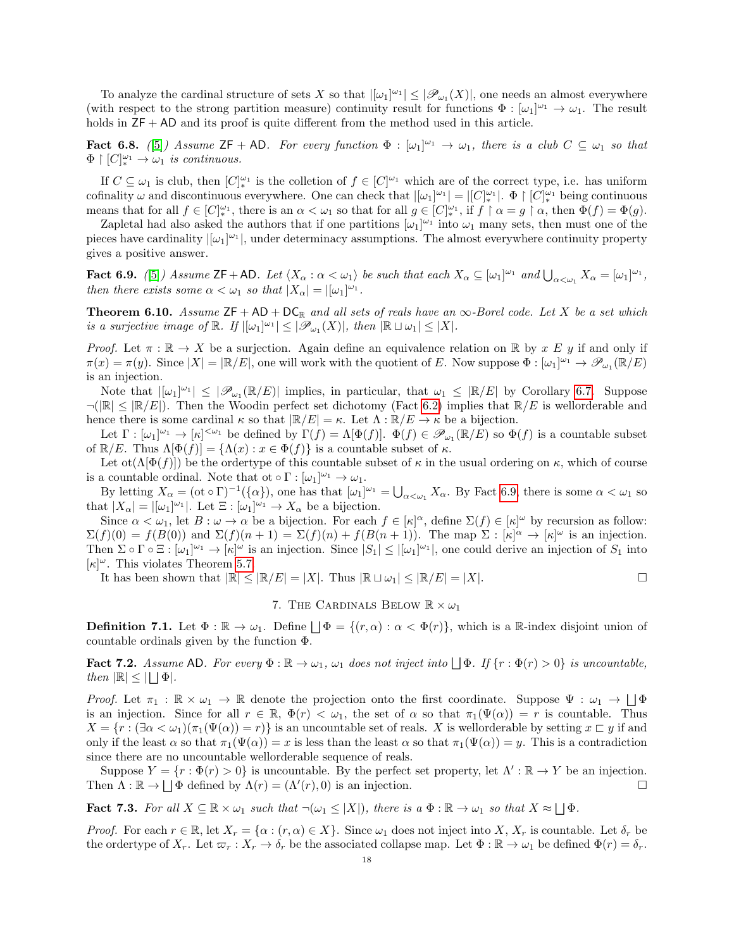To analyze the cardinal structure of sets X so that  $|[\omega_1]^{\omega_1}| \leq |\mathscr{P}_{\omega_1}(X)|$ , one needs an almost everywhere (with respect to the strong partition measure) continuity result for functions  $\Phi : [\omega_1]^{\omega_1} \to \omega_1$ . The result holds in  $ZF + AD$  and its proof is quite different from the method used in this article.

**Fact 6.8.** ([\[5\]](#page-26-10)) Assume  $\mathsf{ZF} + \mathsf{AD}$ . For every function  $\Phi : [\omega_1]^{\omega_1} \to \omega_1$ , there is a club  $C \subseteq \omega_1$  so that  $\Phi \restriction [C]_*^{\omega_1} \to \omega_1$  is continuous.

If  $C \subseteq \omega_1$  is club, then  $[C]_{*}^{\omega_1}$  is the colletion of  $f \in [C]^{\omega_1}$  which are of the correct type, i.e. has uniform cofinality  $\omega$  and discontinuous everywhere. One can check that  $|[\omega_1]^{\omega_1}| = |[C]^{\omega_1}_{*}|$ .  $\Phi \upharpoonright [C]^{\omega_1}_{*}$  being continuous means that for all  $f \in [C]_{*}^{\omega_1}$ , there is an  $\alpha < \omega_1$  so that for all  $g \in [C]_{*}^{\omega_1}$ , if  $f \restriction \alpha = g \restriction \alpha$ , then  $\Phi(f) = \Phi(g)$ .

Zapletal had also asked the authors that if one partitions  $[\omega_1]^{\omega_1}$  into  $\omega_1$  many sets, then must one of the pieces have cardinality  $|[\omega_1]^{\omega_1}|$ , under determinacy assumptions. The almost everywhere continuity property gives a positive answer.

<span id="page-17-2"></span>**Fact 6.9.** ([\[5\]](#page-26-10)) Assume  $\mathsf{ZF} + \mathsf{AD}$ . Let  $\langle X_\alpha : \alpha < \omega_1 \rangle$  be such that each  $X_\alpha \subseteq [\omega_1]^{\omega_1}$  and  $\bigcup_{\alpha < \omega_1} X_\alpha = [\omega_1]^{\omega_1}$ , then there exists some  $\alpha < \omega_1$  so that  $|X_{\alpha}| = |[\omega_1]^{\omega_1}$ .

<span id="page-17-0"></span>**Theorem 6.10.** Assume  $ZF + AD + DC_R$  and all sets of reals have an  $\infty$ -Borel code. Let X be a set which is a surjective image of  $\mathbb{R}$ . If  $|[\omega_1]^{\omega_1}| \leq |\mathscr{P}_{\omega_1}(X)|$ , then  $|\mathbb{R} \sqcup \omega_1| \leq |X|$ .

Proof. Let  $\pi : \mathbb{R} \to X$  be a surjection. Again define an equivalence relation on  $\mathbb{R}$  by x E y if and only if  $\pi(x) = \pi(y)$ . Since  $|X| = |\mathbb{R}/E|$ , one will work with the quotient of E. Now suppose  $\Phi : [\omega_1]^{\omega_1} \to \mathscr{P}_{\omega_1}(\mathbb{R}/E)$ is an injection.

Note that  $|[\omega_1]^{\omega_1}| \leq |\mathcal{P}_{\omega_1}(\mathbb{R}/E)|$  implies, in particular, that  $\omega_1 \leq |\mathbb{R}/E|$  by Corollary [6.7.](#page-16-1) Suppose  $\neg(|\mathbb{R}| \leq |\mathbb{R}/E|)$ . Then the Woodin perfect set dichotomy (Fact [6.2\)](#page-15-2) implies that  $\mathbb{R}/E$  is wellorderable and hence there is some cardinal  $\kappa$  so that  $\mathbb{R}/E| = \kappa$ . Let  $\Lambda : \mathbb{R}/E \to \kappa$  be a bijection.

Let  $\Gamma : [\omega_1]^{\omega_1} \to [\kappa]^{<\omega_1}$  be defined by  $\Gamma(f) = \Lambda[\Phi(f)]$ .  $\Phi(f) \in \mathscr{P}_{\omega_1}(\mathbb{R}/E)$  so  $\Phi(f)$  is a countable subset of  $\mathbb{R}/E$ . Thus  $\Lambda[\Phi(f)] = {\Lambda(x) : x \in \Phi(f)}$  is a countable subset of  $\kappa$ .

Let  $ot(\Lambda[\Phi(f)])$  be the ordertype of this countable subset of  $\kappa$  in the usual ordering on  $\kappa$ , which of course is a countable ordinal. Note that ot  $\circ \Gamma : [\omega_1]^{\omega_1} \to \omega_1$ .

By letting  $X_{\alpha} = (\text{ot} \circ \Gamma)^{-1}(\{\alpha\}),$  one has that  $[\omega_1]^{\omega_1} = \bigcup_{\alpha < \omega_1} X_{\alpha}$ . By Fact [6.9,](#page-17-2) there is some  $\alpha < \omega_1$  so that  $|X_{\alpha}| = |[\omega_1]^{\omega_1}|$ . Let  $\Xi : [\omega_1]^{\omega_1} \to X_{\alpha}$  be a bijection.

Since  $\alpha < \omega_1$ , let  $B : \omega \to \alpha$  be a bijection. For each  $f \in [\kappa]^\alpha$ , define  $\Sigma(f) \in [\kappa]^\omega$  by recursion as follow:  $\Sigma(f)(0) = f(B(0))$  and  $\Sigma(f)(n+1) = \Sigma(f)(n) + f(B(n+1))$ . The map  $\Sigma : [\kappa]^{\alpha} \to [\kappa]^{\omega}$  is an injection. Then  $\Sigma \circ \Gamma \circ \Xi : [\omega_1]^{\omega_1} \to [\kappa]^{\omega}$  is an injection. Since  $|S_1| \leq |[\omega_1]^{\omega_1}|$ , one could derive an injection of  $S_1$  into  $[\kappa]^\omega$ . This violates Theorem [5.7.](#page-15-0)

It has been shown that  $|\mathbb{R}| \leq |\mathbb{R}/E| = |X|$ . Thus  $|\mathbb{R} \sqcup \omega_1| \leq |\mathbb{R}/E| = |X|$ .

### 7. The CARDINALS BELOW  $\mathbb{R} \times \omega_1$

<span id="page-17-1"></span>**Definition 7.1.** Let  $\Phi : \mathbb{R} \to \omega_1$ . Define  $\Box \Phi = \{(r, \alpha) : \alpha < \Phi(r)\}\$ , which is a R-index disjoint union of countable ordinals given by the function Φ.

<span id="page-17-3"></span>**Fact 7.2.** Assume AD. For every  $\Phi : \mathbb{R} \to \omega_1$ ,  $\omega_1$  does not inject into  $\Box \Phi$ . If  $\{r : \Phi(r) > 0\}$  is uncountable, then  $|\mathbb{R}| \leq |\bigsqcup \Phi|$ .

Proof. Let  $\pi_1 : \mathbb{R} \times \omega_1 \to \mathbb{R}$  denote the projection onto the first coordinate. Suppose  $\Psi : \omega_1 \to \Box \Phi$ is an injection. Since for all  $r \in \mathbb{R}$ ,  $\Phi(r) < \omega_1$ , the set of  $\alpha$  so that  $\pi_1(\Psi(\alpha)) = r$  is countable. Thus  $X = \{r : (\exists \alpha < \omega_1)(\pi_1(\Psi(\alpha)) = r)\}\$ is an uncountable set of reals. X is wellorderable by setting  $x \sqsubset y$  if and only if the least  $\alpha$  so that  $\pi_1(\Psi(\alpha)) = x$  is less than the least  $\alpha$  so that  $\pi_1(\Psi(\alpha)) = y$ . This is a contradiction since there are no uncountable wellorderable sequence of reals.

Suppose  $Y = \{r : \Phi(r) > 0\}$  is uncountable. By the perfect set property, let  $\Lambda' : \mathbb{R} \to Y$  be an injection. Then  $\Lambda : \mathbb{R} \to \bigsqcup \Phi$  defined by  $\Lambda(r) = (\Lambda'(r), 0)$  is an injection.

<span id="page-17-4"></span>**Fact 7.3.** For all  $X \subseteq \mathbb{R} \times \omega_1$  such that  $\neg(\omega_1 \leq |X|)$ , there is a  $\Phi : \mathbb{R} \to \omega_1$  so that  $X \approx \bigsqcup \Phi$ .

*Proof.* For each  $r \in \mathbb{R}$ , let  $X_r = \{\alpha : (r, \alpha) \in X\}$ . Since  $\omega_1$  does not inject into X,  $X_r$  is countable. Let  $\delta_r$  be the ordertype of  $X_r$ . Let  $\varpi_r : X_r \to \delta_r$  be the associated collapse map. Let  $\Phi : \mathbb{R} \to \omega_1$  be defined  $\Phi(r) = \delta_r$ .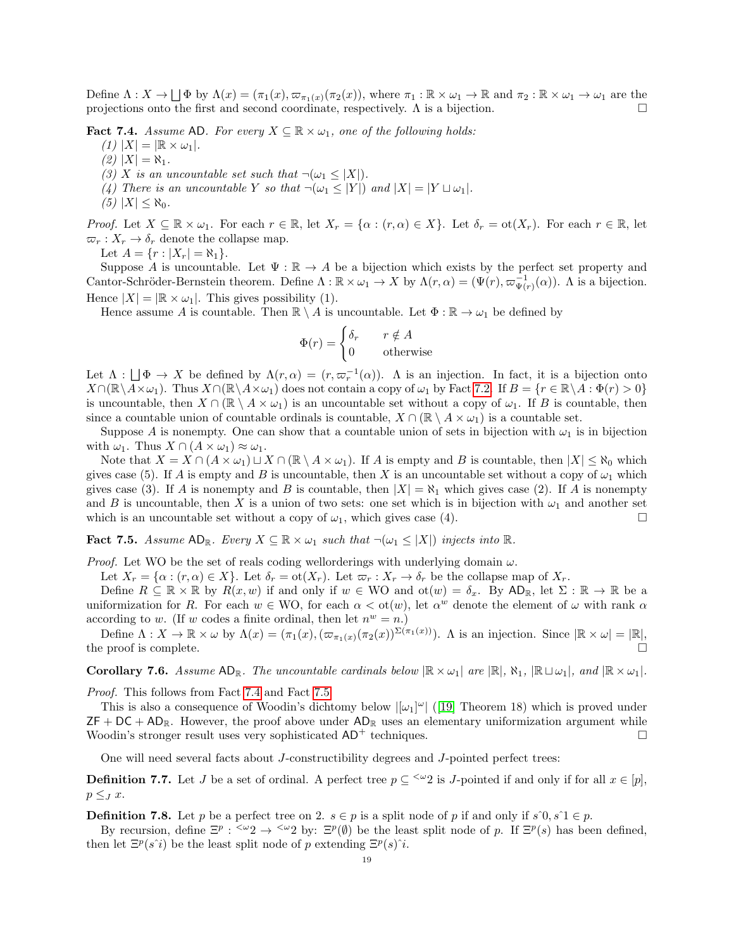Define  $\Lambda: X \to \Box \Phi$  by  $\Lambda(x) = (\pi_1(x), \varpi_{\pi_1(x)}(\pi_2(x)),$  where  $\pi_1: \mathbb{R} \times \omega_1 \to \mathbb{R}$  and  $\pi_2: \mathbb{R} \times \omega_1 \to \omega_1$  are the projections onto the first and second coordinate, respectively.  $\Lambda$  is a bijection.

<span id="page-18-1"></span>**Fact 7.4.** Assume AD. For every  $X \subseteq \mathbb{R} \times \omega_1$ , one of the following holds:

- $(1)$   $|X| = |\mathbb{R} \times \omega_1|.$
- $(2)$   $|X| = \aleph_1$ .
- (3) X is an uncountable set such that  $\neg(\omega_1 \leq |X|)$ .
- (4) There is an uncountable Y so that  $\neg(\omega_1 \leq |Y|)$  and  $|X| = |Y \sqcup \omega_1|$ .
- (5)  $|X| \leq \aleph_0$ .

*Proof.* Let  $X \subseteq \mathbb{R} \times \omega_1$ . For each  $r \in \mathbb{R}$ , let  $X_r = \{\alpha : (r, \alpha) \in X\}$ . Let  $\delta_r = \text{ot}(X_r)$ . For each  $r \in \mathbb{R}$ , let  $\varpi_r : X_r \to \delta_r$  denote the collapse map.

Let  $A = \{r : |X_r| = \aleph_1\}.$ 

Suppose A is uncountable. Let  $\Psi : \mathbb{R} \to A$  be a bijection which exists by the perfect set property and Cantor-Schröder-Bernstein theorem. Define  $\Lambda : \mathbb{R} \times \omega_1 \to X$  by  $\Lambda(r, \alpha) = (\Psi(r), \varpi_{\Psi(r)}^{-1}(\alpha))$ . A is a bijection. Hence  $|X| = |\mathbb{R} \times \omega_1|$ . This gives possibility (1).

Hence assume A is countable. Then  $\mathbb{R} \setminus A$  is uncountable. Let  $\Phi : \mathbb{R} \to \omega_1$  be defined by

$$
\Phi(r) = \begin{cases} \delta_r & r \notin A \\ 0 & \text{otherwise} \end{cases}
$$

Let  $\Lambda : \Box \Phi \to X$  be defined by  $\Lambda(r, \alpha) = (r, \varpi_r^{-1}(\alpha))$ . A is an injection. In fact, it is a bijection onto  $X\cap(\mathbb{R}\setminus A\times\omega_1)$ . Thus  $X\cap(\mathbb{R}\setminus A\times\omega_1)$  does not contain a copy of  $\omega_1$  by Fact [7.2.](#page-17-3) If  $B=\{r\in\mathbb{R}\setminus A:\Phi(r)>0\}$ is uncountable, then  $X \cap (\mathbb{R} \setminus A \times \omega_1)$  is an uncountable set without a copy of  $\omega_1$ . If B is countable, then since a countable union of countable ordinals is countable,  $X \cap (\mathbb{R} \setminus A \times \omega_1)$  is a countable set.

Suppose A is nonempty. One can show that a countable union of sets in bijection with  $\omega_1$  is in bijection with  $\omega_1$ . Thus  $X \cap (A \times \omega_1) \approx \omega_1$ .

Note that  $X = X \cap (A \times \omega_1) \sqcup X \cap (\mathbb{R} \setminus A \times \omega_1)$ . If A is empty and B is countable, then  $|X| \leq \aleph_0$  which gives case (5). If A is empty and B is uncountable, then X is an uncountable set without a copy of  $\omega_1$  which gives case (3). If A is nonempty and B is countable, then  $|X| = \aleph_1$  which gives case (2). If A is nonempty and B is uncountable, then X is a union of two sets: one set which is in bijection with  $\omega_1$  and another set which is an uncountable set without a copy of  $\omega_1$ , which gives case (4).

<span id="page-18-2"></span>**Fact 7.5.** Assume  $AD_{\mathbb{R}}$ . Every  $X \subseteq \mathbb{R} \times \omega_1$  such that  $\neg(\omega_1 \leq |X|)$  injects into  $\mathbb{R}$ .

*Proof.* Let WO be the set of reals coding wellorderings with underlying domain  $\omega$ .

Let  $X_r = \{\alpha : (r, \alpha) \in X\}$ . Let  $\delta_r = \text{ot}(X_r)$ . Let  $\varpi_r : X_r \to \delta_r$  be the collapse map of  $X_r$ .

Define  $R \subseteq \mathbb{R} \times \mathbb{R}$  by  $R(x, w)$  if and only if  $w \in WO$  and  $ot(w) = \delta_x$ . By  $AD_{\mathbb{R}}$ , let  $\Sigma : \mathbb{R} \to \mathbb{R}$  be a uniformization for R. For each  $w \in WO$ , for each  $\alpha < \text{ot}(w)$ , let  $\alpha^w$  denote the element of  $\omega$  with rank  $\alpha$ according to w. (If w codes a finite ordinal, then let  $n^w = n$ .)

Define  $\Lambda: X \to \mathbb{R} \times \omega$  by  $\Lambda(x) = (\pi_1(x), (\varpi_{\pi_1(x)}(\pi_2(x))^{\Sigma(\pi_1(x))})$ . A is an injection. Since  $|\mathbb{R} \times \omega| = |\mathbb{R}|$ , the proof is complete.  $\Box$ 

<span id="page-18-0"></span>**Corollary 7.6.** Assume  $AD_{\mathbb{R}}$ . The uncountable cardinals below  $|\mathbb{R} \times \omega_1|$  are  $|\mathbb{R}|$ ,  $\aleph_1$ ,  $|\mathbb{R} \sqcup \omega_1|$ , and  $|\mathbb{R} \times \omega_1|$ .

Proof. This follows from Fact [7.4](#page-18-1) and Fact [7.5.](#page-18-2)

This is also a consequence of Woodin's dichtomy below  $|[\omega_1]^{\omega}|$  ([\[19\]](#page-26-11) Theorem 18) which is proved under  $ZF + DC + AD_R$ . However, the proof above under  $AD_R$  uses an elementary uniformization argument while Woodin's stronger result uses very sophisticated  $AD^+$  techniques.

One will need several facts about J-constructibility degrees and J-pointed perfect trees:

**Definition 7.7.** Let J be a set of ordinal. A perfect tree  $p \subseteq \leq^{\omega} 2$  is J-pointed if and only if for all  $x \in [p]$ ,  $p \leq_J x$ .

**Definition 7.8.** Let p be a perfect tree on 2.  $s \in p$  is a split node of p if and only if  $s \hat{\theta}, s \hat{\theta} \in p$ .

By recursion, define  $\Xi^p$ :  $\langle \omega_2 \rangle$   $\to$   $\langle \omega_2 \rangle$  by:  $\Xi^p(\emptyset)$  be the least split node of p. If  $\Xi^p(s)$  has been defined, then let  $\Xi^p(s^i)$  be the least split node of p extending  $\Xi^p(s)^i$ .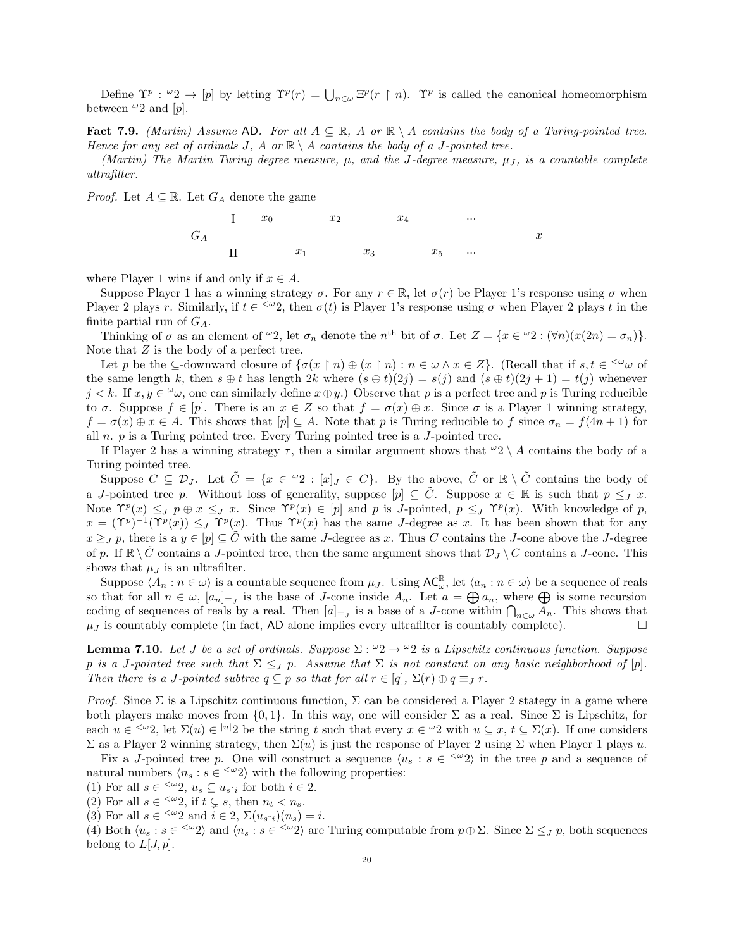Define  $\Upsilon^p$ :  $\omega_2 \to [p]$  by letting  $\Upsilon^p(r) = \bigcup_{n \in \omega} \Xi^p(r \upharpoonright n)$ .  $\Upsilon^p$  is called the canonical homeomorphism between  $\omega_2$  and  $[p]$ .

<span id="page-19-0"></span>Fact 7.9. (Martin) Assume AD. For all  $A \subseteq \mathbb{R}$ , A or  $\mathbb{R} \setminus A$  contains the body of a Turing-pointed tree. Hence for any set of ordinals J, A or  $\mathbb{R} \setminus A$  contains the body of a J-pointed tree.

(Martin) The Martin Turing degree measure,  $\mu$ , and the J-degree measure,  $\mu_I$ , is a countable complete ultrafilter.

*Proof.* Let  $A \subseteq \mathbb{R}$ . Let  $G_A$  denote the game



where Player 1 wins if and only if  $x \in A$ .

Suppose Player 1 has a winning strategy  $\sigma$ . For any  $r \in \mathbb{R}$ , let  $\sigma(r)$  be Player 1's response using  $\sigma$  when Player 2 plays r. Similarly, if  $t \in \langle \omega_2 \rangle$ , then  $\sigma(t)$  is Player 1's response using  $\sigma$  when Player 2 plays t in the finite partial run of  $G_A$ .

Thinking of  $\sigma$  as an element of  $\omega_2$ , let  $\sigma_n$  denote the  $n^{\text{th}}$  bit of  $\sigma$ . Let  $Z = \{x \in \omega_2 : (\forall n)(x(2n) = \sigma_n)\}.$ Note that Z is the body of a perfect tree.

Let p be the  $\subseteq$ -downward closure of  $\{\sigma(x \restriction n) \oplus (x \restriction n) : n \in \omega \land x \in Z\}$ . (Recall that if  $s, t \in \leq^{\omega} \omega$  of the same length k, then  $s \oplus t$  has length  $2k$  where  $(s \oplus t)(2j) = s(j)$  and  $(s \oplus t)(2j + 1) = t(j)$  whenever  $j < k$ . If  $x, y \in \omega$ , one can similarly define  $x \oplus y$ .) Observe that p is a perfect tree and p is Turing reducible to  $\sigma$ . Suppose  $f \in [p]$ . There is an  $x \in Z$  so that  $f = \sigma(x) \oplus x$ . Since  $\sigma$  is a Player 1 winning strategy,  $f = \sigma(x) \oplus x \in A$ . This shows that  $[p] \subseteq A$ . Note that p is Turing reducible to f since  $\sigma_n = f(4n + 1)$  for all  $n.$   $p$  is a Turing pointed tree. Every Turing pointed tree is a  $J$ -pointed tree.

If Player 2 has a winning strategy  $\tau$ , then a similar argument shows that  $\omega_2 \setminus A$  contains the body of a Turing pointed tree.

Suppose  $C \subseteq \mathcal{D}_J$ . Let  $\tilde{C} = \{x \in {}^{\omega}2 : [x]_J \in C\}$ . By the above,  $\tilde{C}$  or  $\mathbb{R} \setminus \tilde{C}$  contains the body of a J-pointed tree p. Without loss of generality, suppose  $[p] \subseteq \tilde{C}$ . Suppose  $x \in \mathbb{R}$  is such that  $p \leq J$  x. Note  $\Upsilon^p(x) \leq_J p \oplus x \leq_J x$ . Since  $\Upsilon^p(x) \in [p]$  and p is *J*-pointed,  $p \leq_J \Upsilon^p(x)$ . With knowledge of p,  $x = (\Upsilon^p)^{-1}(\Upsilon^p(x)) \leq_J \Upsilon^p(x)$ . Thus  $\Upsilon^p(x)$  has the same J-degree as x. It has been shown that for any  $x \geq_J p$ , there is a  $y \in [p] \subseteq C$  with the same J-degree as x. Thus C contains the J-cone above the J-degree of p. If  $\mathbb{R} \setminus \tilde{C}$  contains a J-pointed tree, then the same argument shows that  $\mathcal{D}_J \setminus C$  contains a J-cone. This shows that  $\mu_J$  is an ultrafilter.

Suppose  $\langle A_n : n \in \omega \rangle$  is a countable sequence from  $\mu_J$ . Using  $AC_{\omega}^{\mathbb{R}}$ , let  $\langle a_n : n \in \omega \rangle$  be a sequence of reals so that for all  $n \in \omega$ ,  $[a_n]_{\equiv J}$  is the base of *J*-cone inside  $A_n$ . Let  $a = \bigoplus a_n$ , where  $\bigoplus$  is some recursion coding of sequences of reals by a real. Then  $[a]_{\equiv_J}$  is a base of a J-cone within  $\bigcap_{n\in\omega}A_n$ . This shows that  $\mu_J$  is countably complete (in fact, AD alone implies every ultrafilter is countably complete).

<span id="page-19-1"></span>**Lemma 7.10.** Let J be a set of ordinals. Suppose  $\Sigma : \omega_2 \to \omega_2$  is a Lipschitz continuous function. Suppose p is a J-pointed tree such that  $\Sigma \leq_{J} p$ . Assume that  $\Sigma$  is not constant on any basic neighborhood of [p]. Then there is a J-pointed subtree  $q \subseteq p$  so that for all  $r \in [q], \Sigma(r) \oplus q \equiv_J r$ .

*Proof.* Since  $\Sigma$  is a Lipschitz continuous function,  $\Sigma$  can be considered a Player 2 stategy in a game where both players make moves from  $\{0, 1\}$ . In this way, one will consider  $\Sigma$  as a real. Since  $\Sigma$  is Lipschitz, for each  $u \in \langle x^2, x \rangle$  let  $\Sigma(u) \in |u|$  be the string t such that every  $x \in u^2$  with  $u \subseteq x$ ,  $t \subseteq \Sigma(x)$ . If one considers Σ as a Player 2 winning strategy, then  $\Sigma(u)$  is just the response of Player 2 using Σ when Player 1 plays u.

Fix a J-pointed tree p. One will construct a sequence  $\langle u_s : s \in \langle \omega_2 \rangle$  in the tree p and a sequence of natural numbers  $\langle n_s : s \in \langle \omega_2 \rangle$  with the following properties:

(1) For all  $s \in \langle \omega_2, u_s \subseteq u_{s^i} \text{ for both } i \in 2.$ 

(2) For all  $s \in \infty$ , if  $t \subsetneq s$ , then  $n_t < n_s$ .

(3) For all  $s \in \langle \omega_2 \rangle$  and  $i \in \{2, \Sigma(u_{s \hat{i}})(n_s) = i$ .

(4) Both  $\langle u_s : s \in \langle \omega_2 \rangle$  and  $\langle n_s : s \in \langle \omega_2 \rangle$  are Turing computable from  $p \oplus \Sigma$ . Since  $\Sigma \leq_J p$ , both sequences belong to  $L[J, p]$ .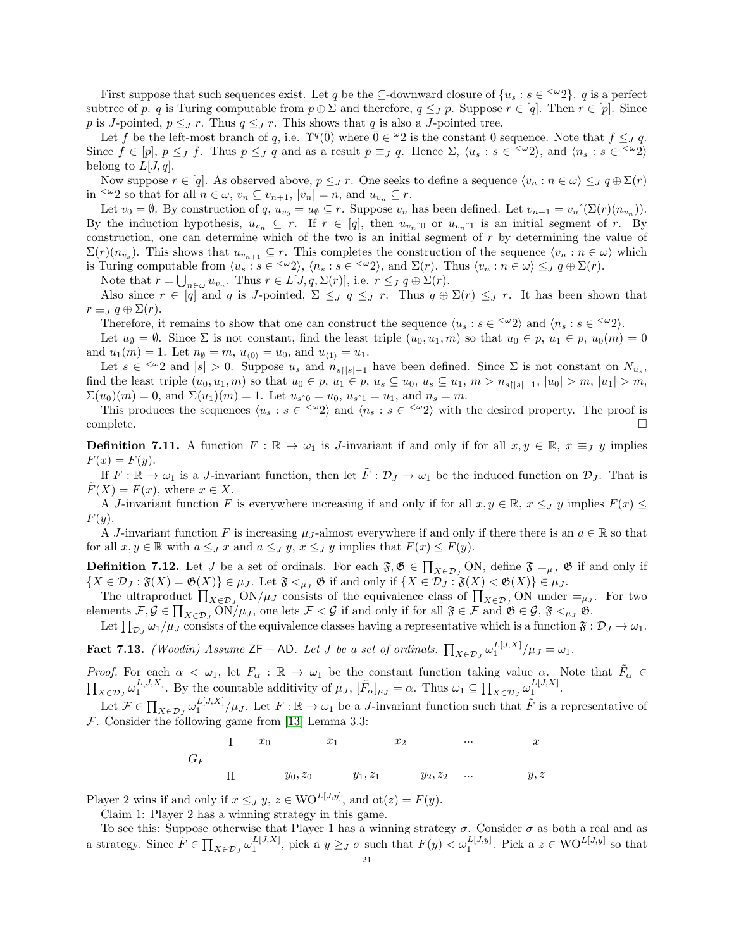First suppose that such sequences exist. Let q be the  $\subseteq$ -downward closure of  $\{u_s : s \in \leq \omega_2\}$ . q is a perfect subtree of p. q is Turing computable from  $p \oplus \Sigma$  and therefore,  $q \leq J$  p. Suppose  $r \in [q]$ . Then  $r \in [p]$ . Since p is J-pointed,  $p \leq J r$ . Thus  $q \leq J r$ . This shows that q is also a J-pointed tree.

Let f be the left-most branch of q, i.e.  $\Upsilon^q(\overline{0})$  where  $\overline{0} \in {}^{\omega}2$  is the constant 0 sequence. Note that  $f \leq_J q$ . Since  $f \in [p], p \leq J$  f. Thus  $p \leq J$  q and as a result  $p \equiv J$  q. Hence  $\Sigma$ ,  $\langle u_s : s \in \langle \omega_2 \rangle$ , and  $\langle n_s : s \in \langle \omega_2 \rangle$ belong to  $L[J, q]$ .

Now suppose  $r \in [q]$ . As observed above,  $p \leq J r$ . One seeks to define a sequence  $\langle v_n : n \in \omega \rangle \leq J q \oplus \Sigma(r)$ in <sup> $\leq \omega_2$ </sup> so that for all  $n \in \omega$ ,  $v_n \subseteq v_{n+1}$ ,  $|v_n| = n$ , and  $u_{v_n} \subseteq r$ .

Let  $v_0 = \emptyset$ . By construction of  $q, u_{v_0} = u_{\emptyset} \subseteq r$ . Suppose  $v_n$  has been defined. Let  $v_{n+1} = v_n^{\hat{}}(\Sigma(r)(n_{v_n}))$ . By the induction hypothesis,  $u_{v_n} \subseteq r$ . If  $r \in [q]$ , then  $u_{v_n \hat{\ }0}$  or  $u_{v_n \hat{\ }1}$  is an initial segment of r. By construction, one can determine which of the two is an initial segment of  $r$  by determining the value of  $\Sigma(r)(n_{v_s})$ . This shows that  $u_{v_{n+1}} \subseteq r$ . This completes the construction of the sequence  $\langle v_n : n \in \omega \rangle$  which is Turing computable from  $\langle u_s : s \in \langle \omega_2 \rangle, \, \langle n_s : s \in \langle \omega_2 \rangle, \text{ and } \Sigma(r)$ . Thus  $\langle v_n : n \in \omega \rangle \leq_J q \oplus \Sigma(r)$ .

Note that  $r = \bigcup_{n \in \omega} u_{v_n}$ . Thus  $r \in L[J, q, \Sigma(r)]$ , i.e.  $r \leq J q \oplus \Sigma(r)$ .

Also since  $r \in [q]$  and q is J-pointed,  $\Sigma \leq_{J} q \leq_{J} r$ . Thus  $q \oplus \Sigma(r) \leq_{J} r$ . It has been shown that  $r \equiv_{J} q \oplus \Sigma(r)$ .

Therefore, it remains to show that one can construct the sequence  $\langle u_s : s \in \langle \omega_2 \rangle$  and  $\langle n_s : s \in \langle \omega_2 \rangle$ .

Let  $u_{\emptyset} = \emptyset$ . Since  $\Sigma$  is not constant, find the least triple  $(u_0, u_1, m)$  so that  $u_0 \in p$ ,  $u_1 \in p$ ,  $u_0(m) = 0$ and  $u_1(m) = 1$ . Let  $n_{\emptyset} = m$ ,  $u_{\langle 0 \rangle} = u_0$ , and  $u_{\langle 1 \rangle} = u_1$ .

Let  $s \in \langle \omega_2 \rangle$  and  $|s| > 0$ . Suppose  $u_s$  and  $n_{s|s|-1}$  have been defined. Since  $\Sigma$  is not constant on  $N_{u_s}$ , find the least triple  $(u_0, u_1, m)$  so that  $u_0 \in p$ ,  $u_1 \in p$ ,  $u_s \subseteq u_0$ ,  $u_s \subseteq u_1$ ,  $m > n_{s\lfloor s \rfloor - 1}$ ,  $|u_0| > m$ ,  $|u_1| > m$ ,  $\Sigma(u_0)(m) = 0$ , and  $\Sigma(u_1)(m) = 1$ . Let  $u_{s_0} = u_0, u_{s_0} = u_1$ , and  $n_s = m$ .

This produces the sequences  $\langle u_s : s \in \langle \omega_2 \rangle$  and  $\langle n_s : s \in \langle \omega_2 \rangle$  with the desired property. The proof is complete. □

**Definition 7.11.** A function  $F : \mathbb{R} \to \omega_1$  is J-invariant if and only if for all  $x, y \in \mathbb{R}$ ,  $x \equiv_J y$  implies  $F(x) = F(y).$ 

If  $F : \mathbb{R} \to \omega_1$  is a J-invariant function, then let  $\tilde{F} : \mathcal{D}_J \to \omega_1$  be the induced function on  $\mathcal{D}_J$ . That is  $F(X) = F(x)$ , where  $x \in X$ .

A J-invariant function F is everywhere increasing if and only if for all  $x, y \in \mathbb{R}$ ,  $x \leq J$  y implies  $F(x) \leq$  $F(y)$ .

A J-invariant function F is increasing  $\mu_J$ -almost everywhere if and only if there there is an  $a \in \mathbb{R}$  so that for all  $x, y \in \mathbb{R}$  with  $a \leq J x$  and  $a \leq J y$ ,  $x \leq J y$  implies that  $F(x) \leq F(y)$ .

**Definition 7.12.** Let J be a set of ordinals. For each  $\mathfrak{F}, \mathfrak{G} \in \prod_{X \in \mathcal{D}_J} ON$ , define  $\mathfrak{F} =_{\mu_J} \mathfrak{G}$  if and only if  $\{X \in \mathcal{D}_J : \mathfrak{F}(X) = \mathfrak{G}(X)\}\in \mu_J$ . Let  $\mathfrak{F} \leq_{\mu_J} \mathfrak{G}$  if and only if  $\{X \in \mathcal{D}_J : \mathfrak{F}(X) < \mathfrak{G}(X)\}\in \mu_J$ .

The ultraproduct  $\prod_{X \in \mathcal{D}_J} \text{ON}/\mu_J$  consists of the equivalence class of  $\prod_{X \in \mathcal{D}_J} \text{ON}$  under  $=_{\mu_J}$ . For two elements  $\mathcal{F}, \mathcal{G} \in \prod_{X \in \mathcal{D}_J} \text{ON}/\mu_J$ , one lets  $\mathcal{F} < \mathcal{G}$  if and only if for all  $\mathfrak{F} \in \mathcal{F}$  and  $\mathfrak{G} \in \mathcal{G}, \mathfrak{F} <_{\mu_J} \mathfrak{G}$ .

Let  $\prod_{\mathcal{D}_J} \omega_1/\mu_J$  consists of the equivalence classes having a representative which is a function  $\mathfrak{F}: \mathcal{D}_J \to \omega_1$ .

<span id="page-20-0"></span>**Fact 7.13.** (Woodin) Assume  $ZF + AD$ . Let J be a set of ordinals.  $\prod_{X \in \mathcal{D}_J} \omega_1^{L[J,X]} / \mu_J = \omega_1$ .

*Proof.* For each  $\alpha < \omega_1$ , let  $F_\alpha : \mathbb{R} \to \omega_1$  be the constant function taking value  $\alpha$ . Note that  $\tilde{F}_\alpha \in$  $\prod_{X \in \mathcal{D}_J} \omega_1^{L[J,X]}$ . By the countable additivity of  $\mu_J$ ,  $[\tilde{F}_{\alpha}]_{\mu_J} = \alpha$ . Thus  $\omega_1 \subseteq \prod_{X \in \mathcal{D}_J} \omega_1^{L[J,X]}$ .

Let  $\mathcal{F} \in \prod_{X \in \mathcal{D}_J} \omega_1^{L[J,X]} / \mu_J$ . Let  $F : \mathbb{R} \to \omega_1$  be a J-invariant function such that  $\tilde{F}$  is a representative of  $\mathcal F$ . Consider the following game from [\[13\]](#page-26-18) Lemma 3.3:

G<sup>F</sup> I x<sup>0</sup> x<sup>1</sup> x<sup>2</sup> ... x II y0, z<sup>0</sup> y1, z<sup>1</sup> y2, z<sup>2</sup> ... y, z

Player 2 wins if and only if  $x \leq J$   $y, z \in \text{WO}^{L[J,y]}$ , and  $\text{ot}(z) = F(y)$ .

Claim 1: Player 2 has a winning strategy in this game.

To see this: Suppose otherwise that Player 1 has a winning strategy  $\sigma$ . Consider  $\sigma$  as both a real and as a strategy. Since  $\tilde{F} \in \prod_{X \in \mathcal{D}_J} \omega_1^{L[J,X]},$  pick a  $y \geq_J \sigma$  such that  $F(y) < \omega_1^{L[J,y]}$ . Pick a  $z \in \text{WO}^{L[J,y]}$  so that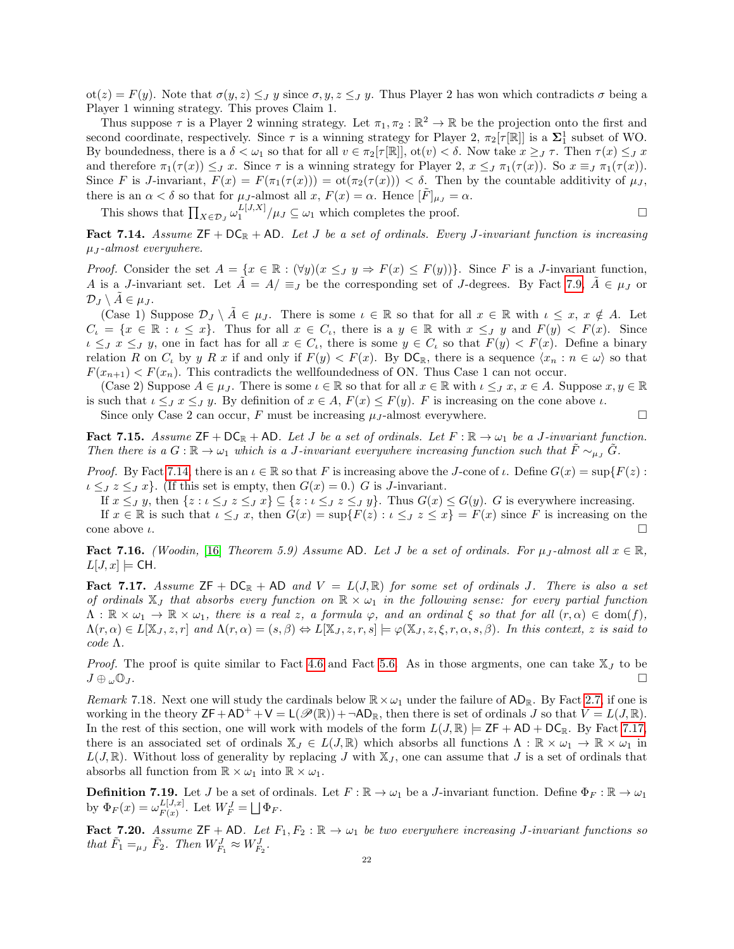$\cot(z) = F(y)$ . Note that  $\sigma(y, z) \leq J y$  since  $\sigma, y, z \leq J y$ . Thus Player 2 has won which contradicts  $\sigma$  being a Player 1 winning strategy. This proves Claim 1.

Thus suppose  $\tau$  is a Player 2 winning strategy. Let  $\pi_1, \pi_2 : \mathbb{R}^2 \to \mathbb{R}$  be the projection onto the first and second coordinate, respectively. Since  $\tau$  is a winning strategy for Player 2,  $\pi_2[\tau[\mathbb{R}]]$  is a  $\Sigma_1^1$  subset of WO. By boundedness, there is a  $\delta < \omega_1$  so that for all  $v \in \pi_2[\tau[\mathbb{R}]]$ ,  $\text{ot}(v) < \delta$ . Now take  $x \geq J \tau$ . Then  $\tau(x) \leq J x$ and therefore  $\pi_1(\tau(x)) \leq_J x$ . Since  $\tau$  is a winning strategy for Player 2,  $x \leq_J \pi_1(\tau(x))$ . So  $x \equiv_J \pi_1(\tau(x))$ . Since F is J-invariant,  $F(x) = F(\pi_1(\tau(x))) = \text{ot}(\pi_2(\tau(x))) < \delta$ . Then by the countable additivity of  $\mu_J$ , there is an  $\alpha < \delta$  so that for  $\mu_J$ -almost all  $x, F(x) = \alpha$ . Hence  $[\tilde{F}]_{\mu_J} = \alpha$ .

This shows that  $\prod_{X \in \mathcal{D}_J} \omega_1^{L[J,X]} / \mu_J \subseteq \omega_1$  which completes the proof.

<span id="page-21-0"></span>Fact 7.14. Assume  $ZF + DC_R + AD$ . Let J be a set of ordinals. Every J-invariant function is increasing  $\mu_J$ -almost everywhere.

*Proof.* Consider the set  $A = \{x \in \mathbb{R} : (\forall y)(x \leq J \ y \Rightarrow F(x) \leq F(y))\}$ . Since F is a J-invariant function, A is a J-invariant set. Let  $A = A/\equiv_J$  be the corresponding set of J-degrees. By Fact [7.9,](#page-19-0)  $A \in \mu_J$  or  $\mathcal{D}_J \setminus A \in \mu_J$ .

(Case 1) Suppose  $\mathcal{D}_J \setminus \overline{A} \in \mu_J$ . There is some  $\iota \in \mathbb{R}$  so that for all  $x \in \mathbb{R}$  with  $\iota \leq x, x \notin A$ . Let  $C_{\iota} = \{x \in \mathbb{R} : \iota \leq x\}.$  Thus for all  $x \in C_{\iota}$ , there is a  $y \in \mathbb{R}$  with  $x \leq J$  y and  $F(y) < F(x).$  Since  $\iota \leq_J x \leq_J y$ , one in fact has for all  $x \in C_i$ , there is some  $y \in C_i$  so that  $F(y) < F(x)$ . Define a binary relation R on  $C_k$  by y R x if and only if  $F(y) < F(x)$ . By  $DC_{\mathbb{R}}$ , there is a sequence  $\langle x_n : n \in \omega \rangle$  so that  $F(x_{n+1}) < F(x_n)$ . This contradicts the wellfoundedness of ON. Thus Case 1 can not occur.

(Case 2) Suppose  $A \in \mu_J$ . There is some  $\iota \in \mathbb{R}$  so that for all  $x \in \mathbb{R}$  with  $\iota \leq_J x, x \in A$ . Suppose  $x, y \in \mathbb{R}$ is such that  $\iota \leq_J x \leq_J y$ . By definition of  $x \in A$ ,  $F(x) \leq F(y)$ . F is increasing on the cone above  $\iota$ .

Since only Case 2 can occur, F must be increasing  $\mu_J$ -almost everywhere.

<span id="page-21-2"></span>**Fact 7.15.** Assume  $\mathsf{ZF} + \mathsf{DC}_\mathbb{R} + \mathsf{AD}$ . Let J be a set of ordinals. Let  $F : \mathbb{R} \to \omega_1$  be a J-invariant function. Then there is a  $G : \mathbb{R} \to \omega_1$  which is a J-invariant everywhere increasing function such that  $F \sim_{\mu} G$ .

Proof. By Fact [7.14,](#page-21-0) there is an  $\iota \in \mathbb{R}$  so that F is increasing above the J-cone of  $\iota$ . Define  $G(x) = \sup\{F(z) :$  $i \leq J \leq J x$ . (If this set is empty, then  $G(x) = 0$ .) G is J-invariant.

If  $x \leq_J y$ , then  $\{z : \iota \leq_J z \leq_J x\} \subseteq \{z : \iota \leq_J z \leq_J y\}$ . Thus  $G(x) \leq G(y)$ . G is everywhere increasing.

If  $x \in \mathbb{R}$  is such that  $\iota \leq J$ , then  $G(x) = \sup\{F(z) : \iota \leq J$ ,  $z \leq x\} = F(x)$  since F is increasing on the cone above  $\iota$ .

<span id="page-21-5"></span>Fact 7.16. (Woodin, [\[16\]](#page-26-19) Theorem 5.9) Assume AD. Let J be a set of ordinals. For  $\mu_J$ -almost all  $x \in \mathbb{R}$ ,  $L[J, x] \models$  CH.

<span id="page-21-1"></span>Fact 7.17. Assume  $ZF + DC_{\mathbb{R}}$  + AD and  $V = L(J, \mathbb{R})$  for some set of ordinals J. There is also a set of ordinals  $X_J$  that absorbs every function on  $\mathbb{R} \times \omega_1$  in the following sense: for every partial function  $\Lambda : \mathbb{R} \times \omega_1 \to \mathbb{R} \times \omega_1$ , there is a real z, a formula  $\varphi$ , and an ordinal  $\xi$  so that for all  $(r, \alpha) \in \text{dom}(f)$ ,  $\Lambda(r,\alpha) \in L[\mathbb{X}_J, z, r]$  and  $\Lambda(r,\alpha) = (s,\beta) \Leftrightarrow L[\mathbb{X}_J, z, r, s] \models \varphi(\mathbb{X}_J, z, \xi, r, \alpha, s, \beta)$ . In this context, z is said to code Λ.

*Proof.* The proof is quite similar to Fact [4.6](#page-10-2) and Fact [5.6.](#page-14-0) As in those argments, one can take  $X_J$  to be  $J \oplus \omega \mathbb{O}_J$ .

<span id="page-21-4"></span>Remark 7.18. Next one will study the cardinals below  $\mathbb{R}\times\omega_1$  under the failure of AD<sub>R</sub>. By Fact [2.7,](#page-4-4) if one is working in the theory  $\mathsf{ZF}+\mathsf{AD}^++\mathsf{V}=\mathsf{L}(\mathscr{P}(\mathbb{R}))+\neg\mathsf{AD}_\mathbb{R}$ , then there is set of ordinals J so that  $V=L(J,\mathbb{R})$ . In the rest of this section, one will work with models of the form  $L(J, \mathbb{R}) \models \mathsf{ZF} + \mathsf{AD} + \mathsf{DC}_{\mathbb{R}}$ . By Fact [7.17,](#page-21-1) there is an associated set of ordinals  $\mathbb{X}_J \in L(J, \mathbb{R})$  which absorbs all functions  $\Lambda : \mathbb{R} \times \omega_1 \to \mathbb{R} \times \omega_1$  in  $L(J, \mathbb{R})$ . Without loss of generality by replacing J with  $\mathbb{X}_J$ , one can assume that J is a set of ordinals that absorbs all function from  $\mathbb{R} \times \omega_1$  into  $\mathbb{R} \times \omega_1$ .

**Definition 7.19.** Let J be a set of ordinals. Let  $F : \mathbb{R} \to \omega_1$  be a J-invariant function. Define  $\Phi_F : \mathbb{R} \to \omega_1$ by  $\Phi_F(x) = \omega_{F(x)}^{L[J,x]}$  $_{F(x)}^{L[J,x]}$ . Let  $W_F^J = \bigsqcup \Phi_F$ .

<span id="page-21-3"></span>Fact 7.20. Assume  $ZF + AD$ . Let  $F_1, F_2 : \mathbb{R} \to \omega_1$  be two everywhere increasing J-invariant functions so that  $\tilde{F}_1 =_{\mu_J} \tilde{F}_2$ . Then  $W_{F_1}^J \approx W_{F_2}^J$ .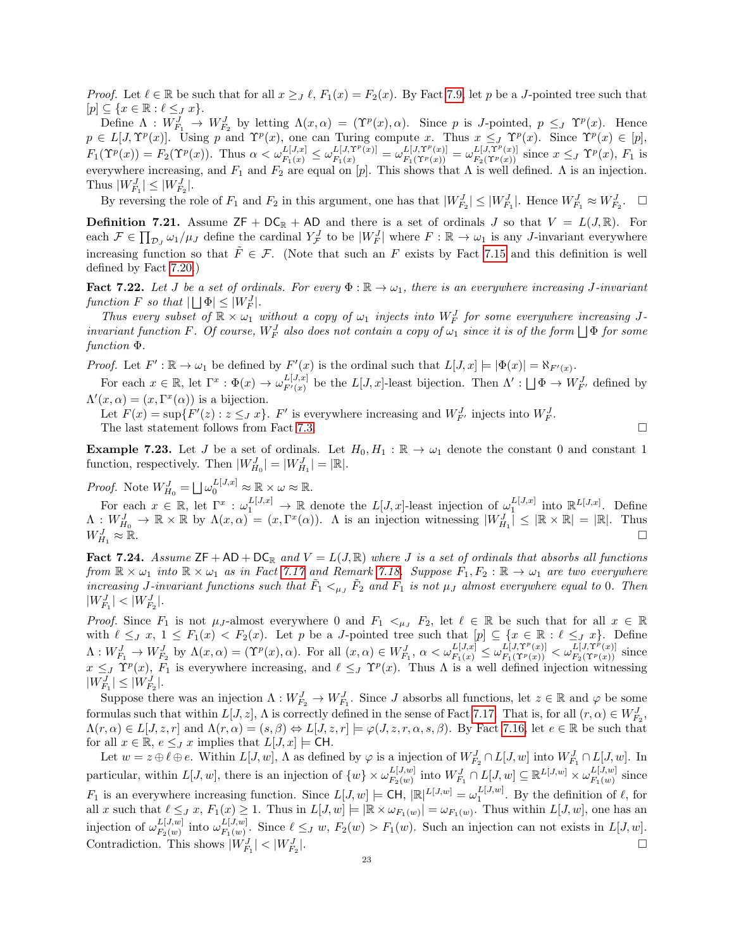*Proof.* Let  $\ell \in \mathbb{R}$  be such that for all  $x \geq f$ ,  $F_1(x) = F_2(x)$ . By Fact [7.9,](#page-19-0) let p be a J-pointed tree such that  $[p] \subseteq \{x \in \mathbb{R} : \ell \leq J x\}.$ 

Define  $\Lambda: W_{F_1}^J \to W_{F_2}^J$  by letting  $\Lambda(x, \alpha) = (\Upsilon^p(x), \alpha)$ . Since p is *J*-pointed,  $p \leq_J \Upsilon^p(x)$ . Hence  $p \in L[J, \Upsilon^p(x)]$ . Using p and  $\Upsilon^p(x)$ , one can Turing compute x. Thus  $x \leq J \Upsilon^p(x)$ . Since  $\Upsilon^p(x) \in [p]$ ,  $F_1(\Upsilon^p(x)) = F_2(\Upsilon^p(x)).$  Thus  $\alpha < \omega_{F_1(x)}^{L[J,x]} \leq \omega_{F_1(x)}^{L[J,\Upsilon^p(x)]} = \omega_{F_1(\Upsilon^p(x))}^{L[J,\Upsilon^p(x)]} = \omega_{F_2(\Upsilon^p(x))}^{L[J,\Upsilon^p(x)]}$  since  $x \leq_J \Upsilon^p(x)$ ,  $F_1$  is everywhere increasing, and  $F_1$  and  $F_2$  are equal on [p]. This shows that  $\Lambda$  is well defined.  $\Lambda$  is an injection. Thus  $|W_{F_1}^J| \leq |W_{F_2}^J|$ .

By reversing the role of  $F_1$  and  $F_2$  in this argument, one has that  $|W_{F_2}^J| \leq |W_{F_1}^J|$ . Hence  $W_{F_1}^J \approx W_{F_2}^J$ .  $\Box$ 

**Definition 7.21.** Assume  $ZF + DC_R + AD$  and there is a set of ordinals J so that  $V = L(J, R)$ . For each  $\mathcal{F} \in \prod_{\mathcal{D}_J} \omega_1/\mu_J$  define the cardinal  $Y^J_{\mathcal{F}}$  to be  $|W^J_F|$  where  $F : \mathbb{R} \to \omega_1$  is any *J*-invariant everywhere increasing function so that  $\ddot{F} \in \mathcal{F}$ . (Note that such an F exists by Fact [7.15](#page-21-2) and this definition is well defined by Fact [7.20.](#page-21-3))

<span id="page-22-2"></span>**Fact 7.22.** Let J be a set of ordinals. For every  $\Phi : \mathbb{R} \to \omega_1$ , there is an everywhere increasing J-invariant function F so that  $|\bigsqcup \Phi| \leq |W^J_F|$ .

Thus every subset of  $\mathbb{R} \times \omega_1$  without a copy of  $\omega_1$  injects into  $W_F^J$  for some everywhere increasing Jinvariant function F. Of course,  $W_F^J$  also does not contain a copy of  $\omega_1$  since it is of the form  $\bigsqcup \Phi$  for some function Φ.

*Proof.* Let  $F' : \mathbb{R} \to \omega_1$  be defined by  $F'(x)$  is the ordinal such that  $L[J, x] \models |\Phi(x)| = \aleph_{F'(x)}$ .

For each  $x \in \mathbb{R}$ , let  $\Gamma^x : \Phi(x) \to \omega_{F'(x)}^{L[J,x]}$  $L^{[J,x]}_{F'(x)}$  be the  $L[J,x]$ -least bijection. Then  $\Lambda' : \bigsqcup \Phi \to W^J_{F'}$  defined by  $\Lambda'(x,\alpha) = (x,\Gamma^x(\alpha))$  is a bijection.

Let  $F(x) = \sup \{ F'(z) : z \leq J x \}.$  F' is everywhere increasing and  $W_{F'}^J$  injects into  $W_F^J$ . The last statement follows from Fact [7.3.](#page-17-4)

<span id="page-22-0"></span>**Example 7.23.** Let J be a set of ordinals. Let  $H_0, H_1 : \mathbb{R} \to \omega_1$  denote the constant 0 and constant 1 function, respectively. Then  $|W_{H_0}^J| = |W_{H_1}^J| = |\mathbb{R}|$ .

*Proof.* Note  $W_{H_0}^J = \bigsqcup \omega_0^{L[J,x]} \approx \mathbb{R} \times \omega \approx \mathbb{R}$ .

For each  $x \in \mathbb{R}$ , let  $\Gamma^x : \omega_1^{L[J,x]} \to \mathbb{R}$  denote the  $L[J,x]$ -least injection of  $\omega_1^{L[J,x]}$  into  $\mathbb{R}^{L[J,x]}$ . Define  $\Lambda: W_{H_0}^J \to \mathbb{R} \times \mathbb{R}$  by  $\Lambda(x, \alpha) = (x, \Gamma^x(\alpha))$ . A is an injection witnessing  $|W_{H_1}^J| \leq |\mathbb{R} \times \mathbb{R}| = |\mathbb{R}|$ . Thus  $W_{H_1}^J \approx \mathbb{R}$ .  $H_1 \approx \mathbb{R}$ .

<span id="page-22-1"></span>**Fact 7.24.** Assume  $\mathsf{ZF} + \mathsf{AD} + \mathsf{DC}_{\mathbb{R}}$  and  $V = L(J, \mathbb{R})$  where J is a set of ordinals that absorbs all functions from  $\mathbb{R} \times \omega_1$  into  $\mathbb{R} \times \omega_1$  as in Fact [7.17](#page-21-1) and Remark [7.18.](#page-21-4) Suppose  $F_1, F_2 : \mathbb{R} \to \omega_1$  are two everywhere increasing J-invariant functions such that  $\tilde{F}_1 <_{\mu_J} \tilde{F}_2$  and  $F_1$  is not  $\mu_J$  almost everywhere equal to 0. Then  $|W_{F_1}^J| < |W_{F_2}^J|$ .

*Proof.* Since  $F_1$  is not  $\mu_J$ -almost everywhere 0 and  $F_1 <_{\mu_J} F_2$ , let  $\ell \in \mathbb{R}$  be such that for all  $x \in \mathbb{R}$ with  $\ell \leq J$  x,  $1 \leq F_1(x) < F_2(x)$ . Let p be a J-pointed tree such that  $[p] \subseteq \{x \in \mathbb{R} : \ell \leq J x\}$ . Define  $\Lambda: W^J_{F_1} \to W^J_{F_2}$  by  $\Lambda(x, \alpha) = (\Upsilon^p(x), \alpha)$ . For all  $(x, \alpha) \in W^J_{F_1}, \ \alpha < \omega^{L[J, \Upsilon^p]}_{F_1(x)} \leq \omega^{L[J, \Upsilon^p(x)]}_{F_1(\Upsilon^p(x))} < \omega^{L[J, \Upsilon^p(x)]}_{F_2(\Upsilon^p(x))}$  since  $x \leq J \Upsilon^p(x)$ ,  $F_1$  is everywhere increasing, and  $\ell \leq J \Upsilon^p(x)$ . Thus  $\Lambda$  is a well defined injection witnessing  $|W_{F_1}^J| \leq |W_{F_2}^J|$ .

Suppose there was an injection  $\Lambda: W_{F_2}^J \to W_{F_1}^J$ . Since J absorbs all functions, let  $z \in \mathbb{R}$  and  $\varphi$  be some formulas such that within  $L[J, z]$ ,  $\Lambda$  is correctly defined in the sense of Fact [7.17.](#page-21-1) That is, for all  $(r, \alpha) \in W_{F_2}^J$ ,  $\Lambda(r,\alpha) \in L[J,z,r]$  and  $\Lambda(r,\alpha) = (s,\beta) \Leftrightarrow L[J,z,r] \models \varphi(J,z,r,\alpha,s,\beta)$ . By Fact [7.16,](#page-21-5) let  $e \in \mathbb{R}$  be such that for all  $x \in \mathbb{R}$ ,  $e \leq J$  x implies that  $L[J, x] \models \mathsf{CH}$ .

Let  $w = z \oplus \ell \oplus e$ . Within  $L[J, w]$ ,  $\Lambda$  as defined by  $\varphi$  is a injection of  $W_{F_2}^J \cap L[J, w]$  into  $W_{F_1}^J \cap L[J, w]$ . In particular, within  $L[J, w]$ , there is an injection of  $\{w\} \times \omega_{F_n(w)}^{L[J, w]}$  $\frac{L[J,w]}{F_2(w)}$  into  $W^J_{F_1} \cap L[J,w] \subseteq \mathbb{R}^{L[J,w]} \times \omega_{F_1(w)}^{L[J,w]}$  $E^{[J,w]}_{F_1(w)}$  since  $F_1$  is an everywhere increasing function. Since  $L[J, w] \models \mathsf{CH}, |\mathbb{R}|^{L[J, w]} = \omega_1^{L[J, w]}$ . By the definition of  $\ell$ , for all x such that  $\ell \leq J x$ ,  $F_1(x) \geq 1$ . Thus in  $L[J, w] \models |\mathbb{R} \times \omega_{F_1(w)}| = \omega_{F_1(w)}$ . Thus within  $L[J, w]$ , one has an injection of  $\omega_{F_{\alpha}(w)}^{L[J,w]}$  $E[J,w]$  into  $\omega_{F_1(w)}^{L[J,w]}$  $F_{F_1(w)}^{L[J,w]}$ . Since  $\ell \leq_J w$ ,  $F_2(w) > F_1(w)$ . Such an injection can not exists in  $L[J, w]$ . Contradiction. This shows  $|W_{F_1}^J| < |W_{F_2}^J|$ |.<br>|-<br>|-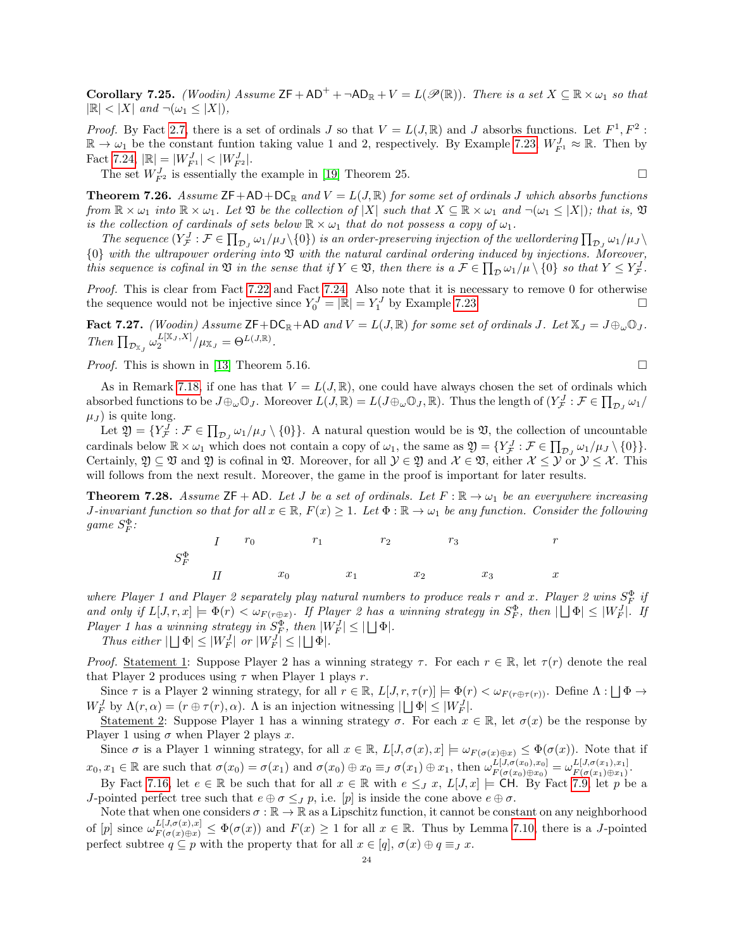**Corollary 7.25.** (Woodin) Assume  $ZF + AD^+ + \neg AD_R + V = L(\mathcal{P}(\mathbb{R}))$ . There is a set  $X \subseteq \mathbb{R} \times \omega_1$  so that  $|\mathbb{R}| < |X|$  and  $\neg(\omega_1 \leq |X|)$ ,

*Proof.* By Fact [2.7,](#page-4-4) there is a set of ordinals J so that  $V = L(J, \mathbb{R})$  and J absorbs functions. Let  $F^1, F^2$ :  $\mathbb{R} \to \omega_1$  be the constant funtion taking value 1 and 2, respectively. By Example [7.23,](#page-22-0)  $W_{F^1}^J \approx \mathbb{R}$ . Then by Fact [7.24,](#page-22-1)  $|\mathbb{R}| = |W_{F^1}^J| < |W_{F^2}^J|$ .

The set  $W_{F^2}^J$  is essentially the example in [\[19\]](#page-26-11) Theorem 25.

**Theorem 7.26.** Assume  $\mathsf{ZF}+\mathsf{AD}+\mathsf{DC}_\mathbb{R}$  and  $V = L(J,\mathbb{R})$  for some set of ordinals J which absorbs functions from  $\mathbb{R} \times \omega_1$  into  $\mathbb{R} \times \omega_1$ . Let  $\mathfrak V$  be the collection of  $|X|$  such that  $X \subseteq \mathbb{R} \times \omega_1$  and  $\neg(\omega_1 \leq |X|)$ ; that is,  $\mathfrak V$ is the collection of cardinals of sets below  $\mathbb{R} \times \omega_1$  that do not possess a copy of  $\omega_1$ .

The sequence  $(Y_{\mathcal{F}}^J : \mathcal{F} \in \prod_{\mathcal{D}_J} \omega_1/\mu_J \setminus \{0\})$  is an order-preserving injection of the wellordering  $\prod_{\mathcal{D}_J} \omega_1/\mu_J \setminus \{0\}$  ${0}$  with the ultrapower ordering into  $\mathfrak V$  with the natural cardinal ordering induced by injections. Moreover, this sequence is cofinal in  $\mathfrak V$  in the sense that if  $Y \in \mathfrak V$ , then there is a  $\mathcal F \in \prod_{\mathcal D} \omega_1/\mu \setminus \{0\}$  so that  $Y \leq Y^J_{\mathcal F}$ .

Proof. This is clear from Fact [7.22](#page-22-2) and Fact [7.24.](#page-22-1) Also note that it is necessary to remove 0 for otherwise the sequence would not be injective since  $Y_0^J = |\mathbb{R}| = Y_1^J$  by Example [7.23.](#page-22-0)

Fact 7.27. (Woodin) Assume  $\mathsf{ZF}+\mathsf{DC}_\mathbb{R}+\mathsf{AD}$  and  $V = L(J, \mathbb{R})$  for some set of ordinals J. Let  $\mathbb{X}_J = J \oplus_\omega \mathbb{O}_J$ . Then  $\prod_{\mathcal{D}_{\mathbb{X}_J}} \omega_2^{L[\mathbb{X}_J,X]} / \mu_{\mathbb{X}_J} = \Theta^{L(J,\mathbb{R})}.$ 

*Proof.* This is shown in [\[13\]](#page-26-18) Theorem 5.16.

As in Remark [7.18,](#page-21-4) if one has that  $V = L(J, \mathbb{R})$ , one could have always chosen the set of ordinals which absorbed functions to be  $J\oplus_\omega \mathbb{O}_J$ . Moreover  $L(J,\mathbb{R})=L(J\oplus_\omega \mathbb{O}_J,\mathbb{R})$ . Thus the length of  $(Y^J_{\mathcal{F}}:\mathcal{F}\in\prod_{\mathcal{D}_J}\omega_1/\mathbb{R})$  $\mu_J$ ) is quite long.

Let  $\mathfrak{Y} = \{Y_{\mathcal{F}}^J : \mathcal{F} \in \prod_{\mathcal{D}_J} \omega_1/\mu_J \setminus \{0\}\}\.$  A natural question would be is  $\mathfrak{Y}$ , the collection of uncountable cardinals below  $\mathbb{R} \times \omega_1$  which does not contain a copy of  $\omega_1$ , the same as  $\mathfrak{Y} = \{ Y_{\mathcal{F}}^J : \mathcal{F} \in \prod_{\mathcal{D}_J} \omega_1/\mu_J \setminus \{0\} \}.$ Certainly,  $\mathfrak{Y} \subseteq \mathfrak{Y}$  and  $\mathfrak{Y}$  is cofinal in  $\mathfrak{Y}$ . Moreover, for all  $\mathcal{Y} \in \mathfrak{Y}$  and  $\mathcal{X} \in \mathfrak{Y}$ , either  $\mathcal{X} \leq \mathcal{Y}$  or  $\mathcal{Y} \leq \mathcal{X}$ . This will follows from the next result. Moreover, the game in the proof is important for later results.

<span id="page-23-0"></span>**Theorem 7.28.** Assume  $ZF + AD$ . Let J be a set of ordinals. Let  $F : \mathbb{R} \to \omega_1$  be an everywhere increasing J-invariant function so that for all  $x \in \mathbb{R}$ ,  $F(x) \geq 1$ . Let  $\Phi : \mathbb{R} \to \omega_1$  be any function. Consider the following game  $S_F^{\Phi}$ :

S Φ F I r<sup>0</sup> r<sup>1</sup> r<sup>2</sup> r<sup>3</sup> r II x<sup>0</sup> x<sup>1</sup> x<sup>2</sup> x<sup>3</sup> x

where Player 1 and Player 2 separately play natural numbers to produce reals r and x. Player 2 wins  $S_F^{\Phi}$  if and only if  $L[J, r, x] \models \Phi(r) < \omega_{F(r \oplus x)}$ . If Player 2 has a winning strategy in  $S_F^{\Phi}$ , then  $|\bigcup \Phi| \leq |W_F^J|$ . If Player 1 has a winning strategy in  $S_F^{\Phi}$ , then  $|W_F^J| \leq |\bigsqcup \Phi|$ .

Thus either  $|\bigcup \Phi| \leq |W_F^J|$  or  $|W_F^J| \leq |\bigcup \Phi|$ .

Proof. Statement 1: Suppose Player 2 has a winning strategy  $\tau$ . For each  $r \in \mathbb{R}$ , let  $\tau(r)$  denote the real that Player 2 produces using  $\tau$  when Player 1 plays r.

Since  $\tau$  is a Player 2 winning strategy, for all  $r \in \mathbb{R}$ ,  $L[J, r, \tau(r)] \models \Phi(r) < \omega_{F(r \oplus \tau(r))}$ . Define  $\Lambda : \Box \Phi \rightarrow$  $W_F^J$  by  $\Lambda(r, \alpha) = (r \oplus \tau(r), \alpha)$ . A is an injection witnessing  $|\bigcup \Phi| \leq |W_F^J|$ .

Statement 2: Suppose Player 1 has a winning strategy  $\sigma$ . For each  $x \in \mathbb{R}$ , let  $\sigma(x)$  be the response by Player 1 using  $\sigma$  when Player 2 plays x.

Since  $\sigma$  is a Player 1 winning strategy, for all  $x \in \mathbb{R}$ ,  $L[J,\sigma(x),x] \models \omega_{F(\sigma(x)\oplus x)} \leq \Phi(\sigma(x))$ . Note that if  $x_0, x_1 \in \mathbb{R}$  are such that  $\sigma(x_0) = \sigma(x_1)$  and  $\sigma(x_0) \oplus x_0 \equiv_J \sigma(x_1) \oplus x_1$ , then  $\omega_{F(\sigma(x_0) \oplus x_0)}^{L[J, \sigma(x_0), x_0]} = \omega_{F(\sigma(x_1) \oplus x_1)}^{L[J, \sigma(x_1), x_1]}$  $E[J, \sigma(x_1), x_1]$ <br> $F(\sigma(x_1) \oplus x_1)$ 

By Fact [7.16,](#page-21-5) let  $e \in \mathbb{R}$  be such that for all  $x \in \mathbb{R}$  with  $e \leq J x$ ,  $L[J, x] \models$  CH. By Fact [7.9,](#page-19-0) let p be a J-pointed perfect tree such that  $e \oplus \sigma \leq_{J} p$ , i.e. [p] is inside the cone above  $e \oplus \sigma$ .

Note that when one considers  $\sigma : \mathbb{R} \to \mathbb{R}$  as a Lipschitz function, it cannot be constant on any neighborhood of  $[p]$  since  $\omega_{F(\sigma(x))\oplus x}^{L[J,\sigma(x),x]} \leq \Phi(\sigma(x))$  and  $F(x) \geq 1$  for all  $x \in \mathbb{R}$ . Thus by Lemma [7.10,](#page-19-1) there is a J-pointed perfect subtree  $q \subseteq p$  with the property that for all  $x \in [q], \sigma(x) \oplus q \equiv_J x$ .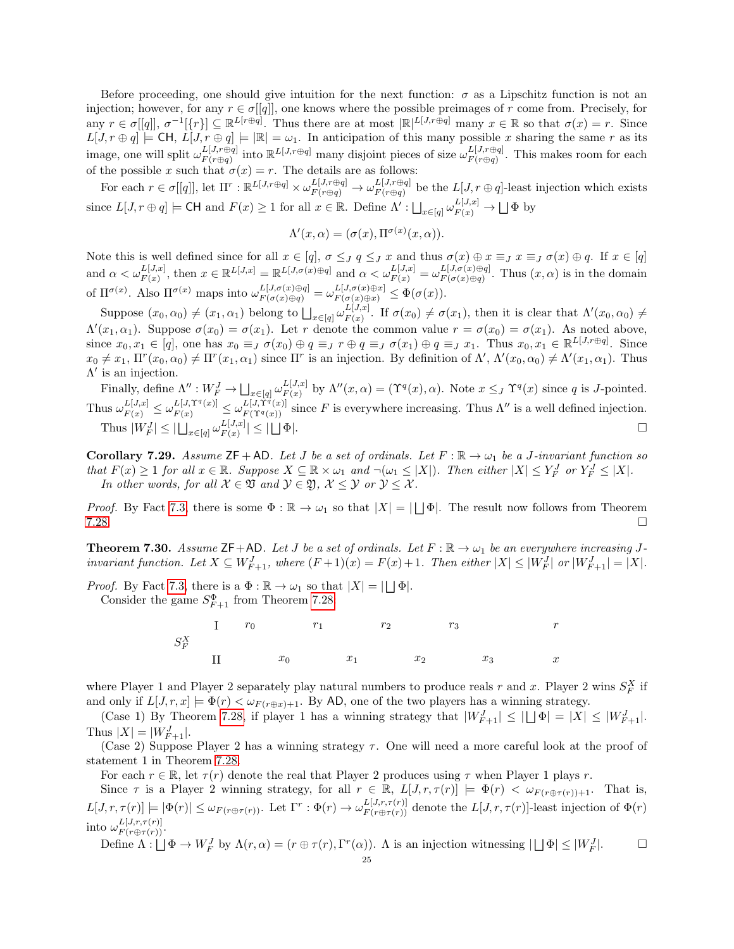Before proceeding, one should give intuition for the next function:  $\sigma$  as a Lipschitz function is not an injection; however, for any  $r \in \sigma[[q]]$ , one knows where the possible preimages of r come from. Precisely, for any  $r \in \sigma[[q]]$ ,  $\sigma^{-1}[\{r\}] \subseteq \mathbb{R}^{L[r\oplus q]}$ . Thus there are at most  $|\mathbb{R}|^{L[J,r\oplus q]}$  many  $x \in \mathbb{R}$  so that  $\sigma(x) = r$ . Since  $L[J, r \oplus q] \models \text{CH}, L[J, r \oplus q] \models |\mathbb{R}| = \omega_1$ . In anticipation of this many possible x sharing the same r as its image, one will split  $\omega_{F(r \oplus q)}^{L[J,r \oplus q]}$  $L[J,r\oplus q]$  into  $\mathbb{R}^{L[J,r\oplus q]}$  many disjoint pieces of size  $\omega_{F(r\oplus q)}^{L[J,r\oplus q]}$  $F(r \oplus q)$ . This makes room for each of the possible x such that  $\sigma(x) = r$ . The details are as follows:

For each  $r \in \sigma[[q]]$ , let  $\Pi^r : \mathbb{R}^{L[J,r\oplus q]} \times \omega_{F(r\oplus q)}^{L[J,r\oplus q]} \to \omega_{F(r\oplus q)}^{L[J,r\oplus q]}$  $F(r \oplus q)$  be the  $L[J, r \oplus q]$ -least injection which exists since  $L[J, r \oplus q] \models \textsf{CH} \text{ and } F(x) \geq 1 \text{ for all } x \in \mathbb{R}$ . Define  $\Lambda' : \bigsqcup_{x \in [q]} \omega_{F(x)}^{L[J,x]} \rightarrow \bigsqcup \Phi$  by

$$
\Lambda'(x,\alpha) = (\sigma(x), \Pi^{\sigma(x)}(x,\alpha)).
$$

Note this is well defined since for all  $x \in [q]$ ,  $\sigma \leq J$   $q \leq J$  and thus  $\sigma(x) \oplus x \equiv J$   $x \equiv J$   $\sigma(x) \oplus q$ . If  $x \in [q]$ and  $\alpha < \omega_{F(x)}^{L[J,x]}$ , then  $x \in \mathbb{R}^{L[J,x]} = \mathbb{R}^{L[J,\sigma(x) \oplus q]}$  and  $\alpha < \omega_{F(x)}^{L[J,x]} = \omega_{F(\sigma(x) \oplus q)}^{L[J,\sigma(x) \oplus q]}$  $F^{[J,\sigma(x)\oplus q]}_{F(\sigma(x)\oplus q)}$ . Thus  $(x,\alpha)$  is in the domain of  $\Pi^{\sigma(x)}$ . Also  $\Pi^{\sigma(x)}$  maps into  $\omega_{F(\sigma(x)\oplus q)}^{L[J,\sigma(x)\oplus q]} = \omega_{F(\sigma(x)\oplus x)}^{L[J,\sigma(x)\oplus x]} \leq \Phi(\sigma(x)).$ 

Suppose  $(x_0, \alpha_0) \neq (x_1, \alpha_1)$  belong to  $\bigsqcup_{x \in [q]} \omega_{F(x)}^{L[J,x]}$  $E^{L[J,x]}_{F(x)}$ . If  $\sigma(x_0) \neq \sigma(x_1)$ , then it is clear that  $\Lambda'(x_0,\alpha_0) \neq$  $\Lambda'(x_1,\alpha_1)$ . Suppose  $\sigma(x_0) = \sigma(x_1)$ . Let r denote the common value  $r = \sigma(x_0) = \sigma(x_1)$ . As noted above, since  $x_0, x_1 \in [q]$ , one has  $x_0 \equiv_J \sigma(x_0) \oplus q \equiv_J r \oplus q \equiv_J \sigma(x_1) \oplus q \equiv_J x_1$ . Thus  $x_0, x_1 \in \mathbb{R}^{L[J,r\oplus q]}$ . Since  $x_0 \neq x_1, \Pi^r(x_0, \alpha_0) \neq \Pi^r(x_1, \alpha_1)$  since  $\Pi^r$  is an injection. By definition of  $\Lambda', \Lambda'(x_0, \alpha_0) \neq \Lambda'(x_1, \alpha_1)$ . Thus  $\Lambda'$  is an injection.

Finally, define  $\Lambda'' : W_F^J \to \bigsqcup_{x \in [q]} \omega_{F(x)}^{L[J,x]}$  $L^{[J,x]}_{F(x)}$  by  $\Lambda''(x,\alpha) = (\Upsilon^q(x),\alpha)$ . Note  $x \leq_J \Upsilon^q(x)$  since q is J-pointed. Thus  $\omega_{F(x)}^{L[J,x]} \leq \omega_{F(x)}^{L[J,\Upsilon^{q}(x)]} \leq \omega_{F(\Upsilon^{q}(x))}^{L[J,\Upsilon^{q}(x)]}$  since F is everywhere increasing. Thus  $\Lambda''$  is a well defined injection. Thus  $|W_F^J| \leq |\bigcup_{x \in [q]} \omega_{F(x)}^{L[J,x]}$  $\left| \frac{L[J,x]}{F(x)} \right| \leq |\bigcup \Phi|.$ 

**Corollary 7.29.** Assume  $\mathsf{ZF} + \mathsf{AD}$ . Let J be a set of ordinals. Let  $F : \mathbb{R} \to \omega_1$  be a J-invariant function so that  $F(x) \ge 1$  for all  $x \in \mathbb{R}$ . Suppose  $X \subseteq \mathbb{R} \times \omega_1$  and  $\neg(\omega_1 \le |X|)$ . Then either  $|X| \le Y_F^J$  or  $Y_F^J \le |X|$ . In other words, for all  $X \in \mathfrak{V}$  and  $Y \in \mathfrak{Y}$ ,  $X \leq Y$  or  $Y \leq X$ .

*Proof.* By Fact [7.3,](#page-17-4) there is some  $\Phi : \mathbb{R} \to \omega_1$  so that  $|X| = |\bigcup \Phi|$ . The result now follows from Theorem  $7.28.$ 

<span id="page-24-0"></span>**Theorem 7.30.** Assume  $\mathsf{ZF}+\mathsf{AD}$ . Let J be a set of ordinals. Let  $F : \mathbb{R} \to \omega_1$  be an everywhere increasing Jinvariant function. Let  $X \subseteq W_{F+1}^J$ , where  $(F+1)(x) = F(x) + 1$ . Then either  $|X| \leq |W_F^J|$  or  $|W_{F+1}^J| = |X|$ .

*Proof.* By Fact [7.3,](#page-17-4) there is a  $\Phi : \mathbb{R} \to \omega_1$  so that  $|X| = |\bigcup \Phi|$ . Consider the game  $S_{F+1}^{\Phi}$  from Theorem [7.28:](#page-23-0)



where Player 1 and Player 2 separately play natural numbers to produce reals r and x. Player 2 wins  $S_F^X$  if and only if  $L[J, r, x] \models \Phi(r) < \omega_{F(r \oplus x)+1}$ . By AD, one of the two players has a winning strategy.

(Case 1) By Theorem [7.28,](#page-23-0) if player 1 has a winning strategy that  $|W_{F+1}^J| \leq |\bigcup \Phi| = |X| \leq |W_{F+1}^J|$ . Thus  $|X| = |W_{F+1}^J|$ .

(Case 2) Suppose Player 2 has a winning strategy  $\tau$ . One will need a more careful look at the proof of statement 1 in Theorem [7.28.](#page-23-0)

For each  $r \in \mathbb{R}$ , let  $\tau(r)$  denote the real that Player 2 produces using  $\tau$  when Player 1 plays r.

Since  $\tau$  is a Player 2 winning strategy, for all  $r \in \mathbb{R}$ ,  $L[J,r,\tau(r)] \models \Phi(r) < \omega_{F(r \oplus \tau(r))+1}$ . That is,  $L[J,r,\tau(r)] \models |\Phi(r)| \leq \omega_{F(r\oplus \tau(r))}$ . Let  $\Gamma^r : \Phi(r) \to \omega_{F(r\oplus \tau(r))}^{L[J,r,\tau(r)]}$  denote the  $L[J,r,\tau(r)]$ -least injection of  $\Phi(r)$ into  $\omega_{F(r \oplus \tau(r))}^{L[J,r,\tau(r)]}.$ 

Define  $\Lambda: \bigsqcup \Phi \to W^J_F$  by  $\Lambda(r, \alpha) = (r \oplus \tau(r), \Gamma^r(\alpha))$ . A is an injection witnessing  $|\bigsqcup \Phi| \leq |W^J_F(\alpha)|$  $\Box$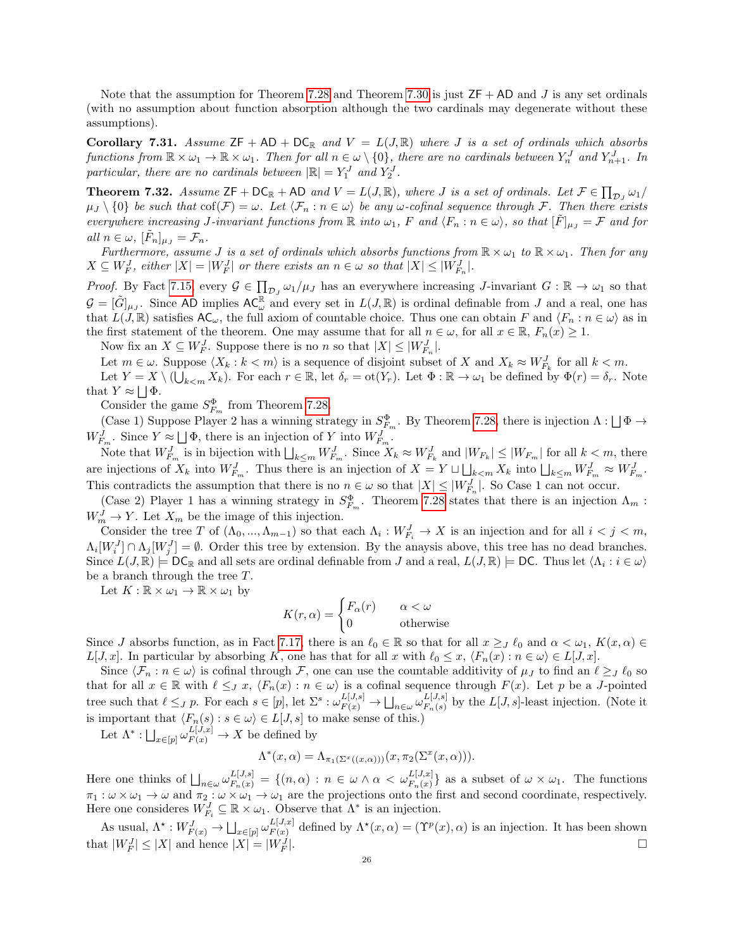Note that the assumption for Theorem [7.28](#page-23-0) and Theorem [7.30](#page-24-0) is just  $ZF + AD$  and J is any set ordinals (with no assumption about function absorption although the two cardinals may degenerate without these assumptions).

Corollary 7.31. Assume  $ZF + AD + DC_R$  and  $V = L(J, \mathbb{R})$  where J is a set of ordinals which absorbs functions from  $\mathbb{R} \times \omega_1 \to \mathbb{R} \times \omega_1$ . Then for all  $n \in \omega \setminus \{0\}$ , there are no cardinals between  $Y_n^J$  and  $Y_{n+1}^J$ . In particular, there are no cardinals between  $|\mathbb{R}| = Y_1^J$  and  $Y_2^J$ .

**Theorem 7.32.** Assume  $ZF + DC_{\mathbb{R}} + AD$  and  $V = L(J, \mathbb{R})$ , where J is a set of ordinals. Let  $F \in \prod_{\mathcal{D}_J} \omega_1$  $\mu_J \setminus \{0\}$  be such that  $\text{cof}(\mathcal{F}) = \omega$ . Let  $\langle \mathcal{F}_n : n \in \omega \rangle$  be any  $\omega$ -cofinal sequence through  $\mathcal{F}$ . Then there exists everywhere increasing J-invariant functions from  $\mathbb R$  into  $\omega_1$ , F and  $\langle F_n : n \in \omega \rangle$ , so that  $[\tilde{F}]_{\mu J} = \mathcal F$  and for all  $n \in \omega$ ,  $[\tilde{F}_n]_{\mu_J} = \mathcal{F}_n$ .

Furthermore, assume J is a set of ordinals which absorbs functions from  $\mathbb{R} \times \omega_1$  to  $\mathbb{R} \times \omega_1$ . Then for any  $X \subseteq W_F^J$ , either  $|X| = |W_F^J|$  or there exists an  $n \in \omega$  so that  $|X| \leq |W_{F_n}^J|$ .

*Proof.* By Fact [7.15,](#page-21-2) every  $\mathcal{G} \in \prod_{\mathcal{D}_J} \omega_1/\mu_J$  has an everywhere increasing J-invariant  $G : \mathbb{R} \to \omega_1$  so that  $\mathcal{G} = [\tilde{G}]_{\mu J}$ . Since AD implies  $AC_{\omega}^{\mathbb{R}}$  and every set in  $L(J, \mathbb{R})$  is ordinal definable from J and a real, one has that  $L(J, \mathbb{R})$  satisfies  $AC_{\omega}$ , the full axiom of countable choice. Thus one can obtain F and  $\langle F_n : n \in \omega \rangle$  as in the first statement of the theorem. One may assume that for all  $n \in \omega$ , for all  $x \in \mathbb{R}$ ,  $F_n(x) \geq 1$ .

Now fix an  $X \subseteq W_F^J$ . Suppose there is no n so that  $|X| \leq |W_{F_n}^J|$ .

Let  $m \in \omega$ . Suppose  $\langle X_k : k < m \rangle$  is a sequence of disjoint subset of X and  $X_k \approx W_{F_k}^J$  for all  $k < m$ . Let  $Y = X \setminus (\bigcup_{k \le m} X_k)$ . For each  $r \in \mathbb{R}$ , let  $\delta_r = \text{ot}(Y_r)$ . Let  $\Phi : \mathbb{R} \to \omega_1$  be defined by  $\Phi(r) = \delta_r$ . Note that  $Y \approx \bigsqcup \Phi$ .

Consider the game  $S_{F_m}^{\Phi}$  from Theorem [7.28.](#page-23-0)

(Case 1) Suppose Player 2 has a winning strategy in  $S_{F_m}^{\Phi}$ . By Theorem [7.28,](#page-23-0) there is injection  $\Lambda : \Box \Phi \to$  $W_{F_m}^J$ . Since  $Y \approx \bigsqcup \Phi$ , there is an injection of Y into  $W_{F_m}^J$ .

Note that  $W_{F_m}^J$  is in bijection with  $\bigsqcup_{k\leq m}W_{F_m}^J$ . Since  $X_k \approx W_{F_k}^J$  and  $|W_{F_k}|\leq |W_{F_m}|$  for all  $k < m$ , there are injections of  $X_k$  into  $W_{F_m}^J$ . Thus there is an injection of  $X = Y \sqcup \bigsqcup_{k \leq m} X_k$  into  $\bigsqcup_{k \leq m} W_{F_m}^J \approx W_{F_m}^J$ . This contradicts the assumption that there is no  $n \in \omega$  so that  $|X| \leq |W_{F_n}^J|$ . So Case 1 can not occur.

(Case 2) Player 1 has a winning strategy in  $S_{F_m}^{\Phi}$ . Theorem [7.28](#page-23-0) states that there is an injection  $\Lambda_m$ :  $W_m^J \to Y$ . Let  $X_m$  be the image of this injection.

Consider the tree T of  $(\Lambda_0, ..., \Lambda_{m-1})$  so that each  $\Lambda_i : W^J_{F_i} \to X$  is an injection and for all  $i < j < m$ ,  $\Lambda_i[W_i^J] \cap \Lambda_j[W_j^J] = \emptyset$ . Order this tree by extension. By the anaysis above, this tree has no dead branches. Since  $L(J, \mathbb{R}) \models \mathsf{DC}_{\mathbb{R}}$  and all sets are ordinal definable from J and a real,  $L(J, \mathbb{R}) \models \mathsf{DC}$ . Thus let  $\langle \Lambda_i : i \in \omega \rangle$ be a branch through the tree  $T$ .

Let  $K : \mathbb{R} \times \omega_1 \to \mathbb{R} \times \omega_1$  by

$$
K(r, \alpha) = \begin{cases} F_{\alpha}(r) & \alpha < \omega \\ 0 & \text{otherwise} \end{cases}
$$

Since J absorbs function, as in Fact [7.17,](#page-21-1) there is an  $\ell_0 \in \mathbb{R}$  so that for all  $x \geq J$   $\ell_0$  and  $\alpha < \omega_1$ ,  $K(x, \alpha) \in$  $L[J, x]$ . In particular by absorbing K, one has that for all x with  $\ell_0 \leq x$ ,  $\langle F_n(x) : n \in \omega \rangle \in L[J, x]$ .

Since  $\langle \mathcal{F}_n : n \in \omega \rangle$  is cofinal through  $\mathcal{F}$ , one can use the countable additivity of  $\mu_J$  to find an  $\ell \geq_J \ell_0$  so that for all  $x \in \mathbb{R}$  with  $\ell \leq J$  x,  $\langle F_n(x) : n \in \omega \rangle$  is a cofinal sequence through  $F(x)$ . Let p be a J-pointed tree such that  $\ell \leq_J p$ . For each  $s \in [p]$ , let  $\Sigma^s : \omega_{F(x)}^{L[J,s]} \to \bigsqcup_{n \in \omega} \omega_{F_n(s)}^{L[J,s]}$  $E^{[J, s]}_{F_n(s)}$  by the  $L[J, s]$ -least injection. (Note it is important that  $\langle F_n(s) : s \in \omega \rangle \in L[J, s]$  to make sense of this.)

Let  $\Lambda^*: \bigsqcup_{x \in [p]} \omega_{F(x)}^{L[J,x]} \to X$  be defined by

$$
\Lambda^*(x,\alpha) = \Lambda_{\pi_1(\Sigma^x((x,\alpha)))}(x,\pi_2(\Sigma^x(x,\alpha))).
$$

Here one thinks of  $\bigsqcup_{n\in\omega}\omega_{F_n(x)}^{L[J,s]} = \{(n,\alpha)\,:\,n\in\omega\wedge\alpha<\omega_{F_n(x)}^{L[J,x]}\}$  as a subset of  $\omega\times\omega_1$ . The functions  $\pi_1 : \omega \times \omega_1 \to \omega$  and  $\pi_2 : \omega \times \omega_1 \to \omega_1$  are the projections onto the first and second coordinate, respectively. Here one consideres  $W_{F_i}^J \subseteq \mathbb{R} \times \omega_1$ . Observe that  $\Lambda^*$  is an injection.

As usual,  $\Lambda^* : W^J_{F(x)} \to \bigsqcup_{x \in [p]} \omega^{L[J,x]}_{F(x)}$  $F_{F(x)}^{L[J,x]}$  defined by  $\Lambda^*(x,\alpha) = (\Upsilon^p(x),\alpha)$  is an injection. It has been shown that  $|W^J_F| \leq |X|$  and hence  $|X| = |W^J_F|$ |.